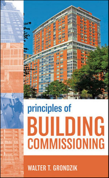# principles of BUILDING **COMMISSIONING**

**WALTER T. GRONDZIK**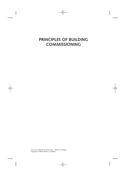### **PRINCIPLES OF BUILDING COMMISSIONING**

*Principles of Building Commissioning* Walter T. Grondzik Copyright © 2009 by Walter T. Grondzik.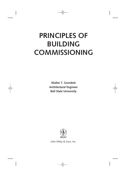## **PRINCIPLES OF BUILDING COMMISSIONING**

**Walter T. Grondzik Architectural Engineer Ball State University**



John Wiley & Sons, Inc.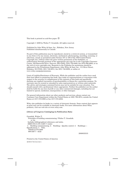This book is printed on acid-free paper.  $\circledcirc$ 

Copyright  $\odot$  2009 by Walter T. Grondzik. All rights reserved.

Published by John Wiley & Sons, Inc., Hoboken, New Jersey Published simultaneously in Canada

No part of this publication may be reproduced, stored in a retrieval system, or transmitted in any form or by any means, electronic, mechanical, photocopying, recording, scanning, or otherwise, except as permitted under Section 107 or 108 of the 1976 United States Copyright Act, without either the prior written permission of the Publisher, or authorization through payment of the appropriate per-copy fee to the Copyright Clearance Center, 222 Rosewood Drive, Danvers, MA 01923, (978) 750-8400, fax (978) 646-8600, or on the web at www.copyright.com. Requests to the Publisher for permission should be addressed to the Permissions Department, John Wiley & Sons, Inc., 111 River Street, Hoboken, NJ 07030, (201) 748-6011, fax (201) 748-6008, or online at www.wiley.com/go/permissions.

Limit of Liability/Disclaimer of Warranty: While the publisher and the author have used their best efforts in preparing this book, they make no representations or warranties with respect to the accuracy or completeness of the contents of this book and specifically disclaim any implied warranties of merchantability or fitness for a particular purpose. No warranty may be created or extended by sales representatives or written sales materials. The advice and strategies contained herein may not be suitable for your situation. You should consult with a professional where appropriate. Neither the publisher nor the author shall be liable for any loss of profit or any other commercial damages, including but not limited to special, incidental, consequential, or other damages.

For general information about our other products and services, please contact our Customer Care Department within the United States at (800) 762-2974, outside the United States at (317) 572-3993 or fax (317) 572-4002.

Wiley also publishes its books in a variety of electronic formats. Some content that appears in print may not be available in electronic books. For more information about Wiley products, visit our web site at www.wiley.com.

#### *Library of Congress Cataloging-in-Publication Data:*

Grondzik, Walter T. Principles of building commissioning / Walter T. Grondzik. p. cm. Includes bibliographical references and index. ISBN 978-0-470-11297-7 (cloth) 1. Building commissioning. 2. Building—Quality control. 3. Buildings— Specifications. I. Title. TH438.2.G76 2008 690.028 7—dc22

2008033315

Printed in the United States of America 10 9 8 7 6 5 4 3 2 1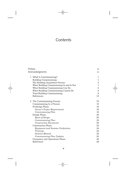### **Contents**

| Preface                                   | ix               |
|-------------------------------------------|------------------|
| Acknowledgments                           | хi               |
| 1 What Is Commissioning?                  | 1                |
| <b>Building Commissioning</b>             | 1                |
| The Building Acquisition Process          | $\boldsymbol{3}$ |
| What Building Commissioning Is and Is Not | $\overline{7}$   |
| What Building Commissioning Can Do        | 8                |
| What Building Commissioning Cannot Do     | 8                |
| <b>Total Building Commissioning</b>       | 9                |
| References                                | 13               |
| 2 The Commissioning Process               | 15               |
| Commissioning Is a Process                | 15               |
| Predesign Phase                           | 16               |
| <b>Owner's Project Requirements</b>       | 16               |
| Commissioning Plan                        | 18               |
| Design Phase                              | 20               |
| <b>Basis of Design</b>                    | 20               |
| Commissioning Plan                        | 22               |
| <b>Construction Documents</b>             | 22               |
| <b>Construction Phase</b>                 | 23               |
| <i>Equipment and Systems Verification</i> | 24               |
| Training                                  | 24               |
| Systems Manual                            | 25               |
| Commissioning Plan Updates                | 25               |
| Occupancy and Operations Phase            | 25               |
| References                                | 29               |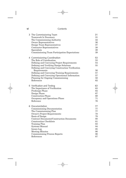| 3 The Commissioning Team                         | 31 |
|--------------------------------------------------|----|
| <b>Teamwork Is Necessary</b>                     | 31 |
| The Commissioning Authority                      | 32 |
| <b>Owner Representatives</b>                     | 36 |
| Design Team Representatives                      | 37 |
| Contractor Representatives                       | 38 |
| Specialists                                      | 39 |
| Commissioning Team Participation Expectations    | 39 |
| 4 Commissioning Coordination                     | 53 |
| The Role of Coordination                         | 53 |
| Defining and Conveying Project Requirements      | 54 |
| Defining and Verifying Design Solutions          | 55 |
| Defining and Conveying Construction Verification |    |
| Requirements                                     | 56 |
| Defining and Conveying Training Requirements     | 57 |
| Defining and Conveying Operational Information   | 57 |
| Planning for Ongoing Commissioning               | 58 |
| References                                       | 62 |
| 5 Verification and Testing                       | 63 |
| The Importance of Verification                   | 63 |
| Predesign Phase                                  | 64 |
| Design Phase                                     | 67 |
| <b>Construction Phase</b>                        | 69 |
| Occupancy and Operations Phase                   | 71 |
| Reference                                        | 76 |
| 6 Documentation                                  | 77 |
| <b>Commissioning Documentation</b>               | 77 |
| The Commissioning Plan                           | 77 |
| Owner's Project Requirements                     | 78 |
| <b>Basis of Design</b>                           | 79 |
| <b>Contract Documents/Construction Documents</b> | 80 |
| <b>Construction Checklists</b>                   | 81 |
| <b>Training Plan</b>                             | 83 |
| <b>Systems Manual</b>                            | 84 |
| Issues Log                                       | 85 |
| <b>Meeting Minutes</b>                           | 86 |
| <b>Commissioning Process Reports</b>             | 86 |
| References                                       | 87 |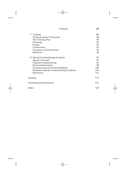| 7 Training                                 | 89  |
|--------------------------------------------|-----|
| <b>Training Owner's Personnel</b>          | 89  |
| The Training Plan                          | 90  |
| Predesign                                  | 90  |
| Design                                     | 91  |
| Construction                               | 93  |
| Occupancy and Operations                   | 94  |
| Reference                                  | 94  |
| 8 Special Commissioning Contexts           | 97  |
| <b>Special Contexts?</b>                   | 97  |
| <b>Ongoing Commissioning</b>               | 97  |
| Retrocommissioning                         | 99  |
| Commissioning for Green Buildings          | 100 |
| Discipline-Specific Commissioning Guidance | 104 |
| References                                 | 111 |
| Glossary                                   | 113 |
| <b>Commissioning Resources</b>             | 121 |
| Index                                      | 129 |

Contents **vii**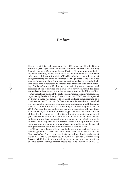### Preface

The seeds of this book were sown in 1992 when the Florida Design Initiative (FDI) sponsored the Second National Conference on Building Commissioning in Clearwater Beach, Florida. FDI was promoting building commissioning, among other practices, as a valuable tool that could help move buildings in the state of Florida to higher ground in terms of energy efficiency and overall performance. The purpose of the conference sponsorship was to allow Florida design professionals to meet and mingle with those from other states who were already involved with commissioning. The benefits and difficulties of commissioning were presented and discussed at the conference and a number of newly converted designers adopted commissioning as a viable means of improving building quality.

The underlying theme of the early building commissioning conferences, organized by Portland Energy Conservation, Inc. (PECI) and championed by Nancy Benner was simple—to establish building commissioning as a ''business as usual'' practice. In theory, when this objective was reached the rationale for the annual commissioning conferences would dissipate. The 16th National Conference on Building Commissioning was held in 2008. The need for the conferences has not evaporated, although their role has changed to one of process support versus the earlier role of philosophical conversion. At this time, building commissioning is not yet ''business as usual,'' but neither is it an unusual business. Savvy building owners have adopted commissioning as an effective way to improve the facility acquisition process. Green building initiatives have embraced commissioning as a way of assuring quality in the delivery of high-performance buildings. Commissioning is coming of age.

ASHRAE has substantially revised its long-standing series of commissioning guidelines—with the 2005 publication of *Guideline 0: The Commissioning Process* and the just-released wholesale updating of *Guideline 1: HVAC&R Technical Requirements for the Commissioning Process*. Guideline 0 gives discipline-neutral guidance on what an effective commissioning process should look like—whether an HVAC,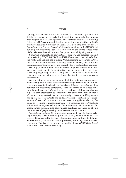### **x** Preface

lighting, roof, or elevator system is involved. Guideline 1 provides the details necessary to properly implement the commissioning process with respect to HVAC&R systems. The National Institute of Building Sciences (NIBS) coordinated the development and publication (in 2006) of *NIBS Guideline 3: Exterior Enclosure Technical Requirements for the Commissioning Process*. Several additional guidelines in the NIBS ''total building commissioning'' series are currently in the works. Those most likely to be seen first will address fire protection and lighting systems.

Numerous organizations now embrace, support, and promote building commissioning. PECI, ASHRAE, and NIBS have been noted already, but the ranks also include the Building Commissioning Association (BCA), the National Environmental Balancing Bureau (NEEB), the California Commissioning Collaborative, and several others. Certification as a commissioning provider is available from several organizations—and in most cases the requirements for certification are anything but trivial. Commissioning is gaining traction. It may not yet be business as usual, but it is surely on the radar screens of most facility design and operations professionals.

Yet a question persists among many building designers and owners what exactly is this thing called commissioning? Answering this fundamental question is the objective of this book. Fifteen years after the first national commissioning conference, there still seems to be a need for a consolidated source of information on the basics of building commissioning. This book attempts to be that source, and to make the fundamentals of commissioning accessible to all interested parties—to building owners and operators, to architects and engineers about to embark on commissioning efforts, and to others (such as users or suppliers) who may be called on to join the commissioning team for a particular project. This book is intended for anyone looking for ''Commissioning 101.'' As demand for green, carbon-neutral, high-performance buildings increases, so should the numbers of people seeking to understand commissioning.

*Principles of Building Commissioning* attempts to clarify the underlying philosophy of commissioning: the why, what, when, and who of this process. It maps out the territory of commissioning, outlines its defining characteristics, explains its flow of processes, and demystifies its documentation. This book is very much shaped by the *ASHRAE Guideline 0* view of the world of commissioning.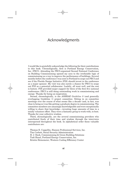### Acknowledgments

I would like to gratefully acknowledge the following for their contributions to this book. Chronologically, first is Portland Energy Conservation, Inc. (PECI). Attending the PECI-organized Second National Conference on Building Commissioning opened my eyes to the irrefutable logic of commissioning as a way to improve the performance of buildings. Several months before the conference I was sent to Portland to scope out PECI and see if the Florida Design Initiative (FDI) should invest in the conference as a major sponsor. My visit was also surely a chance for PECI to scope out FDI as a potential collaborator. Luckily, all went well, and the rest is history. FDI provided major support for three of the first five national conferences. PECI is still doing outstanding work in commissioning and energy. Thanks for being an inspiration.

Second, chronologically, is the *ASHRAE Guideline 0* (and generally overlapping Guideline 1) project committee. Sitting in on committee meetings over the course of what seems like a decade (and, in fact, was close to being so) was like getting a graduate degree in commissioning. The committee members are amazingly knowledgeable and were exceptionally willing to share that knowledge— investing huge amounts of time in a totally volunteer effort. They were a fantastic group to work with, to boot. Thanks for your collective wisdom.

Third, chronologically, are the several commissioning providers who contributed freely of their time and wisdom through the interviews interspersed throughout the book. In alphabetical order these valuable contributors are:

Thomas E. Cappellin, Hanson Professional Services, Inc. Tim Corbett, Social Security Administration H. J. Enck, Commissioning & Green Building Solutions Tudi Haasl, Portland Energy Conservation, Inc. Kristin Heinemeier, Western Cooling Efficiency Center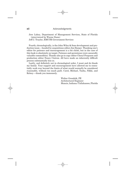### **xii** Acknowledgments

Jere Lahey, Department of Management Services, State of Florida (interviewed by Wayne Dunn) Jeff J. Traylor, EMCOR Government Services

Fourth, chronologically, is the John Wiley & Sons development and production team—headed by acquisitions editor Jim Harper. Thanking one's editor for patience and encouragement is a bit cliché, but in the case of this book is absolutely on target. Patience and persistence were assuredly valuable commodities. Thanks also go to copy editor Cheryl Ferguson and production editor Nancy Cintron. All have made an inherently difficult process substantially less so.

Lastly, and definitely not in chronological order, I must and do thank my family. Your support and encouragement have allowed me to essentially work way beyond the limits of what would normally be considered reasonable, without too much guilt. Carol, Michael, Tasha, Nikki, and Kelsey—thank you immensely.

> Walter Grondzik, PE Architectural Engineer Muncie, Indiana / Tallahassee, Florida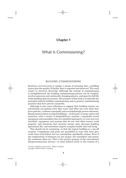### **Chapter 1**

### What Is Commissioning?

### BUILDING COMMISSIONING

*Building commissioning* is simply a means of ensuring that a building owner gets the quality of facility that is expected and deserved. The word *simply* is, however, deceiving. Although the concept of commissioning is straightforward, the building commissioning process can be complex, involve numerous and continually changing players, and span the full life of the building delivery process. The purpose of this book is to describe the principles behind building commissioning and to present commissioning practices that have proven successful.

Although it may seem ridiculous to suggest that building owners are consistently not getting what they want (and often not even what they have paid for), evidence repeatedly and overwhelmingly proves otherwise. Examinations of just-occupied buildings—of all types, in many states and countries, with a variety of design/delivery systems—repeatedly reveal equipment and assemblies that are installed improperly (or were not even installed), equipment and systems that do not (and often cannot) work properly, and situations that increase energy costs, decrease building operational life, and sometimes imperil occupant health and well being.

This should not be surprising, in that the typical building is a one-off creation. Components and parts are assembled in ways that have generally been tried before, but are nonetheless specifically unique. Even if the combinations of elements are not unique, the assemblers and assembly conditions often are. That is the precise purpose of the conventional design/construction process—to meet defined needs in the context of a

*Principles of Building Commissioning* Walter T. Grondzik Copyright © 2009 by Walter T. Grondzik.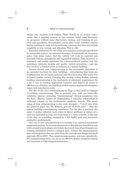unique site, timeline, and budget. There should be no serious expectation that a building created in this manner would work flawlessly on occupancy without some observation, testing, and tweaking of systems and assemblies. Nevertheless, owner after owner somehow expects his/her building to work well by initiating a process that does not include insightful review, testing, and adjusting. This is silly.

Extended warranties are one of the most common accessories purchased by automobile buyers. An extended warranty is essentially an insurance policy that helps ensure that the vehicle will work as expected and intended without unbudgeted and unjustified expense. This insurance is commonly and readily purchased for a mass-produced product that has undergone extensive testing and quality control procedures—and one that involves a fraction of the investment in a typical building.

Owners should view commissioning as the conceptual equivalent of an extended warranty for their buildings—remembering that these are buildings that are not mass-produced and often have seen little in the way of formal quality control. Carrying this analogy a step further, ongoing building commissioning is the equivalent of scheduled maintenance for a car; a way of avoiding unpleasant surprises that deprive an owner of effective use of his/her car (building) and/or require unplanned emergency repair and remediation costs.

The idea of the navy commissioning its ships is often used an example of building commissioning. This is partially true, with sea trials (the validation process) preceding ''commissioning'' (formal acceptance into the fleet). Quality control for shipbuilding is typically independent of (although related to) the performance validation activity. The movie image of ship commissioning is also more dramatic—"I don't care what the pressure gages say, Mr. Roberts, give me 35 knots now!''—than the typical building commissioning experience. Yet the idea is precisely the same; it makes infinitely more sense to detect problems or failure in a trial run conducted on your own terms than in a crisis (a battle, in the case of the ship, or a building occupied by 1,200 highly paid and previously productive professionals).

One way to view commissioning is to consider it as a partial step toward integrated practice. In an integrated practice, disciplinary boundaries and walls around project phases are broken down such that all participants are working seamlessly toward a common goal, without the communication gaps and suspicions that can arise from the conventional design-bid-build approach (Elvin 2007). The commissioning process, and more specifically, the commissioning team, can act as an effective project integrator during the transition to fully integrated practices.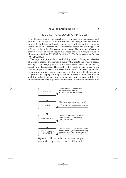### THE BUILDING ACQUISITION PROCESS

As will be described in the next chapter, commissioning is a process that parallels and integrates with the conventional design-construct-occupy process for buildings. Although there are several important and common variations of this process, the conventional design-bid-build approach will be the basis for discussion in this book. The principal phases in this process are shown in Figure 1.1. These are the building acquisition phases identified by *ASHRAE Guideline 0: The Commissioning Process* (ASHRAE 2005).

The acquisition process for a new building consists of a sequenced series of activities intended to provide a facility that meets the owner's needs. During the *predesign phase* of the process, these needs are identified, honed, and documented. Historically, the result of this phase is an owner's program (or brief) that becomes the foundation for design efforts. Such a program may be developed solely by the owner, by the owner in cooperation with a programming specialist, or by the owner in conjunction with the design team. An incomplete or inaccurate program will lead to an incomplete or partially functional building. Incomplete programs may



Figure 1.1 Phases in the conventional designconstruct-occupy sequence for a building project.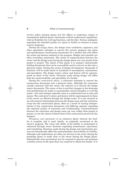involve either missing spaces (too few offices or conference rooms) or incompletely defined spaces (classrooms without audiovisual capabilities, with no flexibility for evolving functions, and the like). Serious ambiguity regarding the intended quality of a space or facility is common in many owners' programs.

During the *design phase*, the design team (architects, engineers, and often specialists) attempts to convert the owner's program into plans and specifications (construction documents) for a facility that will reflect the needs and desires outlined in the program. Budget and schedule are often overriding constraints. The extent of communication between the owner and the design team during the design phase can vary greatly from project to project. The intent of this phase is to prepare contractually binding documents that can be successfully used to convert an idea into a physical reality. During the course of design development, thousands of decisions will be made based on hundreds of assumptions, calculations, and precedents. The design team's values and desires will be superimposed on those of the owner. Decisions made during design will affect both the constructability and operability of a facility.

During the *construction phase*, a contractor attempts to convert the construction documents into a physical entity. Although the contractor usually contracts with the owner, the contract is to execute the design team's documents. The owner is free to ask that changes to the drawings and specifications be made to accommodate second thoughts or evolving needs—but such changes typically come at a substantial cost in time and money. The contractor's values and desires will be superimposed on those of the owner (as filtered through the design team). It is not unusual to see adversarial relationships between the design team and the contractor creep into the construction phase, often as a result of varying interpretations of the construction documents and differing opinions regarding the expected quality of materials and workmanship. Communications between the contractor and design team can vary widely from project to project, as can the extent of observation of the construction process by the designer.

*Occupancy and operations* is an extensive phase wherein the facility is complete and is used, ideally, as originally envisioned in the owner's program. The value and utility of the facility is maintained or enhanced through owner decisions regarding maintenance, operations, and remodeling. Decisions made during the design and construction process can dramatically affect the maintainability and usability of a facility, although such implications are often not obvious to the owner during the predesign phase or made clear to the owner during the design phase. Substantially more investment may be required to operate and maintain a facility across its life span than was required to obtain the facility. It is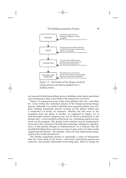### The Building Acquisition Process **5**



Figure 1.2 Each phase of the design-constructoccupy process can lead to problems for a building owner.

not unusual to find less guidance given a building owner about operations and maintenance than is provided to the typical new car buyer.

Figure 1.2 summarizes some of the many glitches that can—and often do—occur within the individual phases of the design-construct-occupy process. Although it is useful to identify these separate phases, the complete building acquisition process involves all the phases linked into a continuous (or nearly so) sequence. Glitches can also occur in the transition from one phase to another, as suggested in Figure 1.3. A well-developed owner's program may not be clearly transmitted to the design team—or key members of the team (e.g., consulting engineers) may never see the program. The design team's solution may be inadequately conveyed to the contractor (through poor drawings, ambiguous specifications, or last-minute changes in subcontractors). It is common that the handoff of building from contractor to owner is done with very little usable supporting information—for example, where do I get replacement lamps, and how do I reach the fixtures?

The facility acquisition process is essentially a relay of information from the owner back to the owner—with many intervening parties and contracts, and usually substantial intervening time. There is simply too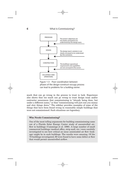

Figure 1.3 Poor coordination between phases of the design-construct-occupy process can lead to problems for a building owner.

much that can go wrong in the process to trust to luck. Experience also shows that too much can go wrong to trust design team and/or contractor assurances that commissioning is ''already being done, but under a different name," or that "commissioning will just cost you money and slow things down.'' The sidebar provides examples of some of the things that have been found wrong in reasonably simple buildings that were not commissioned. Such situations are legendary.

### **Who Needs Commissioning?**

One of the most telling arguments for building commissioning came out of a Florida Solar Energy Center study of uncontrolled airflow in buildings (Cummings et al. 1996). A large number of small commercial buildings (medical office, strip mall, etc.) were carefully investigated to see how critical an issue unintended air flow (leakage) might be in such buildings. The results were amazing. Of the 70 buildings investigated, 69 were found to have some defect or flaw that would permit uncontrolled airflow.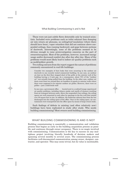These were not just subtle flaws detectable only by trained scientists. Included were problems such as toilet exhaust fans dumping air into return air plenums, no ceiling/roof insulation (where there should have been), vapor retarders that did not continue above suspended ceilings, fans running backward, and gaps between sections of ductwork. Interestingly, none of the problems seemed to be obvious enough to raise preinvestigation concerns on the part of owners/occupants. Most of the problems, however, increased energy usage and/or decreased comfort day after day after day. Many of the problems would most likely lead to indoor air quality problems such as mold/mildew growth.

Two telling extracts from the report suggest the nature of problems commonly encountered in real-life buildings:

Consider two examples of duct leaks that were occurring in the outdoor air ductwork in one recently tested commercial building. In one case, an outdoor air duct on the first floor stopped short of the grille at the exterior wall of the building leaving a 2 inch gap. As a consequence, about 75% of the ''outdoor air'' was actually being pulled from the building. In the other case, outdoor air ducts went from two second floor air handlers to panels in exterior walls where there were supposed to be exterior outdoor air grilles. However, there were no grilles—just a solid brick wall!

In one case, a government office *...* located next to a cocktail lounge experienced air quality problems, including tobacco smoke and smells of cleaners resulting from air transport between units. Above the suspended t-bar ceilings, the ceiling spaces are well connected to each other by openings in the fire wall that totaled over 30 square feet in size. In addition, the bathroom exhaust fans from the bar discharged into the ceiling space of the office. Once in the ceiling space, air contaminants were transported into the office space by means of large return leaks.

Such findings of defects in existing (and often relatively new) buildings have been replicated in study after study. Who needs building commissioning? Most owners need building commissioning.

### WHAT BUILDING COMMISSIONING IS AND IS NOT

Building commissioning is essentially a communication and validation process that begins as early in the building acquisition process as possible and continues through owner occupancy. There is no magic involved with commissioning. Communication is the key to success on any multiphase project involving literally hundreds of decision makers and spanning several months to several years. The commissioning process facilitates well-documented communication among owner, designer, contractor, and operator. This may seem trivial, but its value is inestimable.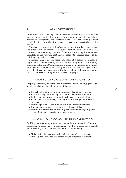Validation is the second key element of the commissioning process. Rather than assuming that things are as they should be, selected decisions, assemblies, equipment, and operations are tested (conceptually and/or physically) to ensure that they meet the needs and expectations of the owner.

Obviously, commissioning involves more than these key aspects, and the details will be presented in subsequent chapters. In a nutshell, however, commissioning consists of communicating requirements and expectations and verifying that they are met by the various parties to the building acquisition process.

Commissioning is not an additional phase of a project. Commissioning is not an isolated testing event. Commissioning is not TAB (testing, adjusting, balancing). Commissioning is not equipment start-up. Commissioning will likely involve TAB, equipment start-up, and testing of various types, but these are just a part of the larger whole of the commissioning process as it occurs throughout all phases of a project.

### WHAT BUILDING COMMISSIONING CAN DO

Properly executed, building commissioning begun during predesign should consistently be able to do the following:

- Help clearly define an owner's project needs and expectations.
- Validate design solutions against defined owner requirements.
- Reduce change orders brought about by poor communication.
- Verify (before occupancy) that key building components work as intended.
- Provide appropriate training for building operating personnel.
- Provide useful project documentation at owner takeover.
- Provide benchmarking of building performance for ongoing effective and efficient operation and maintenance.

### WHAT BUILDING COMMISSIONING CANNOT DO

Building commissioning is not a replacement for the conventional building acquisition process—it is a supplement to that process. As a result, commissioning should not be expected to do the following:

- Make up for ill-conceived project objectives and expectations.
- Make up for an inadequate design and/or construction budget.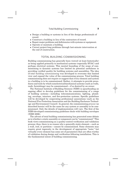- Design a building or systems in lieu of the design professionals of record.
- Construct a building in lieu of the contractors of record.
- Repair major problems and deficiencies with systems or equipment.
- Operate or maintain a building.
- Correct project-long problems through last-minute intervention at the end of construction.

### TOTAL BUILDING COMMISSIONING

Building commissioning has generally been viewed (at least historically) as being applied primarily to mechanical systems (especially HVAC) and perhaps electrical systems. This mental bounding of the scope of commissioning to dynamic systems has limited its potential usefulness in providing verified quality for building systems and assemblies. The idea of *total building commissioning* was developed to overcome this limited view and expand the value of the commissioning process. Total building commissioning does not require or suggest that every element and system in a building is to be commissioned. Rather, it attempts to provide procedures and tools by which nonelectrical/mechanical systems (such as walls, roofs, furnishings) may be commissioned—if so desired by an owner.

The National Institute of Building Sciences (NIBS) is spearheading an ongoing effort to develop guidelines for the commissioning of a range of building systems—including telecommunications, lighting, plumbing, envelope, interiors, and fire-protection systems. Specific guidelines will be developed by cooperating professional associations (such as the National Fire Protection Association and the Building Enclosure Technology and Environment Council). In general, the commissioning *process* (as described herein) will be the same for any system or assembly to be commissioned. Only the details of implementation will vary. The first of the NIBS-developed commissioning guidelines deals with building envelopes (NIBS 2006).

The advent of total building commissioning has generated some debate as to whether a static assembly or component can be ''commissioned.'' This book views commissioning as a quality-control verification and validation process; thus, there is no reason why a generally static element—such as a wall, roof, or partition—cannot be commissioned. Some elements may require great ingenuity in the development of appropriate "tests," but virtually every element has some set of parameters that are often worthy of validation during design and verification following installation. This is the fundamental intent of building commissioning.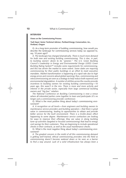### **INTERVIEW**

#### **Views on the Commissioning Process**

### **Tudi Haasl, Senior Technical Advisor, Portland Energy Conservation, Inc., Portland, Oregon**

Q. As a long-term promoter of building commissioning, how would you describe the landscape for commissioning services today (as opposed to, say, 10 years ago)?

*A. The landscape has changed dramatically. There is much more demand for both new and existing building commissioning. This is due, in part, to building owners' desire to be ''greener.'' The U.S. Green Building Council's Leadership in Energy and Environmental Design (LEED) Green Building Rating System includes some requirements for commissioning, and this has driven the market to some extent. Some states are requiring commissioning for their public buildings in an effort to meet executive mandates. Market transformation is happening at a rapid rate due to high energy prices and concerns about global warming; thus, commissioning and retrocommissioning are seen as a strategy to help reduce both expenses and environmental degradation. A number of utilities across the country provide incentives to building owners for existing building commissioning—10 years ago, this wasn't in the mix. There is more and more activity and interest in the private sector, especially from large commercial building owners and ''big box'' retailers*.

*The National Conference on Building Commissioning is now a venue where* all *interested parties come together to learn and participate (it's no longer just a commissioning provider conference)*.

Q. What is the most positive thing about today's commissioning environment?

*A. A recognition on all levels—from engineers and building owners to maintenance service providers and building operators—that there is great value in commissioning, leading to opportunities to obtain and provide better service for the built environment. There is a trickle-down effect happening to some degree. Maintenance service contractors are looking for ways to improve their offerings; they see value in doing building tune-up activities (targeted or focused commissioning) that lead to energy cost savings for their customers. They are beginning to include operational checks in their contracts, as well as the usual maintenance checks*.

Q. What is the most negative thing about today's commissioning environment?

*A. The greatest concern in the midst of all this commissioning demand is getting well-trained, ethical commissioning providers into the field so commissioning doesn't become watered down or be seen as a barrier to find a way around. Lack of a solid infrastructure has always been a*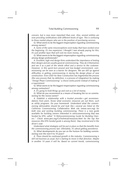*concern, but is now more important than ever. Also, several entities are now providing certifications with different levels of rigor. This is confusing to those market players who are in the position of purchasing services*.

Q. What seems to be the biggest misperception regarding commissioning among owners?

*A. Some of the same misconceptions exist today that have existed since the beginning. It's too expensive; I thought I was already paying for this; It's just another layer that will cost me more money, etc*.

Q. What seems to be the biggest misperception regarding commissioning among design professionals?

*A. Excellent, high-end design firms understand the importance of testing their designs and are usually good at commissioning. They do it themselves and see it as a part of the whole effort and a service to the customer. However, in this quick-turn-around and low-budget environment, commissioning can be seen as a barrier for designers. We are still up against difficulties in getting commissioning in during the design phase of new construction. Even LEED for New Construction has fragmented the process (the very process that, by definition, is a process of integration) by making ''Design Phase Commissioning'' a choice (extra point) instead of making it a requirement*.

Q. What seems to be the biggest misperception regarding commissioning among contractors?

*A. It's going to hold things up and cost us a lot of money*.

Q. What do you recommend as a means of breaking the ice on commissioning for the novice owner?

*A. Establish a relationship with a trusted provider—get recommendations from peers. Know what economic resources are out there, such as utility programs. Do your homework. Understand what the commissioning deliverables should be and look like—several are listed on the California Commissioning Collaborative Web site* (www.cacx.org) *for both new and existing building commissioning. There is a new guide available for building owners interested in retrocommissioning that was funded by EPA, called ''A Retrocommissioning Guide for Building Owners.'' Check* www.peci.org/CxTechnical/resources.html *for the top five resources (the EPA-funded guide is among them). Stay involved and in the driver's seat*.

*Understand what strategies will be put in place so that the benefits from the commissioning process last. Ultimately, it's about getting persistence*.

Q. What developments do you see on the horizon for building commissioning over the next 5 to 10 years?

*A. There should be continued growth in the industry. Commissioning is still not business as usual, but is starting to move in that direction. Maybe in another 10 years it will be. Based on current trends, commissioning*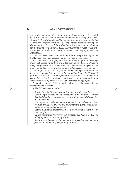*for existing buildings will continue to be a strong focus over the next 5 years as we all struggle with global warming and high energy prices. Persistence tools and strategies will be more in demand, since commissioning benefits may degrade over time, especially without adequate training and documentation. There will be higher interest in and hopefully demand for monitoring- or persistence-based commissioning services. More protocols will be developed for testing low-energy building equipment and installations*.

Q. Do you have any words of wisdom for those newly embarking on the building commissioning process? Or for seasoned professionals?

*A. Know what utility programs are out there so you can leverage them. Get trained in controls and integration issues. Become skilled in doing design reviews and hands-on-testing of equipment and systems. Get tooled up, and have a good set of portable data loggers in your tool kit*.

*Most important is one's EQ, or emotional intelligence quotient. IQ means you can take tests and do well in school in all subjects. EQ is what you need in order to deal with people, resolve conflicts, and keep your ego at bay. It is often overlooked, but positive interpersonal and group interactions are a big piece of a successful commissioning project*.

Q. What are some of the greatest challenges as the commissioning industry moves forward?

A. *The following are important:*

- *Developing a highly trained commissioning provider work force*
- *Continuing to educate owners so that owners will educate each other*
- *Standardizing the commissioning process without jeopardizing creativity and ingenuity*
- *Working more closely with controls contractors to deliver what their products are capable of doing and to increase the quality of documentation for the operating sequences*
- *Getting persistence strategies and tools to be a first thought, not an afterthought*
- *Obtaining more funding for research to measure and verify the benefits of high-quality commissioning efforts*
- *Revising LEED to require, at a minimum, an integrated commissioning process for the building energy-using systems*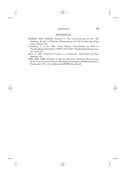### References **13**

### **REFERENCES**

- ASHRAE. 2005. *ASHRAE Guideline 0: The Commissioning Process*. The American Society of Heating, Refrigerating and Air-Conditioning Engineers, Atlanta, GA.
- Cummings, J. et al. 1996. ''Final Report: Uncontrolled Air Flow in Non-Residential Buildings'' (FSEC-CR-878-96). Florida Solar Energy Center, Cocoa, FL.
- Elvin, G. 2007. *Integrated Practice in Architecture*. John Wiley & Sons, Hoboken, NJ.
- NIBS. 2006. *NIBS Guideline 3: Exterior Enclosure Technical Requirements for the Commissioning Process*. The National Institute of Building Sciences, Washington, DC. www.wbdg.org/ccb/NIBS/nibs gl3.pdf.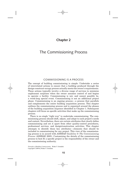### **Chapter 2**

### The Commissioning Process

### COMMISSIONING IS A PROCESS

The concept of building commissioning is simple: Undertake a series of interrelated actions to ensure that a building produced through the design-construct-occupy process actually meets the owner's requirements. These actions typically involve a diverse range of services to minimize unpleasant surprises when the owner assumes control of and begins to operate a facility. Commissioning is not, and cannot possibly be, a week-long special event. Commissioning is not an additional project phase. Commissioning is an ongoing process—a process that parallels and complements the entire building acquisition process. This chapter outlines the commissioning process and is organized around the phases of the building acquisition sequence identified in Chapter 1. Subsequent chapters will focus on specific activities that make up the commissioning process.

There is no single "right way" to undertake commissioning. The commissioning process should shift, adjust, and adapt to each project's needs and context. Nevertheless, there are certain attributes that clearly define commissioning and set it apart from other quality-control procedures, professional services, and design/construction activities. This chapter attempts to identify these key attributes—elements that should be included in commissioning for any project. This view of the commissioning process is in accord with *ASHRAE Guideline 0: The Commissioning Process* (ASHRAE 2005). Customizing the details of the commissioning process to best fit a specific project is the responsibility of the owner and the commissioning authority.

*Principles of Building Commissioning* Walter T. Grondzik Copyright © 2009 by Walter T. Grondzik.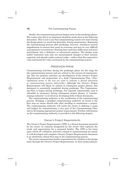Ideally, the commissioning process begins early in the predesign phase. The reason why this is so important should be made clear in the following discussion. This is not to say that commissioning cannot ever start during the design phase (or, much less desirably, during construction). Beginning the commissioning process after predesign, however, introduces serious impediments to success that must be overcome and may be very difficult and expensive to counteract. Starting later and later shifts more and more participants into a defensive or adversarial position. The design team and/or contractor may only see unanticipated changes to their normal, expected, and already-under-contract tasks—rather than the cooperative (and contracted for) roles envisioned by the commissioning process.

### PREDESIGN PHASE

Commissioning activities during the predesign phase set the stage for the commissioning process and are critical to the success of commissioning. The two primary activities are development of the Owner's Project Requirements and preparation of a draft Commissioning Plan. *(Note: capitalized terms in the text are used to indicate a formal document or commissioning process deliverable.)* Although the Owner's Project Requirements will likely be refined in subsequent project phases, this document is essentially completed during predesign. The Commissioning Plan is begun during predesign, but expands substantially (and is amended as necessary) during subsequent project phases. A ''commissioning authority'' is involved in developing both of these documents.

The commissioning authority is the coordinator of the commissioning process. Bringing a qualified commissioning authority on board is the first step an owner should take after deciding to commission a project. The commissioning authority will assist the owner in defining a scope and budget for commissioning (a key part of the Commissioning Plan) and in developing appropriate project requirements. Further information on the commissioning authority is provided in the following chapter.

### Owner's Project Requirements

The Owner's Project Requirements (OPR) is a formal document prepared by the owner (or someone designated by the owner) that captures the needs and expectations for a proposed facility. The OPR is the basis upon which all validation activities related to commissioning are based. A well-developed and complete Owner's Project Requirements document is an absolutely critical first step in the commissioning process.

The owner communicates his/her expectations for a facility to the design team through the Owner's Project Requirements. In later project phases,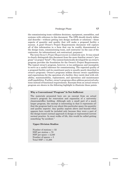### Predesign Phase **17**

the commissioning team validates decisions, equipment, assemblies, and systems with reference to this document. The OPR should clearly define and describe—without getting into design methods or solutions—those aspects of quantity and quality that will make a proposed facility a success. A good Owner's Project Requirements document will capture all of this information in a form that can be readily disseminated to the design team, commissioning team, and contractor (in the case of the contractor, for informational, not contractual, purposes).

The term *Owner's Project Requirements* is relatively new. It was coined to clearly distinguish this document from the more familiar owner's ''program'' (or project ''brief''). The content historically developed for an owner's program provides the foundation for the Owner's Project Requirements. The typical owner's program, however, is too ambiguous and incomplete to serve as a useful reference for commissioning. The expected quality of a proposed facility and its constituent parts is usually poorly described in owner's programs. Owner's programs seldom discuss owner capabilities and expectations for the operation of a facility; they rarely deal with reliability, maintainability, replacement, and operations and maintenance staff capabilities. Further, owner's programs often address perceived solutions instead of functional requirements. Excerpts from an actual owner's program are shown in the following highlight to illustrate these points.

#### **Why a Conventional ''Program'' Is Not Sufficient**

The materials presented here are an excerpt from an actual owner's program for renovation and expansion of a university classroom/office building. Although only a small part of a much larger program, the excerpt is interesting in that it represents *all* that the program had to say about this particular space (its quantity and quality aspects). Any quality aspects above and beyond what appears here would be included only because they were a part of the design team's normal approach to design or represented current normal practice. In most walks of life, this would be called getting something "by accident."

### **Upper Division Studios**

Number of stations  $= 32$ NSF per station  $= 70$ NSF per space  $= 2,240$ Number of spaces  $= 5$ Total  $NSF = 11,200$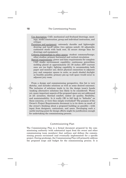- Use description: CAD, mechanical and freehand drawings, meetings, model construction, group and individual instruction, and critique
- Furniture and equipment: extremely durable and lightweight drawing and layoff tables (two options noted); 32 adjustable cushioned stools with back rest; 32 secure storage bins for drawings and equipment
- Criteria relationships to other spaces: student commons/lounge; other studios; primary horizontal and vertical circulation
- Special requirements: power and data requirements for complete CAD studio environment capability; continuous power/data molding placed at approximately 24–30 inches AFF (current ones are too high); lighting capability to accommodate both paper and monitor use; direct physical connection to adjacent jury and computer spaces in suite; as much shaded daylight as feasibly possible; primary pin-up wall space would occur in adjacent jury room

From a design and commissioning perspective, this list is very sketchy, and includes solutions as well as some desired outcomes. The inclusion of solutions tends to tie the design team's hands (making alternative solutions less likely to be considered). Worse yet, many important aspects of the proposed space are not addressed at all: acoustics, thermal comfort, indoor air quality, flexibility, and maintainability. Is it really OK to fall back to ''defaults'' on these concerns, or were they simply overlooked? The purpose of the Owner's Project Requirements document is to tie down as much of the owner's thinking about a proposed building as possible—with input from designers, contractors, and users. Developing such a useful starting point for design efforts might be justification enough for undertaking the commissioning process.

### Commissioning Plan

The Commissioning Plan is a formal document prepared by the commissioning authority (with substantial input from the owner and other commissioning team members) that outlines and defines the commissioning process envisioned (and eventually implemented) for a specific project. During predesign, the Commissioning Plan will primarily address the proposed scope and budget for the commissioning process. It is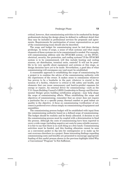critical, however, that commissioning activities to be conducted by design professionals during the design phase be defined in sufficient detail that they may be included in professional services fee proposals and agreements. Requirements for participation of owner representatives as part of the commissioning team should also be described.

The scope and budget for commissioning must be tied down during predesign. In terms of scope, a sense of what systems and what major elements of those systems are to be commissioned is needed. For example, will commissioning address only the HVAC&R system—or the HVAC, electrical, security, fire protection, and roofing systems? If the HVAC&R system is to be commissioned, will this include heating and cooling sources, air distribution, terminal units, controls? It will not be possible to be very specific about equipment and systems at this stage, as design decisions have yet to be made. Nevertheless, a good idea of what commissioning will encompass can (and must) be established.

A reasonable approach to establishing the scope of commissioning for a project is to combine the advice of the commissioning authority with the experiences of the owner. It makes sense to commission whatever has proven to be a headache in the past, whatever is crucial to the mission of a facility, whatever is critical to life safety and health, and elements that can cause unnecessary and hard-to-predict expenses for energy or repairs. An external driver for commissioning—such as the U.S. Green Building Council's LEED (Leadership in Energy and Environmental Design) green building certification program—may help shape the scope of commissioning efforts. When establishing the scope and objectives of commissioning, remember that an owner does not require a particular fan or a specific pump; thermal comfort or good indoor air quality is the objective. A focus on commissioning (verification) of outcomes is preferred over a focus simply on commissioning of equipment and assemblies.

The commissioning process budget will be established with input from the commissioning authority based on a defined scope of commissioning. The budget should be realistic and be firmly allocated. A decision to use the commissioning process must be coupled with a determination to fund the process. Although the costs of commissioning have been reported to cover a wide range (including negative net costs by some reliable sources), it is fair to say that there is no such thing as a free lunch. Commissioning activities must be funded, and this funding allocation cannot be seen as a convenient pocket to dip into for contingencies or to make up for cost overruns elsewhere in a project. Some interesting findings regarding commissioning costs and benefits are presented to encourage appropriate funding of this useful process shown in the previous highlight titled Why a Conventional ''Program'' Is Not Sufficient.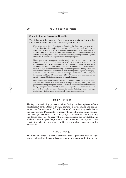#### **Commissioning Costs and Benefits**

The following information is from a summary study by Evan Mills, Lawrence Berkeley National Laboratory (Mills 2004):

We develop a detailed and uniform methodology for characterizing, analyzing, and synthesizing the results. For existing buildings, we found median commissioning costs of \$0.27/ft2, whole-building energy savings of 15 percent, and payback times of 0.7 years. For new construction, median commissioning costs were  $$1.00/ft^2$  (0.6 percent of total construction costs), yielding a median payback time of 4.8 years (excluding quantified nonenergy impacts).

These results are conservative insofar as the scope of commissioning rarely spans all fuels and building systems in which savings may be found, not all recommendations are implemented, and significant first-cost and ongoing nonenergy benefits are rarely quantified. Examples of the latter include reduced change-orders thanks to early detection of problems during design and construction, rather than after the fact, or correcting causes of premature equipment breakdown. Median one-time nonenergy benefits were  $-\$0.18/\text{ft}^2\text{-year}$ for existing buildings (10 cases) and  $-\$1.24/\text{ft}^2$ -year for new construction (22 cases)—comparable to the entire cost of commissioning.

Deeper analysis of the results shows cost-effective outcomes for existing buildings and new construction alike, across a range of building types, sizes and pre-commissioning energy intensities. The most cost-effective results occurred among energy-intensive facilities such as hospitals and laboratories. Less cost-effective results are most frequent in smaller buildings. Energy savings tend to rise with increasing comprehensiveness of commissioning.

### DESIGN PHASE

The key commissioning process activities during the design phase include development of the Basis of Design, continued development and expansion of the Commissioning Plan, inclusion of commissioning activities in the Construction Documents (primarily the specifications), and verification of design documents. The primary objectives of commissioning during the design phase are to verify that design decisions support fulfillment of the Owner's Project Requirements and to ensure that required commissioning activities are properly addressed and clearly conveyed to the contractor.

### Basis of Design

The Basis of Design is a formal document that is prepared by the design team, reviewed by the commissioning team, and accepted by the owner.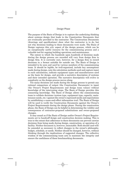#### Design Phase **21**

The purpose of the Basis of Design is to capture the underlying thinking about systems design that leads to the Construction Documents that are eventually provided to the contractor. The Construction Documents (drawings and specifications) show what the contractor is to do, but not why decisions leading to these documents were made. The Basis of Design captures this *why* aspect of the design process, which can be an exceptionally useful resource for the commissioning process and a valuable tool for ongoing building operations and maintenance.

The extent to which the hundreds upon hundreds of decisions made during the design process are recorded will vary from design firm to design firm. It is currently rare, however, for a design firm to record decisions in a format suitable for outside use. The Basis of Design is intended to be seen and used by various members of the commissioning team. It should be legible, be well-organized, include key assumptions made during design, note the calculation methods used and capture input to such calculations, indicate equipment types and manufacturers used as the basis for design, and provide a narrative description of systems and their intended operation. The narrative descriptions will evolve in complexity as the design process moves along.

Too many decisions are made during the design process to permit any rational comparison of output (the Construction Documents) to input (the Owner's Project Requirements and design team values) without knowledge of the intervening steps. The Basis of Design provides this connecting knowledge. The Basis of Design allows the commissioning team to validate decisions (system type, equipment type, capacity, maintenance needs, etc.) against the owner's expressed needs and expectations by establishing a cause-and-effect information trail. The Basis of Design will be used to verify the Construction Documents against the Owner's Project Requirements during the design phase. During the construction phase, the Basis of Design can be helpful in determining the validity and consequences of contractor-proposed substitutions and owner-proposed changes.

It may sound as if the Basis of Design and/or Owner's Project Requirements act to handcuff design and construction decision making. This is true to the extent that adherence to these documents can prevent unwise decisions from being made during design, construction, or operation of a facility. Neither document is, however, immutable. Both should (and will) be amended as necessary to reflect changes in the owner's philosophy, budget, schedule, or needs. Neither should be changed, however, without thinking through the implications of suggested changes. The collective wisdom of the commissioning team acts to maintain the integrity and ensure the usefulness of these benchmarking documents.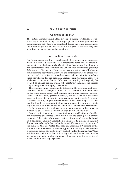### Commissioning Plan

The initial Commissioning Plan, developed during predesign, is substantially expanded during the design phase to thoroughly address commissioning activities to be completed during the construction phase. Commissioning activities that will occur during the owner occupancy and operations phase are outlined at this time.

### Construction Documents

For the contractor to willingly participate in the commissioning process which is absolutely essential—the contractor's roles and responsibilities must be spelled out in the Construction Documents. The drawings and specifications that constitute the Construction Documents generally define what is "in contract" (and, by exclusion, what is not). All relevant commissioning activities that involve the contractor must be placed ''in'' contract and the contractor must be given a fair opportunity to include these activities in the bid proposal. Commissioning activities requested of the contractor after the fact (after contract signing) will typically be treated as change orders, which will negatively influence the project budget and probably the project schedule.

The commissioning requirements detailed in the drawings and specifications should be adequate to permit the contractor to include them in the construction budget and schedule and in any necessary subcontracts. Commissioning process meetings, various contractor-performed tests, contractor documentation requirements, requirements for manufacturer's training or performance certifications, providing access and coordination for cross-system testing, requirements for third-party testing, and the like must be spelled out in the Construction Documents. It is fairly common for such contractual requirements to be stated as allowances to accommodate uncertainty and provide flexibility.

Several conflicting perspectives on testing and verification are held by commissioning authorities. Some recommend the testing of all critical elements. Others strongly suggest that verification and testing be based on a scientific sampling approach. For example, 10 percent of lighting dimmer controls might be randomly tested; if more than 10 percent of the dimmers that are tested fail, then an additional 20 percent of the dimmers would be tested. Whatever approach to testing is to be used on a particular project should be clearly spelled out for the contractor. What will be done with items that fail testing and verification must also be spelled out, including a clear statement of responsibility for correction of defects and for retesting expenses.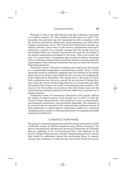The issue of what to do with elements that fail verification tests leads to a further question. To what standard should items be tested? Contractually, the contractor can only reasonably be held to compliance with the Contract Documents. Historically, these documents say little about complex performance issues. The Construction Documents typically say nothing (directly) about many of the owner's requirements and expectations for a project. It is normally assumed that the design team has successfully linked the Contract Documents the team has developed to the project requirements developed by the owner. This is not always the case. It is wise to have a contingency plan in place to address situations where verification indicates that a particular element or system meets the requirements of the Contract Documents but does not meet the Owner's Project Requirements.

Verification review of the Basis of Design and Construction Documents is a recommended design-phase commissioning activity. Such a review (generally based on statistical sampling) does not infringe on the design team's legal and ethical responsibility for the accuracy and completeness of the Construction Documents. The design team is the party of record. Such verification does, however, provide for an overview of design decisions using the Owner's Project Requirements as a benchmark and takes advantage of the diverse eyes of the commissioning team members. The owner is the final arbiter in situations where the design team and the commissioning authority hold irreconcilable differences of opinion as to design adequacy.

Verification review of Construction Documents will typically address the ability of selected portions of the design (as it evolves) to meet the Owner's Project Requirements. Full document review is unreasonable, uneconomical, unnecessary, and practically impossible. The elements to be reviewed may be selected by the commissioning authority because of their importance to critical project requirements and/or by a statistical sampling process (similar to that described above for equipment/systems testing and verification).

### CONSTRUCTION PHASE

The primary commissioning process activities during construction include verification testing of selected equipment and systems, training of the owner's operating and maintenance personnel, preparation of a Systems Manual, updating of the Commissioning Plan, and updating of the Owner's Project Requirements. Another commissioning process activity that should be undertaken during the construction phase is commissioning team assistance to minimize the scope of the contractor's punch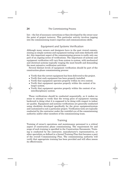list—the list of necessary corrections or fixes developed by the owner near the point of project turnover. This particular activity involves tapping into the commissioning team's expertise and communications skills.

### Equipment and Systems Verification

Although many owners and designers have in the past viewed commissioning as simply systems and equipment testing (and some diehards still do), this important aspect of the commissioning process is really only one part of an ongoing series of verifications. The importance of systems and equipment verification will vary from system to system, with mechanical and electrical systems typically reaping the most benefit and demanding the most extensive verification activities.

Several distinct levels of equipment verification should be part of the construction-phase commissioning process:

- Verify that the correct equipment has been delivered to the project.
- Verify that such equipment has been properly installed.
- Verify that equipment operates properly within its own context.
- Verify that equipment operates properly within the context of its larger system.
- Verify that equipment operates properly within the context of an interdisciplinary system.

These verifications should be conducted sequentially, as it makes no sense to attempt to verify that the wrong piece of equipment running backward is doing what it is supposed to be doing with respect to indoor air quality. Equipment and systems verifications are generally conducted using checklists developed specifically for the given equipment/system and customized to suit a particular project. Verification tests are typically conducted by the contractor under the watchful eye of the commissioning authority and/or other members of the commissioning team.

### Training

Training of owner's operations and maintenance personnel is a critical aspect of construction phase commissioning. The requirement for and scope of such training is specified in the Construction Documents. Training is conducted by the contractor, manufacturer's representatives, or other specialists as defined in a formal Training Plan that becomes a part of the overall Commissioning Plan. The commissioning authority will verify that appropriate training has been provided and will often assess its effectiveness.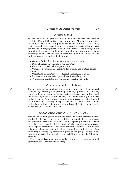### Occupancy and Operations Phase **25**

### Systems Manual

*Systems Manual* is the preferred term for what has historically been called the O&M Manual (Operations and Maintenance Manual). The purpose of the Systems Manual is to provide the owner with a well-structured, easily accessible, and useful source of reference materials dealing with the various building systems—and a document that is actually organized around such systems. The Systems Manual should contain everything necessary for the owner's staff to intelligently run and maintain the building systems, including the following:

- Owner's Project Requirements related to each system
- Basis of Design information for each system
- Control narratives (where appropriate)
- Completed verification checklists for system and system components
- Operations information (procedures, benchmarks, cautions)
- Maintenance information (procedures, intervals, parts)
- Training materials (for new hires and refreshing of skills)

### Commissioning Plan Updates

During the construction phase, the Commissioning Plan will be updated to reflect any necessary changes brought about by approved substitutions, change orders, or equipment/system testing failures (those failures that are specifically accepted by the owner). The Commissioning Plan is also updated to more fully address commissioning process activities that will occur during the occupancy and operations phase. Updates are also made to the Owner's Project Requirements and Basis of Design—as needed to reflect construction phase decisions.

### OCCUPANCY AND OPERATIONS PHASE

During the occupancy and operations phase, an owner assumes responsibility for the use of his or her building. Although there is a powerful conceptual break at this point—from acquiring a facility to using it—this is not a good point to break off the commissioning process. Most experts recommend that commissioning activities continue into this usage phase at least until all warranties have expired—and often much longer, essentially transitioning into an ''ongoing commissioning'' process with activities that will occur periodically during the life of the building.

Typical commissioning process activities during the occupancy and operations phase include the following: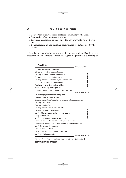- Completion of any deferred systems/equipment verifications
- Completion of any deferred training
- Providing assistance to the owner for any warranty-related problems
- Benchmarking in-use building performance for future use by the owner

Details on commissioning process documents and verifications are presented in the chapters that follow. Figure 2.1 provides a summary of

| <b>Feasibility</b>                                                    | PROJECT START           |  |
|-----------------------------------------------------------------------|-------------------------|--|
| Engage commissioning authority.                                       |                         |  |
| Discuss commissioning scope/budget.                                   |                         |  |
| Develop preliminary Commissioning Plan.                               | PREDESIGN PHASE         |  |
| Set up predesign commissioning team.                                  |                         |  |
| Develop (or review) Owner's Project Requirements.                     |                         |  |
| Confirm commissioning scope/budget.                                   |                         |  |
| Finalize predesign Commissioning Plan.                                |                         |  |
| Establish Issues Log format/process.                                  |                         |  |
| Ensure A/E incorporates Commissioning Plan in fee.                    |                         |  |
| Set up design phase commissioning team.                               | <b>PHASE TRANSITION</b> |  |
| Review/update OPR and CX Plan.                                        |                         |  |
| Develop expectations/scope/format for design phase documents.         |                         |  |
| Develop Basis of Design.                                              |                         |  |
| Develop Training Plan.                                                |                         |  |
| Develop Systems Manual requirements.                                  |                         |  |
| Develop Construction Checklists ("drafts").                           |                         |  |
| Verify BOD and prepare to share with contractor.                      |                         |  |
| Verify Training Plan.                                                 | <b>BSINPHASE</b>        |  |
| Verify Systems Manual format/requirements.                            |                         |  |
| Verify first-cut Construction Checklists (and test procedures).       |                         |  |
| Incorporate checklist, testing, and training requirements into specs. |                         |  |
| Verify Construction Documents.                                        |                         |  |
| Resolve Issues Log items.                                             |                         |  |
| Update OPR, BOD, and Commissioning Plan.                              |                         |  |
| Verify updated documents.                                             |                         |  |
|                                                                       | PHASE TRANSITION        |  |

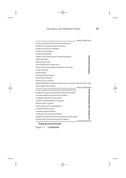## Occupancy and Operations Phase **27**

|                                                                           | PHASE TRANSITION                                          |
|---------------------------------------------------------------------------|-----------------------------------------------------------|
| Set up construction phase commissioning team.                             |                                                           |
| Establish construction phase procedures.                                  |                                                           |
| <b>Finalize Construction Checklists.</b>                                  |                                                           |
| Finalize test procedures.                                                 |                                                           |
| Finalize Training Plan.                                                   |                                                           |
| Finalize construction phase Commissioning Plan.                           |                                                           |
| Verify submittals.                                                        | ONSTRUCTION PHASE                                         |
| Work the Issues Log.                                                      |                                                           |
| Use checklists and conduct tests.                                         |                                                           |
| Verify checklist and testing completion and results.                      |                                                           |
| Conduct training.                                                         |                                                           |
| Verify training.                                                          |                                                           |
| Develop Systems Manual.                                                   |                                                           |
| Verify Systems Manual.                                                    |                                                           |
| Resolve Issues Log items.                                                 |                                                           |
|                                                                           |                                                           |
| Update OPR, BOD, checklists, test procedures, Systems Manual and CX Plan. |                                                           |
| Verify updated documents.                                                 |                                                           |
| Set up occupancy and operations commissioning team.                       | PHASE TRANSITION                                          |
| Establish occupancy and operations phase procedures.                      |                                                           |
| Complete deferred Construction Checklists.                                |                                                           |
| Complete deferred test procedures.                                        |                                                           |
| Conduct scheduled/deferred training.                                      |                                                           |
| Resolve Issues Log items.                                                 |                                                           |
| Assist with punch list management.                                        |                                                           |
| Conduct warranty review.                                                  |                                                           |
| Complete Systems Manual.                                                  |                                                           |
| Conduct lessons-learned workshop.                                         |                                                           |
| Update and verify all commissioning process documents.                    |                                                           |
| Develop final Commissioning Process Report.                               | <b>DCCUPANCY AND OPERATIONS PHASE</b><br>PHASE TRANSITION |

## **Ongoing Commissioning?**

Figure 2.1 (**Continued**)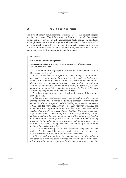the flow of major commissioning activities across the several project acquisition phases. The information in Figure 2.1 should be viewed as an outline—not as an all-encompassing task listing. In addition, although activities are listed in general chronological order, many tasks are conducted in parallel, or in time-disconnected steps, or in cyclic patterns. In other words, do not be too smitten by the simplification of a complex process that is presented in this flow chart.

#### **INTERVIEW**

**Views on the Commissioning Process**

**Jeremiah (Jere) Lahey, AIA, Project Director, Department of Management Services, State of Florida**

Q. What commissioning steps/procedures/reports/documents has your Department dealt with?

*A. We are involved in all aspects of commissioning from an owner's perspective—contract negotiations, scope and fee, verifying that benchmarks are met before payments are released, reviewing documents produced during the commissioning process, ensuring that comments and deficiencies noted by the commissioning authority are corrected, that field applications are noted in the commissioning reports, that Systems Manuals and training are provided to the maintenance staff*.

Q. Is there generally a cost or a cost savings due to use of the commissioning process?

*A. We see mixed results—cost savings are dependent on the commissioning authority, final owner of the building, engineer of record, and the contractor. The more sophisticated the building requirements (lab versus office), and the more knowledgeable the team members involved, the more there is an opportunity to find a sophisticated, innovative design solution that provides an energy-efficient building. The greatest cost savings resulted when commissioning was started during the design phase, and continued until training was completed and the building was handed over to the owner. The design/construction costs were increased by having a commissioning authority or team involved, but the cost savings were realized in the energy savings over time and the ability to more easily maintain the mechanical systems*.

Q. Did commissioning aid in the successful completion of the project? Or did commissioning cause project delays or encumber the design/construction/turnover of the project to the owner?

*A. This depended primarily on the commissioning authority, although the other team members could influence the outcome as well. The commissioning authority was responsible for the tone or atmosphere that the*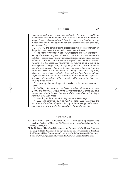### References **29**

*comments and deficiencies were provided under. The owner needed to set the standard for how much risk insurance was required for the scope of design. Project delays could result from too much securitization. Savings in both time and money resulted when deficiencies were discovered early on and corrected*.

Q. How was the commissioning process received by other members of the project team? Was it supported, or was there resistance?

*A. The more sophisticated and knowledgeable the team members namely the owner, engineer of record, contractor, and sometimes the architect—the more commissioning was embraced and viewed as a positive influence on the final outcome—an energy-efficient, easily maintained building. In other cases, commissioning was viewed as an intrusion by the engineering design team, causing delays resulting from interference with the design process. Some contractors appreciated the commissioning authority's review of completed tasks as building construction progressed, where the commissioning authority discovered deviations from the original scope that could have cost the contractor untold hours and expense if discovered at a later date and then corrected. Other contractors found this review process onerous*.

Q. In your opinion, what types of projects lend themselves to commissioning?

*A. Buildings that require complicated mechanical systems, or have specific and somewhat unique scope requirements (e.g., a crime lab) have a better opportunity to meet the needs of the owner if commissioning is started in the design phase*.

Q. How do you think commissioning influences LEED projects?

*A. LEED and commissioning go hand in hand. LEED recognizes the importance of mechanical systems having optimum energy performance, and commissioning provides the opportunity for greater success*.

### **REFERENCES**

- ASHRAE. 2005. *ASHRAE Guideline 0: The Commissioning Process*. The American Society of Heating, Refrigerating and Air-Conditioning Engineers, Atlanta, GA.
- Mills, E. 2004. ''The Cost-Effectiveness of Commercial-Buildings Commissioning: A Meta-Analysis of Energy and Non-Energy Impacts in Existing Buildings and New Construction,'' Lawrence Berkeley National Laboratory, Berkeley, CA. http://eetd.lbl.gov/emills/PUBS/Cx-Costs-Benefits.html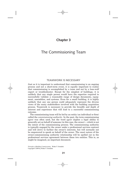## **Chapter 3**

# The Commissioning Team

### TEAMWORK IS NECESSARY

Just as it is important to understand that commissioning is an ongoing process and not a short-term event, it is equally important to realize that commissioning is accomplished by a team and not by a lone-wolf expert or troubleshooter. Except for the simplest of buildings, it is unlikely that any single person would have the expertise required to successfully validate a reasonable range of design documents, equipment, assemblies, and systems. Even for a small building, it is highly unlikely that any one person could adequately represent the diverse views of the many stakeholders involved with the building acquisition process. Teamwork is necessary to provide the breadth and depth of interest and experience that will lead to a successful commissioning outcome.

The commissioning team will be led by an entity (an individual or firm) called the *commissioning authority*. In the past, the term commissioning *agent* was often used, but the word *agent* implies a legal ability to generally act on behalf of someone (in this case, the owner)—which is not the intent of the commissioning process. The commissioning authority is typically engaged by the owner under a professional services contract and will strive to further the owner's interests, but will normally not be empowered to speak on behalf of the owner. The exact nature of the owner-commissioning authority relationship will be spelled out in the professional services agreement between these two entities. This is, as might be imagined, an important document.

*Principles of Building Commissioning* Walter T. Grondzik Copyright © 2009 by Walter T. Grondzik.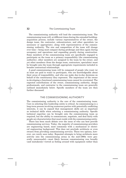The commissioning authority will lead the commissioning team. The commissioning team will, at different times during the extended buildingacquisition process, include various representatives of the owner, the design team, the contractor, subcontractors, and other specialists (as necessary or appropriate), along with representatives of the commissioning authority. The size and composition of the team will change over time—being most compact during predesign and then again during occupancy and operations and expanding greatly during construction. Some members of the commissioning team are specifically engaged to participate on the team as a primary responsibility (the commissioning authority), other members are assigned to the team by the owner, and yet other members (from the design team, contractors, specialists) must be brought onto the team through appropriate requirements included in broader contractual relationships.

A good commissioning team will be composed of people who want (or at least are paid to want) to participate, who are knowledgeable about their areas of responsibility, and who can make day-to-day decisions on behalf of the constituency they represent. The importance of the owner in developing a functional commissioning team cannot be overstated. The expected contributions of the owner, commissioning authority, design professionals, and contractor to the commissioning team are generally outlined immediately below. Specific members of the team are then further discussed.

### THE COMMISSIONING AUTHORITY

The commissioning authority is the core of the commissioning team. Care in selecting this leadership entity is critical. As commissioning is a long-term process involving numerous parties with potentially conflicting interests, it can be argued that management skills are as important as technical skills when selecting a commissioning authority. Specific technical expertise can be brought onto the commissioning team as required, but the ability to communicate, negotiate, and deal fairly with people are characteristics that must reside with the commissioning entity.

There has been much debate over the issue of who can best provide commissioning services. Today, the majority of commissioning providers are engineering based, most commonly with a mechanical or electrical engineering background. This does not preclude architects or even owners from providing commissioning services. These two options, however, are rarely seen today. Repeated attempts to bring architects more actively into the commissioning arena in the mid-1990s were generally unsuccessful—most likely because commissioning was broadly (and mistakenly) viewed as fooling around with equipment rather than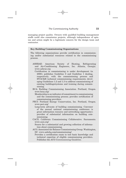managing project quality. Owners with qualified building management staffs could also commission projects, although independence of opinion and action might be a legitimate concern for the design team and contractor.

### **Key Building Commissioning Organizations**

The following organizations provide certification in commissioning and/or substantial resources related to the commissioning process.

- ASHRAE: American Society of Heating, Refrigerating and Air-Conditioning Engineers, Inc. Atlanta, Georgia. www.ashrae.org
	- Certification in commissioning is under development (in 2008); publishes Guideline 0 and Guideline 1 dealing, respectively, with the commissioning process and HVAC&R technical commissioning requirements; developing Guidelines 1.2 and 1.3 to address commissioning of existing buildings/systems and training during commissioning.
- BCA: Building Commissioning Association. Portland, Oregon. www.bcxa.org/
	- Membership is an indicator of commitment to commissioning and the commissioning process; provides certification of commissioning providers.
- PECI: Portland Energy Conservation, Inc. Portland, Oregon. www.peci.org/
	- Long-term advocate of building commissioning. Convener of the annual national commissioning conference (a great information resource and networking opportunity); provider of substantial information on building commissioning.
- CACX: California Commissioning Collaborative. Sacramento. www.cacx.org/

Source for a substantial and growing collection of information about commissioning.

ACG: Associated Air Balance Commissioning Group. Washington, DC. www.aabchq.com/commissioning/

Provides a certification exam to test basic knowledge and technical expertise of eligible commissioning providers. Publishes the *ACG Commissioning Guideline*.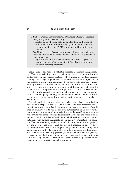- NEBB: National Environmental Balancing Bureau, Gaithersburg, Maryland. www.nebb.org/
	- Provides for certification of firms and for the qualification of individuals through the Building Systems Commissioning Program (addressing HVAC, plumbing, and fire protection systems).
- UW: University of Wisconsin-Madison, Department of Engineering Professional Development, Madison. http://epdweb .engr.wisc.edu/
	- Long-term provider of short courses on various aspects of commissioning; offers a certificate/certification program for commissioning providers.

Independence of action is a valuable asset for a commissioning authority. The commissioning authority will often act as a communications bridge between the various parties to the building acquisition process. Having this bridge be perceived as neutral can be very important to the success of such communications. Even more critically, the commissioning authority will occasionally have to make a determination that a design solution or equipment/assembly installation will not meet the Owner's Project Requirements or comply with the Contract Documents. It is absolutely critical that such a determination be seen as coming from a neutral party. Hiring an independent commissioning authority with no connections to the principal project parties is strongly recommended.

An independent commissioning authority must also be qualified to undertake a proposed project. Qualifications are best addressed via a robust Request for Qualifications/Request for Proposals process. Experience on similar projects (with successful outcomes) is likely to prove the best qualifier. A number of commissioning provider certification programs are currently in place or under development. Although the value of such certifications has not been clearly established, seeking a commissioning authority with diverse qualifications— including certification— is sensible. The commissioning authority should have experience with projects of similar scale and scope, and should be a member of one or more professional associations that support and promote commissioning. The commissioning authority should also be able to demonstrate familiarity with current commissioning process guidelines, should be appropriately licensed or certified, and should be truly interested in the project at hand. Seeking the lowest possible bid for commissioning services is not recommended as a terribly sensible approach.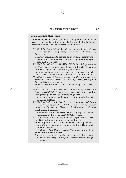### **Commissioning Guidelines**

The following commissioning guidelines are generally available to assist various member of the commissioning team in developing and executing their roles in the commissioning process.

- *ASHRAE Guideline 0-2005: The Commissioning Process* (American Society of Heating, Refrigerating and Air-Conditioning Engineers).
	- Generally considered to provide an appropriate framework under which to undertake commissioning of building systems and assemblies.
- *ASHRAE Guideline 1.1-2007: HVAC&R Technical Requirements for The Commissioning Process* (American Society of Heating, Refrigerating and Air-Conditioning Engineers).

Provides updated guidance for the commissioning of HVAC&R systems in conformance with Guideline 0-2005.

*ASHRAE Guideline 5-1994: Commissioning Smoke Management Systems* (American Society of Heating, Refrigerating and Air-Conditioning Engineers).

Provides technical guidance for commissioning of these systems.

*ASHRAE Guideline 1.2-20xx: The Commissioning Process for Existing HVAC&R Systems* (American Society of Heating, Refrigerating and Air-Conditioning Engineers).

Under development; addresses retrocommissioning of HVAC&R systems.

*ASHRAE Guideline 1.3-20xx: Building Operation and Maintenance Training for the HVAC&R Commissioning Process* (American Society of Heating, Refrigerating and Air-Conditioning Engineers).

Under development; addresses the training aspects of commissioning with a focus on HVAC&R systems.

NEBB: *Procedural Standards for Building Systems Commissioning* (National Environmental Balancing Bureau).

Provides guidance for the development and implementation of a plan for commissioning of building HVAC and plumbing systems.

- NEBB: *Design Phase Commissioning Handbook* (National Environmental Balancing Bureau).
	- A document intended to assist the commissioning professional in reviewing building mechanical system design documents.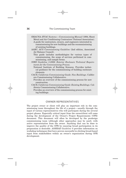- SMACNA: *HVAC Systems—Commissioning Manual* (1994, Sheet Metal and Air Conditioning Contractors' National Association). A guide for contractors, owners, and engineers interested in
	- commissioning for new buildings and the recommissioning of existing buildings.
- AABC: *ACG Commissioning Guideline* (2nd edition, Associated Air Balance Council).
	- This guide includes methodologies for various types of commissioning, the scope of services performed in commissioning, and sample forms.
- *NIBS Guideline 3-2006: Exterior Enclosure Technical Requirements for the Commissioning Process*.
	- National Institute of Building Sciences. Provides technical guidance for the commissioning of building enclosure elements.
- CACX: *California Commissioning Guide: New Buildings*. California Commissioning Collaborative.
	- Provides an overview of the commissioning process for new construction.
- CACX: *California Commissioning Guide: Existing Buildings*. California Commissioning Collaborative.

Provides an overview of the commissioning process for existing buildings.

### OWNER REPRESENTATIVES

The project owner or client will play an important role in the commissioning team throughout the life of a project—usually through the input of various representatives who will participate during the several project phases. Especially critical input from the owner/client will come during the development of the Owner's Project Requirements (OPR) document. This document will often be developed by the predesign commissioning team (although other approaches may be used), with active representation from the owner. Anything that can be done to improve the quality of the OPR by ensuring broad participation in its preparation is desirable. *ASHRAE Guideline 0* provides information on workshop techniques that have proven successful in eliciting broad-based input from stakeholders within an owner's organization during OPR development.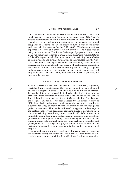It is critical that an owner's operations and maintenance (O&M) staff participate on the commissioning team during preparation of the Owner's Project Requirements (to instill a sense of reasonableness about in-house capabilities to run and maintain systems) and during construction and occupancy and operations (as the project is turned over to the owner and responsibility assumed by the O&M staff). If in-house operations expertise is not available prior to project turnover, it is a good idea to bring in such expertise (familiar with the type of project and local conditions) via short-term contract. During design, operations representatives will be able to provide valuable input to the commissioning team relative to training needs and formats (which will be incorporated into the Contract Documents). During construction, commissioning team members representing the owner should be involved with performance verification activities and will be the audience for training efforts. During occupancy and operations, owners' representatives on the commissioning team will help to ensure a smooth facility turnover and informed planning for long-term facility use.

### DESIGN TEAM REPRESENTATIVES

Ideally, representatives from the design team (architects, engineers, specialists) would participate on the commissioning team throughout all phases of a project. In practice, this will usually be difficult to arrange. It may be difficult or impossible to involve the design team during predesign phase meetings to assist with development of the Owner's Project Requirements and the first-cut Commissioning Plan because the design team has not yet been selected by the owner. It may be difficult to obtain design team participation during construction due to a current tendency by many AE firms to minimize construction phase project involvement. This can be addressed by appropriate language in the professional services agreement requiring designer participation on the commissioning team during construction. It will likely be even more difficult to obtain design team participation in occupancy and operations phase commissioning team meetings. This difficulty can also be overcome through appropriate contract language—and perhaps a reminder that participation at this stage of a project would be educational for the designers (a chance to pick up lessons to be learned for the team's next projects).

Active and appropriate participation on the commissioning team by the designers during the design phase of a project is mandatory for successful commissioning. Providing for verification of equipment, assembly,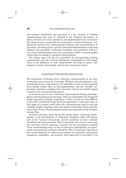and systems installation and operation is a key element of building commissioning that must be included in the Contract Documents, so these activities can be bid, scheduled, and implemented by the contractor. The design team is responsible for preparation of these documents. Collaboration between the commissioning authority and representatives of the owner, the design team, and the contractor/subcontractors to develop effective and acceptable verification checklists and procedures will do a lot to turn commissioning tests into a cooperative effort to ensure quality rather than an outsider's attempt to find problems.

The design team will also be responsible for incorporating training requirements into the Contract Documents. Participation of the design team in the definition of such requirements will help to ensure that training is timely, meaningful, and can have long-term impact.

### CONTRACTOR REPRESENTATIVES

The importance of having active contractor representation on the commissioning team cannot be overstated. Without such participation, commissioning process requirements will typically be seen as being imposed from outside (rather than as self-implemented), and the valuable construction experience residing in the contractor will not be usefully tapped to improve the commissioning process.

It would be great to have contractor representation during predesignphase commissioning team meetings. This may be feasible if an integrated design approach to project acquisition is taken. It may be more difficult to do under traditional design-bid-build approaches. Contractor input at this stage of a project would allow the commissioning team to tap into valuable insight regarding costs and project scheduling during development of the Owner's Project Requirements and refinement of the Commissioning Plan.

A similar situation exists during the design phase. Contractor participation in the development of verification checklists (that will become part of the Contract Documents) should contribute to more workable checklists and test procedures. This is especially true since in most cases the contractor will be required to conduct the test procedures on behalf of the commissioning team. In lieu of contractor participation, an experienced commissioning authority should be able to bring past experiences into the development of viable test procedures for commonly encountered equipment, assemblies, and systems. Such experience is less likely to be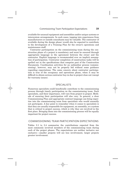available for unusual equipment and assemblies and/or unique systems or intersystem arrangements. In such cases, tapping into experiences from manufacturers or outside consultants may be valuable. The contractor (if available during the design phase) would also be expected to contribute to the development of a Training Plan for the owner's operations and maintenance staff.

Contractor participation on the commissioning team during the construction phase of a project is mandatory and must be ensured through appropriate language in the agreement between the owner and the contractor. Explicit language is recommended over an implicit assumption of participation. Contractor completion of construction tasks will be spelled out in the specifications that comprise part of the Construction Documents. Coordination activities for an unfamiliar process (commissioning), however, may not be properly bid without some guidance regarding expectations. The same concern about contractor participation is true of the occupancy and operations phase, when it may be difficult to obtain serious contractor buy-in due to project close out (except for warranty issues).

### SPECIALISTS

Numerous specialists could beneficially contribute to the commissioning process through timely participation on the commissioning team. Such specialists, and their importance, will vary from project to project. Methods of ensuring their participation will also vary. In general, a clear Commissioning Plan and appropriate contract language can bring expertise into the commissioning team from specialists who would normally not participate. A key point to remember when it comes to specialists is that they are usually responsible for equipment, an assembly, or a system that is critical to project success, which is why they are involved in the first place. Bringing them into the commissioning process will be equally important for project success.

### COMMISSIONING TEAM PARTICIPATION EXPECTATIONS

Tables 3.1 to 3.4 summarize the contributions expected from the most commonly involved members of the commissioning team during each of the project phases. The expectations are neither inclusive nor exclusive—smaller projects will see less involvement, larger projects greater involvement.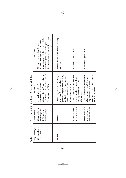|                                                                                                                                                                                                                                | Comments     | Requirements document (depending<br>on professional services agreement).<br>from owner); may be responsible for<br>Commissioning Plan (with input<br>developing the Owner's Project<br>Should be responsible for the | Owner initiates the commissioning<br>process.                                                                                                                                     | Critical to a good OPR.                                                                                        | Critical to a good OPR.                                                                                                                          |
|--------------------------------------------------------------------------------------------------------------------------------------------------------------------------------------------------------------------------------|--------------|----------------------------------------------------------------------------------------------------------------------------------------------------------------------------------------------------------------------|-----------------------------------------------------------------------------------------------------------------------------------------------------------------------------------|----------------------------------------------------------------------------------------------------------------|--------------------------------------------------------------------------------------------------------------------------------------------------|
| contract to the straight of the straight of the straight of the straight of the straight of the straight of the straight of the straight of the straight of the straight of the straight of the straight of the straight of th | Expectations | development of Owner's Project<br>Commissioning Plan; assist in<br>development of initial<br>Act as lead author for<br>Requirements (OPR).                                                                           | Define expectations and budget<br>process; engage commissioning<br>authority; assign appropriate<br>available for commissioning<br>staff to participate on<br>commissioning team. | regarding the required/desired<br>Able to contribute information<br>quality of facility to OPR<br>discussions. | operations and maintenance to<br>Able to contribute information<br>about owner capabilities and<br>expectations for facility<br>OPR discussions. |
|                                                                                                                                                                                                                                | Participant  | Commissioning<br>several people)<br>authority (an<br>individual or                                                                                                                                                   | Owner                                                                                                                                                                             | Functional area<br>representatives                                                                             | representatives<br>Operations and<br>maintenance                                                                                                 |
|                                                                                                                                                                                                                                | Representing | Commissioning<br>Authority                                                                                                                                                                                           | Owner                                                                                                                                                                             |                                                                                                                |                                                                                                                                                  |

Table 3.1 Predesign Phase Commissioning Team Members and Roles **Table 3.1** Predesign Phase Commissioning Team Members and Roles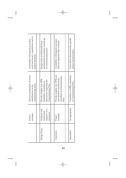|             | manager<br>Project                                        | General coordination of owner<br>commissioning team.<br>contributions to the                                | scale and owner's capabilities and on<br>Availability will depend on project<br>project structure. |
|-------------|-----------------------------------------------------------|-------------------------------------------------------------------------------------------------------------|----------------------------------------------------------------------------------------------------|
|             |                                                           |                                                                                                             |                                                                                                    |
| Design Team | engineer (at a<br>Architect and<br>mechanical<br>minimum) | Provide insights into OPR<br>discussions regarding the<br>feasibility; contribute to<br>Commissioning Plan. | participation by getting a heads-up<br>Design team would benefit from<br>on commissioning plans.   |
|             |                                                           |                                                                                                             |                                                                                                    |
| Contractor  | manager<br>Project                                        | Provide insights into OPR cost<br>contribute to Commissioning<br>and schedule ramifications;<br>Plan.       | Availability will depend on project<br>delivery approach that is chosen.                           |
|             |                                                           |                                                                                                             |                                                                                                    |
| Specialists | As appropriate                                            | Contribute to OPR; contribute<br>to Commissioning Plan.                                                     | Need will be determined by specific<br>project characteristics.                                    |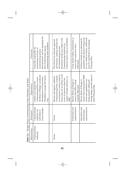|                                                                                                                 | Comments     | documentation and for managing the<br>commissioning team members.<br>flow of information among<br>Generally responsible for<br>maintaining currency of<br>commissioning process | technical issues (such as checklists).<br>documents; he/she may defer to the<br>and decision-making authority for<br>The Owner has ultimate approval<br>Commissioning Authority for<br>all commissioning process | A last chance before construction to<br>assure that needs have been<br>addressed. | equipment and systems testing may<br>be very useful to Owner; staff needs<br>Getting a heads-up on planning for<br>must be considered in developing<br>Training Plan.           |
|-----------------------------------------------------------------------------------------------------------------|--------------|---------------------------------------------------------------------------------------------------------------------------------------------------------------------------------|------------------------------------------------------------------------------------------------------------------------------------------------------------------------------------------------------------------|-----------------------------------------------------------------------------------|---------------------------------------------------------------------------------------------------------------------------------------------------------------------------------|
| colour and cross and the colline of the centre of the color of the color of the color of the color of the color | Expectations | the Basis of Design; coordinate<br>Checklists; manage the Issues<br>development of Construction<br>Commissioning Plan; review<br>Update and expand the<br>Log.                  | Issues Log; act as arbiter in the<br>as necessary to issues raised in<br>Commissioning Plan; respond<br>impact of design decisions on<br>Review and approve updated<br>event of concerns about the<br>OPR.       | Review Basis of Design to<br>assure that OPR is being<br>properly addressed.      | during design; provide input to<br>assure that institutional O&M<br>needs and capabilities are<br>Review Basis of Design to<br>being properly addressed<br>draft Training Plan. |
|                                                                                                                 | Participant  | Commissioning<br>several people)<br>authority (an<br>individual or                                                                                                              | Owner                                                                                                                                                                                                            | Functional area<br>representatives                                                | representatives<br>Operations and<br>maintenance                                                                                                                                |
| זיכ אומון                                                                                                       | Representing | Commissioning<br>Authority                                                                                                                                                      | Owner                                                                                                                                                                                                            |                                                                                   |                                                                                                                                                                                 |

| I                                                        |
|----------------------------------------------------------|
| Namhara an d'Alac                                        |
| Ì                                                        |
| . Sand the structures of the second the second<br>١<br>( |
| ī                                                        |
| J                                                        |
| וי<br>!<br>$\frac{1}{2}$<br>$\ddot{\phantom{0}}$         |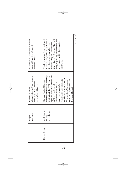| Contributions from this entity will<br>vary with project roles and<br>responsibilities.           | Basis of Design are the purview of<br>The Construction Documents and<br>Checklists and Training Plan will<br>vary, depending on team member<br>roles as defined in their services<br>responsibility for Construction<br>the design team; development<br>contracts.                                                                                 |
|---------------------------------------------------------------------------------------------------|----------------------------------------------------------------------------------------------------------------------------------------------------------------------------------------------------------------------------------------------------------------------------------------------------------------------------------------------------|
| Commissioning Plan updates<br>with respect to Owner's<br>schedule and budget.<br>General input to | develop construction drawings<br>specifications that address the<br>that reflect the OPR; develop<br>develop or provide input to<br>establish requirements for<br>verification and training);<br>Develop Basis of Design;<br>Construction Checklists;<br>commissioning process<br>activities (especially<br>OPR and include all<br>Systems Manual. |
| manager<br>Project                                                                                | Architect and<br>consultants<br>all key                                                                                                                                                                                                                                                                                                            |
|                                                                                                   | Design Team                                                                                                                                                                                                                                                                                                                                        |

 $(continued)$ (*continued*)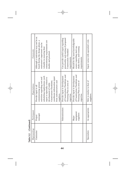| Representing | Participant                     | Expectations                                                                                                                                                                                                                                                                     | Comments                                                                                                                                                                                          |
|--------------|---------------------------------|----------------------------------------------------------------------------------------------------------------------------------------------------------------------------------------------------------------------------------------------------------------------------------|---------------------------------------------------------------------------------------------------------------------------------------------------------------------------------------------------|
| Contractor   | manager<br>Project              | scheduling implications; such<br>coordinate information input<br>input is especially critical to<br>activities regarding cost and<br>Construction Checklists;<br>from subcontractors and<br>commissioning process<br>development of viable<br>Provide input to all<br>suppliers. | Although a contractor may not be on<br>board during the design phase, a<br>commissioning requirements are<br>contractor's experience can be<br>valuable in ensuring that<br>doable and practical. |
|              | Subcontractors                  | of Construction Checklists and<br>Provide input to development<br>Training Plan in area of<br>expertise.                                                                                                                                                                         | practicality and costing of proposed<br>Can provide useful input regarding<br>Construction Checklist<br>requirements.                                                                             |
|              | equipment<br>suppliers<br>Major | of Construction Checklists and<br>Provide input to development<br>Training Plan in area of<br>expertise.                                                                                                                                                                         | Should be the most knowledgeable<br>source regarding start-up,<br>shake-down, and training<br>requirements.                                                                                       |
|              |                                 |                                                                                                                                                                                                                                                                                  |                                                                                                                                                                                                   |
| Specialists  | As appropriate                  | Role is similar to that of<br>suppliers.                                                                                                                                                                                                                                         | Input varies with specialist's role.                                                                                                                                                              |

Table 3.2 (Continued) **Table 3.2** (**Continued**)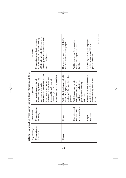|                                                                                                                                                                                                                               | Comments     | smoothly and that information flows<br>effort undertaken in this phase goes<br>that the substantial commissioning<br>Commissioning authority ensures<br>and is acted upon.                                                                                           | May be called on to revise OPR if in<br>the best interests of the project.                                | Will be gearing up for impending<br>takeover and operation of the<br>building.                                            | Availability will depend on project<br>scale, owner's capabilities, and<br>project structure. |
|-------------------------------------------------------------------------------------------------------------------------------------------------------------------------------------------------------------------------------|--------------|----------------------------------------------------------------------------------------------------------------------------------------------------------------------------------------------------------------------------------------------------------------------|-----------------------------------------------------------------------------------------------------------|---------------------------------------------------------------------------------------------------------------------------|-----------------------------------------------------------------------------------------------|
| color construction of the continuum of the continuum of the color of the color of the color of the color of the color of the color of the color of the color of the color of the color of the color of the color of the color | Expectations | verifications (via checklists and<br>commissioning team meetings.<br>development of training and<br>Systems Manual; maintain<br>commissioning documents;<br>Act as point person for all<br>tests); verify appropriate<br>orchestrate contractor<br>Issues Log; chair | Will make decisions required to<br>project and the commissioning<br>maintain integrity of the<br>process. | verifications and actively<br>Will observe appropriate<br>equipment and systems<br>participate in training<br>activities. | General coordination of owner<br>commissioning process and<br>contributions to the<br>team.   |
|                                                                                                                                                                                                                               | Participant  | Commissioning<br>authority                                                                                                                                                                                                                                           | Owner                                                                                                     | representatives<br>Operations and<br>maintenance                                                                          | manager<br>Project                                                                            |
|                                                                                                                                                                                                                               | Representing | Commissioning<br>Authority                                                                                                                                                                                                                                           | Owner                                                                                                     |                                                                                                                           |                                                                                               |

(*continued*)

 $\label{eq:constrained} (continued)$ 

Table 3.3 Construction Phase Commissioning Team Members and Roles **Table 3.3** Construction Phase Commissioning Team Members and Roles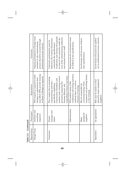| Representing | Participant                              | Expectations                                                                                                                              | Comments                                                                                                                                     |
|--------------|------------------------------------------|-------------------------------------------------------------------------------------------------------------------------------------------|----------------------------------------------------------------------------------------------------------------------------------------------|
| Design Team  | Architect and<br>consulting<br>engineers | may affect OPR; provide training<br>Will respond as required to field<br>on Basis of Design as required.<br>changes or substitutions that | Ongoing participation of design team<br>process should be secured through<br>members in the commissioning<br>professional services contract. |
|              |                                          |                                                                                                                                           |                                                                                                                                              |
| Contractor   | manager and<br>Project<br>others         | Play a major role in executing<br>commissioning activities-<br>specifically completing                                                    | defined in the Contract Documents<br>Contractor participation must be<br>(essentially the specifications).                                   |
|              |                                          | systems tests; training owner's<br>Construction Checklists and                                                                            | Verification and testing will typically<br>be done by the contractor under the                                                               |
|              |                                          | responding to Issues Log items.<br>personnel, preparing the<br>Systems Manual, and                                                        | eyes of the commissioning authority<br>and selected owner's staff.                                                                           |
|              | Subcontractors                           | verification and testing activities<br>outlined above, as well as<br>Will conduct many of the<br>elements of training.                    | Requirements for involvement must<br>be defined in the specifications.                                                                       |
|              | equipment<br>suppliers<br>Major          | equipment and providing factory<br>overseeing testing of key<br>May be responsible for<br>or site training.                               | Involvement will not occur without<br>clear specifications.                                                                                  |
|              |                                          |                                                                                                                                           |                                                                                                                                              |
| Specialists  | As appropriate                           | played by major equipment<br>Role may be similar to that<br>suppliers.                                                                    | out in professional services contract.<br>Involvement will need to be spelled                                                                |

Table 3.3 (Continued) **Table 3.3** (**Continued**)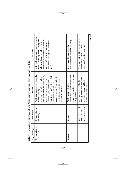|                                   | $Comments$   | Although the commissioning process<br>is often winding down during this<br>activities is critical to a successful<br>assume knowledgeable use of the<br>phase, diligent completion of all<br>project (allowing the owner to<br>facility).                                                                                           | commissioning authority is likely.<br>Close coordination with the                                               | This hand-off will to a great extent<br>successful facility operations.<br>establish the likelihood for           | (continued) |
|-----------------------------------|--------------|-------------------------------------------------------------------------------------------------------------------------------------------------------------------------------------------------------------------------------------------------------------------------------------------------------------------------------------|-----------------------------------------------------------------------------------------------------------------|-------------------------------------------------------------------------------------------------------------------|-------------|
|                                   | Expectations | documentation. May embark on<br>Will coordinate close-out of the<br>process—including completion<br>of deferred verifications, tests,<br>verification and delivery of all<br>an ongoing commissioning<br>and training; resolution of<br>Issues Log elements; and<br>commissioning process<br>process for facility.<br>commissioning | from an acquisition role to that<br>completed to permit transition<br>Will accept activities as<br>of operator. | facility operations; complete<br>training; accept and begin<br>Assume responsibility for<br>using Systems Manual. |             |
|                                   | Participant  | Commissioning<br>authority                                                                                                                                                                                                                                                                                                          | Owner                                                                                                           | representatives<br>Operations and<br>maintenance                                                                  |             |
| - 5<br>2<br>2<br>2<br>2<br>2<br>2 | Representing | Commissioning<br>Authority                                                                                                                                                                                                                                                                                                          | Owner                                                                                                           |                                                                                                                   |             |

Table 3.4 Occupancy and Operations Phase Commissioning Team Members and Roles **Table 3.4** Occupancy and Operations Phase Commissioning Team Members and Roles

**47**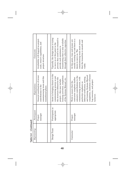| Comments                         | Availability will depend on project<br>scale, owner's capabilities, and<br>project structure.               | Typically, the design team is trying<br>process; they need to be retained to<br>transitioning that is only available<br>through their collective expertise.<br>to move on at this point in the<br>provide such assistance in | usually running out and there is a<br>At this point, time and money are<br>commissioning team must ensure<br>that the transition is smooth and<br>desire to move on. The<br>viable.                                                                                                                 |
|----------------------------------|-------------------------------------------------------------------------------------------------------------|------------------------------------------------------------------------------------------------------------------------------------------------------------------------------------------------------------------------------|-----------------------------------------------------------------------------------------------------------------------------------------------------------------------------------------------------------------------------------------------------------------------------------------------------|
| $\label{eq:dispre} Expectations$ | General coordination of owner<br>commissioning team and this<br>contributions to the<br>transitional phase. | Assist in bringing closure to the<br>training activities, completion<br>commissioning process as per<br>the structure defined for the<br>of the Systems Manual, etc.<br>project—this may include                             | completion, resolution of Issues<br>and training, Systems Manual<br>extensive contributions to the<br>deferred verification, testing,<br>commissioning process, with<br>contractor completes his/her<br>Log concerns, and project<br>Work to ensure that the<br>particular emphasis on<br>turnover. |
| Participant                      | manager<br>Project                                                                                          | Participants as<br>appropriate                                                                                                                                                                                               | manager<br>Project                                                                                                                                                                                                                                                                                  |
| Representing                     |                                                                                                             | Design Team                                                                                                                                                                                                                  | Contractor                                                                                                                                                                                                                                                                                          |

| í       |
|---------|
| í       |
| Ë       |
| ¢<br>۲  |
|         |
| ć<br>í. |
|         |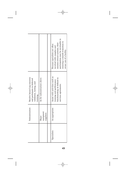|             | Subcontractors                  | Resolve Issues Log concerns<br>and participate in deferred<br>validation, testing, and<br>training.              |                                                                                                                                                                                                    |
|-------------|---------------------------------|------------------------------------------------------------------------------------------------------------------|----------------------------------------------------------------------------------------------------------------------------------------------------------------------------------------------------|
|             | equipment<br>suppliers<br>Major | As for subcontractors above                                                                                      |                                                                                                                                                                                                    |
|             |                                 |                                                                                                                  |                                                                                                                                                                                                    |
| Specialists | As appropriate                  | Assist with activities such as<br>benchmarking as defined in<br>training and performance<br>services agreements. | participation may be invaluable in<br>ensuring a smooth transition to<br>mission-critical systems, their<br>Because specialists are often<br>involved with complex and<br>owner use of a facility. |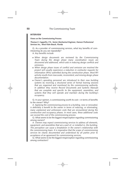### **INTERVIEW**

**Views on the Commissioning Process**

**Thomas E. Cappellin, P.E., Senior Mechanical Engineer, Hanson Professional Services Inc., West Palm Beach, Florida**

Q. As a provider of commissioning services, what key benefits of commissioning do you see repeatedly?

A. *Key benefits include:*

- *When design documents are reviewed by the Commissioning Team during the design phase many coordination issues are discovered and addressed, which aids in reducing design conflicts and omissions.*
- *When design phase issues of conflict and omission are resolved the project will usually experience a reduction in contractor requests for information (RFIs) submitted during the construction phase. Most RFI activity results from inaccurate, inconsistent, and missing design-phase documentation.*
- *Owner's operating personnel are introduced to their new building systems by receiving a structured series of formal training sessions that are organized and monitored by the commissioning authority. In addition they receive Record Documents and Systems Manuals that are complete and specific to the equipment, assemblies, and systems that they will operate and maintain during the building's occupancy.*

Q. In your opinion, is commissioning worth its cost—in terms of benefits to the owner? Why?

*A. Applying the commissioning process to a building, new or renovated, is definitely a benefit to the owner in terms of reducing, or eliminating, many unplanned and unforeseen costs that are encountered during the construction and occupancy phases. In most cases, these additional costs can exceed the cost of the commissioning process*.

Q. What seems to be the biggest misperception regarding commissioning among owners?

*A. Owners may expect commissioning services to address all elements, equipment, and assemblies that are a part of, or installed in, the building. This perception can cause a breakdown in the owner's relationship with the commissioning team. It is imperative that the scope of commissioning services be clearly documented and understood by all parties prior to acceptance of an agreement for commissioning services*.

Q. What seems to be the biggest misperception regarding commissioning among contractors?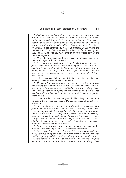*A. Contractors not familiar with the commissioning process may consider it to be an extra layer of supervision over their work that will cause them additional cost and delay in their contractual obligations. They may be resentful and suspicious of the commissioning team and be uncooperative in working with it. Over a period of time, this resentment can be reduced or removed if the commissioning team is proactive in convincing the contractor that it can help to reduce his or her costs by discovering, and resolving, conflicts with building elements or other trades early in the construction phase*.

Q. What do you recommend as a means of breaking the ice on commissioning— for the novice owner?

*A. A novice owner needs to be provided with a concise, but complete, explanation of why the commissioning process was developed and how it can be of benefit to his or her building project. This can be augmented by providing case histories of previous projects and reasons why the commissioning process was a success, or why it failed expectations*.

Q. Is there anything that the commissioning professional needs to get better at— to improve outcomes for an owner?

*A. The commissioning professional needs to be sensitive to owner expectations and maintain a consistent line of communication. The commissioning professional must also provide the owner's team, design team, and construction team with reports and documentation on a timely basis to enable the efficient flow of information and successful on-time completion of the project*.

Q. There is a linkage between green building design and commissioning. Is this a good connection? Do you see areas of potential improvement?

*A. Green building design is becoming the path of choice for many government and sophisticated building owners. Therefore, those involved in commissioning activities need to understand green building design concepts and apply that knowledge during reviews made during the design phase and observations made during the construction phase. The most satisfying result of commissioning is knowing that this activity has enabled a building to meet or exceed its energy and sustainability goals established during the conception and design phases*.

Q. Do you have any words of wisdom for those newly embarking on the building commissioning process? Or for seasoned professionals?

*A. At the top of my ''lessons learned'' list is a lesson learned early in my commissioning activities. The owner needs to be provided with credible reporting and documentation during all phases of the project. The documentation should include accurate meeting minutes, complete descriptions of observations made, and resolution results for design phase*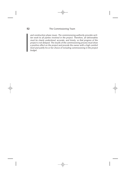*and construction phase issues. The commissioning authority provides written work to all parties involved in the project. Therefore, all deliverables must be clearly understood, accurate, and timely, so that progress of the project is not delayed. The results of the commissioning process must show a positive effect on the project and provide the owner with a high comfort level and justify his or her choice of including commissioning in the project budget*.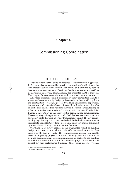## **Chapter 4**

# Commissioning Coordination

### THE ROLE OF COORDINATION

Coordination is one of the principal features of the commissioning process. In fact, commissioning could be described as a series of verification activities preceded by extensive coordination efforts and archived by defined documentation requirements. Details of the documentation and verification activities underlying commissioning are presented in other chapters. This chapter focuses on coordination and associated communications.

A key fear of commissioning, expressed by many contractors (and, to a somewhat lesser extent, by design professionals), is that it will bog down the construction (or design) process by adding unnecessary paperwork, inspections, and potential choke points—all to the detriment of profits and schedule. The need for verifications was discussed earlier; looking at a few unverified (uncommissioned) projects, as in the cited Florida Solar Energy Center study, is the best possible argument for commissioning. The concern regarding paperwork and schedules bears consideration, but should not act to dissuade an owner from commissioning. The key to minimizing negative impacts on costs and schedules is the implementation of predictable, consistent, predefined coordination opportunities facilitated by smoothly functioning communications channels.

Coordination is sorely needed in the fragmented world of building design and construction, where truly effective coordination is often more a myth than a reality. The commissioning process can greatly assist in improving project coordination through effective communication and documentation. Coordination among all parties to the building acquisition process is important for successful project outcomes and is critical for high-performance buildings (those using passive systems,

*Principles of Building Commissioning* Walter T. Grondzik Copyright © 2009 by Walter T. Grondzik.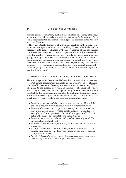seeking green certification, pushing the envelope on energy efficiency, attempting to reduce carbon emissions, and/or with demanding functional requirements). The commissioning process provides a structure for such coordination.

There are literally hundreds of individuals involved in the design, construction, and operation of a typical building. These individuals tend to aggregate into groups affiliated with one or another of the key project players—owner, designer, contractor, operator. Communications (and its potential corollary—coordination) are typically strongest within a given group; although this does not necessarily mean it is always effective. Communication and coordination are typically weakest between groups. Formal communications channels, as are developed through the commissioning process, can improve coordination across the board, but especially between groups. This chapter is structured around several important coordination ''events.''

### DEFINING AND CONVEYING PROJECT REQUIREMENTS

The starting point for the nuts and bolts of the commissioning process, and for establishing coordination channels, is the Owner's Project Requirements (OPR) document. Starting a project without a very strong OPR is like going to the grocery store with an incomplete shopping list—there will be regrets once back home (or upon moving into the new facility). The first task for the commissioning team (as distinct from the commissioning authority) is assisting in the development of the OPR document. This effort, properly done, leads to the following coordination links:

- *Between the owner and the commissioning authority.* This will be done on a regular working (versus simply a contractual) basis.
- *Between the owner and representatives of the owner's various user group constituencies.* These constituencies could include, for example, marketing professionals, in-office support staff, IT staff, behind-the-scenes support staff, and management.
- *Between the owner and the owner's facility operating staff.* This might include contract staff.
- *Between the commissioning authority and the owner's several constituencies.*
- *Ideally, between the owner and a design team representative.* This linkage may need to come later, depending on the project acquisition process in place.
- *Ideally, between the owner, design team representative, and a contractor's representative.* This might also need to wait.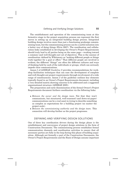The establishment and operation of the commissioning team at this formative stage in the project acquisition process can represent the first moves in setting up an integrated building design process. Integrated building design involves more than just a functioning predesign commissioning team, but the commissioning process can be a useful initiation into a better way of doing things (Elvin 2007). The coordination and collaboration links established in developing the Owner's Project Requirements should truly lead to all parties being on the same page—working toward a common (and well-thought-out) set of objectives. This is the essence of coordination: defined by Wiktionary as ''making different people or things work together for a goal or effect.'' That different people are involved is evident; the different "things" are often the different cultures and ways of thinking held by each of the individuals or groups, which can seriously impede clear communications.

Annex I of *ASHRAE Guideline 0* provides recommendations for workshop facilitation techniques that can ease the development of complete and well-thought-out project requirements through involvement of a wide range of constituencies. Annex J of the guideline outlines key elements typically found in an Owner's Project Requirements document, including a very detailed matrix showing concerns to be addressed and a suggested organizational structure (ASHRAE 2005).

The preparation and early dissemination of the formal Owner's Project Requirements document furthers coordination via the following links:

- *Between the owner and the design team.* Not that they won't communicate, but structured, well-reasoned (and down-on-paper) communications can be a real asset in trying to describe something as complex as expectations for a building project (no matter the project scale).
- *Between the commissioning authority and the design team.* This connection will develop further as the project progresses.

### DEFINING AND VERIFYING DESIGN SOLUTIONS

One of three key coordination drivers during the design phase is the establishment and conveyance of project design solutions in the form of Construction Documents. The commissioning process establishes formal communication channels and coordination activities to ensure that all necessary parties are fully in the loop during this phase of building acquisition. Although not formally a part of the Construction Documents, the Owner's Project Requirements and the Basis of Design assume important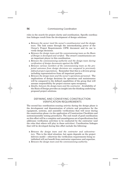roles in the search for project clarity and coordination. Specific coordination linkages result from the development of design solutions:

- *Between the owner (and the owner's constituencies) and the design team.* The link comes through the intermediating power of the Owner's Project Requirements (OPR) document and its use to verify design decisions.
- *Between the design team and the commissioning team as the Basis of Design is developed and verified.* The owner's constituencies are an important player in this coordination.
- *Between the commissioning authority and the design team during verification of design documents against the OPR.*
- *Between various members of the commissioning team as the projected outcomes from design decisions are compared to previously defined project expectations.* Remember that this is a diverse group including representatives from all important parties.
- *Between the design team and the owner's operations personnel.* The implications of design decisions for operations and maintenance will be compared to the defined capabilities of the group that will assume responsibility for project success upon occupancy.
- *Ideally, between the design team and the contractor.* Availability of the Basis of Design provides an insight into the thinking underlying proposed project solutions.

### DEFINING AND CONVEYING CONSTRUCTION VERIFICATION REQUIREMENTS

The second key coordination-causing activity during the design phase is the development and dissemination of criteria and procedures for the equipment, systems, and assembly verifications that will occur during the construction phase via the application of Construction Checklists and system/assembly testing procedures. The end result of good coordination on this effort will be a complete and unambiguous set of specifications that addresses verification activities to be conducted by the contractor (and the roles that others will play in these activities). Coordination linkages that will be developed during this effort include the following:

- *Between the design team and the contractor and subcontractors.* This is the ideal situation, but again depends on the project delivery model—otherwise the verification requirements being established will not benefit from contractor experience and expertise.
- *Between the design team and the commissioning authority.*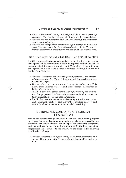- *Between the commissioning authority and the owner's operating personnel.* This is relative to participation in verification activities.
- *Between the commissioning authority and (ideally) the contractor and key subcontractors.*
- *Between the design team, commissioning authority, and (ideally) specialists who may be involved with verification efforts.* This might include equipment manufacturers and test and balance contactors.

## DEFINING AND CONVEYING TRAINING REQUIREMENTS

The third key coordination-causing activity during the design phase is the development and dissemination of training requirements for the owner's personnel (building operators and users). This effort will result in the development of a viable and clearly enunciated Training Plan and will involve these linkages:

- *Between the owner and the owner's operating personnel and the commissioning authority.* These linkages help define specific training needs and targets.
- *Between the commissioning authority and the design team.* This allows those involved to assess and define ''design'' information to be included in training.
- *Ideally, between the owner, commissioning authority, and contractor.* The purpose of this linkage is to assess and define "construction'' information to be included in training.
- Ideally, between the owner, commissioning authority, contractor, and equipment suppliers. This allows those involved to assess and define "product" information to be included in training.

## DEFINING AND CONVEYING OPERATIONAL INFORMATION

During the construction phase, coordination will occur during regular meetings of the commissioning team and during the numerous collaborative efforts to verify the installation and operation of building equipment, systems, and assemblies. In addition, planning for the handover of the project from the contractor to the owner sets the stage for the following coordination linkages:

• *Between the commissioning authority, design team, contractor, and owner.* This occurs as the Systems Manual is assembled and verified.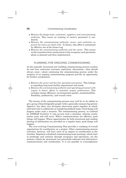- *Between the design team, contractor, suppliers, and commissioning authority.* This occurs as training of owner's personnel is conducted.
- *Between the commissioning authority, owner, and contractor as punch list issues are dealt with.* In theory, this effort is minimized by effective use of the Issues Log.
- *Between the commissioning authority and the owner.* This occurs as the transition from construction to the occupancy and operations phase is planned and then implemented.

### PLANNING FOR ONGOING COMMISSIONING

As the typically structured new building commissioning process reaches its end near contractor warranty expiration, discussions—that should always occur—about continuing the commissioning process under the auspices of an ongoing commissioning program provide an opportunity for further coordination:

- *Between the owner and his/her operations personnel.* This linkage is regarding long-term facility expectations and needs.
- *Between the commissioning authority and operating personnel with respect to future efforts to maintain project performance.* This includes energy efficiency, environmental quality, maintainability, flexibility, productivity, and overall value.

The beauty of the commissioning process may well lie in its ability to get a group of knowledgeable people (with a generally common big-picture objective, but often very divergent short-term goals) together at scheduled intervals to collaborate on completing defined tasks. Good things will happen under such a scenario. The commissioning process, as outlined by *ASHRAE Guideline 0*, sets up just such a situation, wherein coordination must and will occur. Where communications are effective, good things will happen. Where opportunities for both structured and random sharing of information are provided on a regular basis, good things will happen.

The ever-evolving Commissioning Plan provides a roadmap of overall expectations for coordination on a project. Other commissioning process activities, however, will have more of an impact on coordination in the trenches. Regularly scheduled commissioning team meetings, which start in predesign and continue through occupancy and operations, are the primary vehicle for structured (yet potentially informal and informative) communications and coordination. It is not possible to overemphasize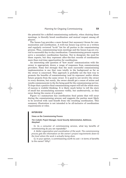the potential for a skilled commissioning authority, when chairing these meetings, to literally breed coordination and mutual respect among all players.

The Issues Log provides a more formal (but necessary) forum for communication and coordination. A well-run Issues Log serves as a written and regularly reviewed ''to-do'' list for all parties to the commissioning process. Thus, commissioning team meetings and the Issues Log are crucial to successful day-to-day coordination. Commissioning process reports serve a secondary coordination function. Not to denigrate the need for these reports, but they represent after-the-fact records of coordination more than real-time opportunities for coordination.

An interesting side question of ''how much'' communication with the owner is appropriate draws a range of responses from commissioning providers. Some feel strongly that the most successful commissioning implementation is one that runs totally in the background as far as the owner is concerned. This approach is probably not the best way to promote the benefits of commissioning (and its expenses) and/or obtain future projects from the same owner. It is good to not involve the owner in every decision, but surely, the owner should get a sense of action and results commensurate to the fee being paid for the commissioning service. To hope that a positive final commissioning report will tell the whole story of success is wishful thinking. It is likely much better to tell the story of small but accumulating successes visibly, but unobtrusively, as they occur during the course of a project.

Figure 4.1 summarizes key coordination focal points that will occur during the commissioning process and suggests the parties most likely to be involved with (and benefit from) the resulting coordination. This summary illustration is not intended to be all-inclusive of coordination requirements or roles.

### **INTERVIEW**

#### **Views on the Commissioning Process**

#### **Tim Corbett, Project Manager, Social Security Administration, Baltimore, Maryland**

Q. As a consumer of commissioning services, what key benefits of commissioning do you see repeatedly?

*A. Better organization and coordination of the work. The commissioning process gets the information on the owner's project requirements down to the level where the work is actually being done*.

Q. In your opinion, is commissioning worth its cost—in terms of benefits to the owner? Why?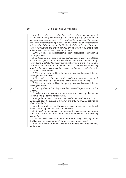*A. At 2 percent to 4 percent of total project cost for commissioning, it is a bargain. Quality Assurance/Quality Control (QA/QC) procedures for complex work may increase project overhead by 10 percent. To increase the value of commissioning, it needs to be coordinated and incorporated into the QA/QC requirements in Division 1 of the project specifications. The commissioning and project QA/QC efforts should complement each other instead of working as separate processes*.

Q. What seems to be the biggest misperception regarding commissioning among owners?

*A. Understanding the applications and differences between what CSI (the Construction Specifications Institute) calls the two types of commissioning. These being, whole building commissioning beginning at project inception, and what CSI calls traditional commissioning. Traditional commissioning usually takes place near the end of the construction phase and refers only to systems and components*.

Q. What seems to be the biggest misperception regarding commissioning among design professionals?

*A. They fail to see the value or the need for systems and equipment suppliers and installers to understand what is being built and why*.

Q. What seems to be the biggest misperception regarding commissioning among contractors?

*A. Looking at commissioning as another series of inspections and witch hunting*.

Q. What do you recommend as a means of breaking the ice on commissioning— for the novice owner?

*A. Keep the process to the most basic and understandable application. Emphasize how the process is aimed at preventing mistakes, not finding them after the fact*.

Q. Is there anything that the commissioning profession needs to get better at— to improve outcomes for an owner?

*A. It needs to be proactive in keeping the commissioning process transparent to the workflow and apparent to the vendors and installing contractors*.

Q. Do you have any words of wisdom for those newly embarking on the building commissioning process? Or for seasoned professionals?

*A. Maintain a positive working relationship with the work force, vendors, and owner*.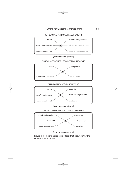

[ commissioning team ]

Figure 4.1 Coordination-rich efforts that occur during the commissioning process.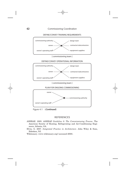

Figure 4.1 (**Continued**)

## REFERENCES

- ASHRAE. 2005. *ASHRAE Guideline 0: The Commissioning Process*. The American Society of Heating, Refrigerating and Air-Conditioning Engineers, Atlanta, GA.
- Elvin, G. 2007. *Integrated Practice in Architecture*. John Wiley & Sons, Hoboken, NJ.
- Wiktionary. www.wiktionary.org/ (accessed 2008).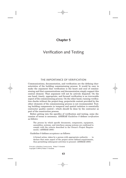## **Chapter 5**

# Verification and Testing

### THE IMPORTANCE OF VERIFICATION

Communications, documentation, and verification are the defining characteristics of the building commissioning process. It would be easy to make the argument that verification is the heart and soul of commissioning and that communications and documentation simply support this central element. That argument will not be actively disputed. On the one hand, timely, appropriate, and focused verification is an irrevocable aspect of the commissioning process. On the other hand, running verification checks without the project-long, projectwide context provided by the other elements of the commissioning process is not recommended. Testing building components in temporal and spatial isolation is essentially contractor quality control—which should be done by the contractor as part of the construction process.

Before getting into the specifics of verification and testing, some discussion of terms is necessary. *ASHRAE Guideline 0* defines *verification* as follows:

The process by which specific documents, components, equipment, assemblies, systems, and interfaces among systems are confirmed to comply with the criteria described in the Owner's Project Requirements. (ASHRAE 2005)

Guideline 0 defines *acceptance* as follows:

A formal action, taken by a person with appropriate authority *...* to declare that some aspect of the project meets defined requirements, thus permitting subsequent activities to proceed. (ASHRAE 2005)

*Principles of Building Commissioning* Walter T. Grondzik Copyright © 2009 by Walter T. Grondzik.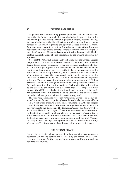In general, the commissioning process presumes that the commissioning authority (acting through the commissioning team) verifies, while the owner (perhaps acting through a project manager) accepts. Ideally, the commissioning authority will act as a professional and independent advisor to the owner regarding the appropriateness of technical work. An owner may choose to accept work (design or construction) that does not pass verification checks or tests. That is the owner's inherent right as the client/customer. The commissioning authority, however, will ideally explain the implications of such acceptance on the owner's objectives for a project.

Note that the ASHRAE definition of verification sets the Owner's Project Requirements (OPR) as the reference benchmark. This will raise no issues during design phase verification—when the essential question is whether or not the design approach and documents can deliver the outcomes required by the owner as expressed in the OPR. During construction, the situation is not so straightforward, as it is possible that some element of a project will meet the contractual requirements embodied in the Construction Documents, but not be able to deliver the owner's expected outcomes. This may occur if a disconnect between design and OPR has occurred—or when a change or substitution was permitted without a full understanding of all its implications. Such a situation will need to be evaluated by the owner and a decision made to change the work to meet the OPR (very likely at additional cost) or to accept the work and compromise the OPR (possibly also at additional, but deferred, costs related to reduced productivity or increased energy use).

The following discussion presents verification activities in a chronological manner focused on project phases. It would also be reasonable to look at verification through a focus on documentation. Although project phases have been selected as the means of organization, documents are interwoven into the discussion. The terms *verification* and *testing* will be encountered later in this chapter. These are not-quite-synonymous terms, in that testing generally implies a choreographed series of verifications, often focused on an environmental condition (such as thermal comfort, daylighting, response to an emergency condition, and the like). Testing typically involves looking at a range of conditions produced under a variety of scenarios. Verifications are often (but not always) yes-no decisions.

## PREDESIGN PHASE

During the predesign phase, several foundation-setting documents are developed by various parties and accepted by the owner. These documents set the stage for the commissioning process and begin to address verification activities.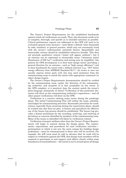The Owner's Project Requirements are the established benchmark against which all verifications are made. Thus, this document needs to be as complete, thorough, and specific as to intended outcomes as possible. Critical performance aspects not addressed in the OPR will need to be evaluated against some measure—most likely a default value demanded by code, standard, or general practice, which may not necessarily track with the owner's (unfortunately unstated) desires. Quantifiable and measurable criteria should be established whenever feasible. This does not preclude qualitative criteria (''joints will appear uniform''), but if an outcome can be expressed in measurable terms (''minimum initial illuminance of 500 lux'') verification and testing may be simplified. One pattern for OPR development is to first state design intent (providing a general direction for an outcome—such as ''high energy efficiency'') and to then benchmark the intent with a defined criterion (e.g., ''30% better energy efficiency than ASHRAE Standard 90.1''). An owner or user can usually express intent quite well, but may need assistance from the commissioning team to match the intent with appropriate numerical (or other) design targets.

The Owner's Project Requirements documentation should be verified by the commissioning team (under the direction of the commissioning authority) and accepted (if in fact acceptable) by the owner. Is the OPR complete; is it practical; does the content match the owner's plain-language statements of intent? Verification of this particular document will draw on the commissioning authority's experiences—and all other project verifications will draw on the OPR.

Verification is a concern coloring many issues during the predesign phase. The initial Commissioning Plan will outline the scope, schedule, and budget for commissioning activities. Reasonable provisions for verifications, especially those occurring during the construction phase, should be worked into this first-cut plan. A format and procedures for effective use of the Issues Log process should be established. The Issues Log provides a formal mechanism for the recording, archiving, and resolving of deviations or concerns identified by members of the commissioning team. Many of the issues so identified will likely be verification-related.

Verification of project artifacts other than the Owner's Project Requirements will begin in earnest during the design phase. The requirements, expectations, and procedures for such verification activities participation in which is not now the norm among the building design professions—must be communicated to those who will be involved. For example, the A/E team must be told in advance that its work will be subject to verification against the OPR, that design team members will be required to participate in and support such efforts (clearly within some boundaries of reasonableness—the intent is not to second-guess all design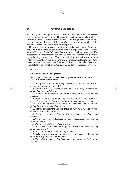decisions), and participants must be provided with some sense of process (e.g., that random sampling will be used to select elements to be verified). Procedures for resolution of conflicts related to design verification should be made known. Typically, this may often be an implementation of the owner declaring ''the bucks start and stop here.''

The commissioning process transition from the predesign to the design phase will be marked by the owner's formal acceptance of the Commissioning Plan and Owner's Project Requirements. Such acceptance will be predicated on a recommendation to do so from the commissioning authority (following verification). The commissioning authority should also follow up with the owner to assure that appropriate information regarding commissioning process verification activities is conveyed to the design team (ideally, as part of a written agreement for professional services).

#### **INTERVIEW**

**Views on the Commissioning Process**

#### **Jeff J. Traylor, CxAP, CIT, LEED-AP, Senior Engineer, EMCOR Government Services, Durham, North Carolina**

Q. As a provider of commissioning services, what key benefits of commissioning do you see repeatedly?

*A. Shorter punch lists, better coordination between crafts, better training, and higher energy efficiency*.

Q. Is there any downside to the commissioning process as commonly practiced?

*A. None, if the process follows ASHRAE Guideline 0-2005. However, incomplete commissioning (not starting until construction is complete or nearly so) frequently gives results that do not meet expectations, thereby giving the whole process a bad reputation*.

Q. Has the development and publication of *ASHRAE Guideline 0* visibly improved commissioning services?

*A. Yes! It has created a standard of practice that clearly defines the process*.

Q. What seems to be the biggest misperception regarding commissioning among owners?

*A. That it starts at the end of construction*.

Q. What seems to be the biggest misperception regarding commissioning among contractors?

*A. That it interferes with their work processes*.

Q. What do you recommend as a means of breaking the ice on commissioning— for the novice owner?

*A. Start with a small project and give the commissioning authority some latitude*.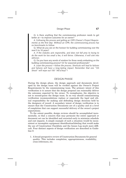Q. Is there anything that the commissioning profession needs to get better at— to improve outcomes for an owner?

*A. Following the process and getting an OPR (Owner's Project Requirements) as the first step. Without an OPR, the commissioning process has no benchmarks to follow*.

Q. What do you see on the horizon for building commissioning over the next 5 to 10 years?

*A. If the industry acts responsibly, and does not fall prey to trying to do the work for too small a fee, it will thrive. Otherwise, it will sink into oblivion*.

Q. Do you have any words of wisdom for those newly embarking on the building commissioning process? Or for seasoned professionals?

*A. Learn the process— follow the process. Shortcuts will lead to failures and failures will have a long-lasting impact. Remember that one ''Oh Shoot'' will wipe out 100 ''Att'a'boys''!*

## DESIGN PHASE

During the design phase, the design approach and documents developed by the design team will be verified against the Owner's Project Requirements by the commissioning team. The primary intent of this verification is to assure that the design proposal can reasonably deliver the outcomes expected by the owner. To reemphasize, the objective is not to second-guess the design team. In no way should commissioning verification recommendations replace or supersede the legal and ethical responsibility for making and defending design decisions held by the designers of record. A secondary intent of design verification is to ensure that the Construction Documents are of a quality and at a level of completion that can support successful delivery of the owner's project expectations.

To the extent possible, design reviews should be accomplished incrementally, so that a concern that may permeate the entire approach or document set can be identified and corrected early to minimize schedule and cost impacts. A simple example of such a situation would be inconsistent or incomplete equipment identification/labeling that would make the use of Construction Checklists and the Issues Log much more difficult. Four distinct aspects of design verification are described in Guideline 0:

1. A broad-perspective review of Construction Documents for general quality. This includes completion, appropriateness, readability, cross-references, etc.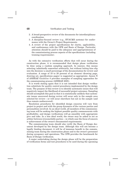- 2. A broad-perspective review of the documents for interdisciplinary coordination.
- 3. A discipline-focused review (e.g., HVAC&R systems) for conformance with the Owner's Project Requirements.
- 4. A review of the project specifications for clarity, applicability, and conformance with the OPR and Basis of Design. Particular attention should be paid to the adequacy and appropriateness of the commissioning process aspects of the specifications (including training requirements).

As with the extensive verification efforts that will occur during the construction phase, it is recommended that design phase verification be done using a random sampling approach. In essence, this means selecting (admittedly somewhat arbitrarily, but without letting bias slip into the decision) a small percentage of the documentation for review and evaluation. A range of 10 to 20 percent of an element (drawing page, drawing set, specifications pages) is suggested as appropriate. Annex N of *ASHRAE Guideline 0* provides examples of sampling approaches for the commissioning process (ASHRAE 2005).

It is worth stating again that it is not intended that design verification substitute for quality control procedures implemented by the design team. The purpose of this review is to identify systematic issues that will negatively impact the likelihood of successful project outcomes. Sampling should accomplish this goal in that it is statistically unlikely that systematic issues uncovered during review will occur only in the sample area selected for review—or will occur elsewhere but not in the sample (and thus remain undiscovered).

Resolution procedures for identified design concerns will vary from project to project and with the group dynamics of the various parties and personalities involved. In an ideal world, all members of the commissioning team will be seeking the highest possible quality commensurate with profitability, and design verifications will go smoothly with appropriate give and take. In a less ideal world, the owner may be asked to act as arbiter between irreconcilable parties— in which case the focus of concern is achievement of the owner's documented requirements.

The commissioning team should also verify the Basis of Design document developed by the design team. Although this will not become a legally binding document, it will be of immense benefit to the commissioning team during the construction phase and to the owner's personnel during occupancy and operations. The OPR provides the benchmark for Basis of Design verification.

A major undertaking during the design phase will be the preparation of verification forms and test procedures to be used during the upcoming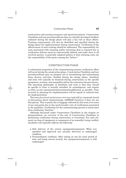construction and ensuing occupancy and operations phases. Construction Checklists and test procedures/forms that are initially developed (drafted, outlined) during the design phase will play a key role in these efforts. Training requirements will also be identified and specified during the design phase for implementation during construction. Verification of the effectiveness of such training should be addressed. The responsibility for costs associated with retesting and/or retraining that is required due to verification failures must be contractually defined and made clear to all involved parties. A generally adopted pattern is that retesting costs are the responsibility of the party causing the ''failure.''

## CONSTRUCTION PHASE

A substantial proportion of the commissioning process verification effort will occur during the construction phase. Construction Checklists and test procedures/forms play an integral role in streamlining and rationalizing these diverse activities. Drafted during the design phase, checklists and tests will typically be finalized during construction as the specific equipment, systems, and assemblies bid by the contractor become known. The operating philosophy of checklists and tests is that they should be specific to what is actually installed, be unambiguous, and require as little on-site interpretation/annotation/modification as possible. Time invested in planning for implementation will be repaid in reduced time for implementation.

The term *functional performance test* was (and still is) commonly heard in discussions about commissioning. *ASHRAE Guideline 0* does not use this phrase. This is partly due to baggage collected by this term over years of use and partly due to the much broader view of verifications presented in the guideline. Verification for the commissioning process is much more than confirming ''function.''

Although discussed under Construction Checklists in the chapter on documentation, an overview of the role of Construction Checklists in facilitating verification during construction is warranted. For each element (an item of equipment or component of an assembly) being verified, checklists will typically address the following:

- Safe delivery of the correct equipment/component: What was specified and approved was actually delivered in undamaged condition.
- Preinstallation condition: After sitting on site for some period of time and being moved around, the equipment/component is still undamaged.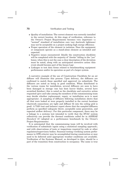- Quality of installation: The correct element was correctly installed in the correct location. At this stage of verification, reference to the Owner's Project Requirements becomes very important—a "normal" standard of installation care (say ductwork tightness) may not be acceptable on a project seeking high energy efficiency.
- Proper operation of the element in isolation: Does the equipment or component operate as a stand-alone element as intended and expected.
- Negative issues encountered: Ideally the construction checklists will be completed with the majority of "checks" falling in the "yes" boxes; when this is not the case a clear description of the deviation must be noted, along with an anticipated corrective action (this event should become part of the Issues Log).
- Linkages to test data forms related to benchmarking equipment performance and/or its operation as part of a larger system.

A narrative example of the use of Construction Checklists for an air diffuser will illustrate this process. Upon delivery, the diffusers are confirmed to match those specified and approved via submittals. The diffusers are noted as being in good condition. When distributed to the various rooms for installation, several diffusers are seen to have been damaged in storage (one has bent louver blades, several have scratched finishes); this is noted on the checklists and corrective action requested (give and take among the members of the commissioning team may decide whether replacement, repair, or installation as-is is most appropriate). A sampling of diffusers following installation shows that all that were looked at were properly installed in the correct locations (ductwork connections are tight and diffuser fit into the ceiling grid is good). A TAB (test and balance) report shows that the sampled diffusers perform as specified (adequate throw, acceptable noise generation, and expected airflow delivery). For this particular component, there may be a linkage to a systems test intended to verify that the HVAC system collectively can provide the thermal conditions called for in *ASHRAE Standard 55* (adopted as a performance benchmark by the Owner's Project Requirements).

It is anticipated that the commissioning team will be involved with verification of submittals (again using a statistical sampling approach), and with observations of tests or inspections required by code or other regulatory/supervisory bodies. Seasonal testing (verifying system performance to OPR criteria) may be accomplished during construction or may need to be deferred until appropriate weather conditions are available. Verification of the Systems Manual, as developed to date, should be a part of the transition from construction to occupancy. The same is true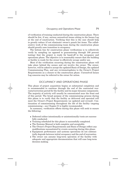of verification of training conducted during the construction phase. There should be few, if any, serious unresolved issues sitting in the Issues Log at the end of construction. Verifying that this is the case should help to greatly reduce (if not eliminate) owner's punch list items. The collaborative work of the commissioning team during the construction phase should greatly ease transition to occupancy.

The bottom line for construction phase verifications is to collectively verify by sampling (as opposed to guaranteeing through 100 percent testing) that the project is ready for hand-off to the occupancy and operations phase. The objective is to reasonably ensure that the building or facility is ready for the owner to effectively occupy and/or use.

Most of the verification occurring during the construction phase will take place behind the scenes and not involve the owner. The owner, however, will be asked to accept the updated Basis of Design, the updated Commissioning Plan, and any revisions/updates to the Owner's Project Requirements as a closure to the construction phase. Unresolved Issues Log concerns may be referred to the owner for action.

#### OCCUPANCY AND OPERATIONS PHASE

This phase of project acquisition begins at substantial completion and is recommended to continue through the end of the contracted warranty/correction period for the facility and its major dynamic components. The majority of activity will usually be concentrated near the front end of this period. The broad purpose of the commissioning process during this phase is to verify that the facility as delivered and operated will meet the Owner's Project Requirements (as updated and revised). Continuation of commissioning throughout the life of the facility (ongoing commissioning—see Chapter 8) is highly recommended.

In summary, verification efforts during this phase will seek to ensure the following:

- Deferred (either intentionally or unintentionally) tests are successfully conducted.
- Training scheduled for this phase is successfully completed.
- The Systems Manual is both complete and acceptable.
- The Owner's Project Requirements and Basis of Design reflect any modifications necessitated by events occurring during this phase.
- Equipment performance and systems operations do not substantially degrade between initial occupancy and the end of warranties.
- The owner can assume long-term operation of the facility with adequate and appropriate documentation that will ease long-term decision making.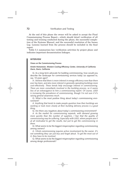At the end of this phase the owner will be asked to accept the Final Commissioning Process Report—which should detail verification of all testing and training conducted during the phase, the successful completion of the Systems Manual, and the successful resolution of the Issues Log. Lessons learned from the process should be included in the final report.

Table 5.1 summarizes key verification activities by project phase and indicates important documentation linkages.

#### **INTERVIEW**

**Views on the Commissioning Process**

#### **Kristin Heinemeier, Western Cooling Efficiency Center, University of California Davis, Davis, California**

Q. As a long-term advocate for building commissioning, how would you describe the landscape for commissioning services today (as opposed to, say, 10 years ago)?

*A. I believe that there is more interest in energy efficiency now than there ever has been, and also more interest in generally operating buildings more cost-effectively. These trends help encourage interest in commissioning. There are more consultants involved in the building process, so it seems less of an extravagance to hire a commissioning expert. Of course, LEED is increasing the prevalence of commissioning, though I'm not sure if it's raising general awareness much*.

Q. What is the most positive thing about today's commissioning environment?

*A. Anything that tends to make people question how their buildings are working or look more closely at their building delivery process is a good thing*.

Q. Are there any negatives about today's commissioning environment?

*A. As the market for commissioning expands, with demand growing more quickly than the number of suppliers, I fear that the quality of commissioning may be suffering. Especially with LEED, where people aren't at all motivated to get the results, but just to get the commissioning in there*.

Q. What seems to be the biggest misperception regarding commissioning among owners?

*A. I think commissioning requires active involvement by the owner. It's not something they can just buy and forget about. To get the most out of it, they have to be involved*.

Q. What seems to be the biggest misperception regarding commissioning among design professionals?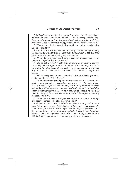*A. I think design professionals see commissioning as the ''design police,'' with somebody out there trying to find ways that the designer screwed up. They may also see commissioning professionals as invading their turf. They don't tend to see the commissioning professional as a part of their team*.

Q. What seems to be the biggest misperception regarding commissioning among contractors?

*A. I think contractors also see commissioning providers as cops looking for trouble. It's important for the commissioning provider to see it as their job to make the contractor look good, not look bad*.

Q. What do you recommend as a means of breaking the ice on commissioning— for the novice owner?

*A. Maybe get involved in retrocommissioning of an existing facility. Once they see the opportunities for improving the building, they'll be motivated to catch those at the start. Hire a commissioning provider to participate in a renovation, or smaller project before tackling a large project*.

Q. What developments do you see on the horizon for building commissioning over the next 5 to 10 years?

*A. I think that commissioning will bifurcate into a low-cost commodity service and a high-value advanced engineering service. The tools, objectives, processes, expected benefits, etc., will be very different for these two tracks, and the better we can understand and communicate the differences, the less confusion there will be in the market. Productivity tools for commissioning professionals will be an important development, to bring the cost down a bit*.

Q. What key resources would you recommend to an owner or design firm about to embark on building commissioning?

*A. Guideline 0, of course! The California Commissioning Collaborative has a lot of good resources (case studies, guides, tools*—www.cacx.org/). *I think their guide to commissioning of new buildings is a good start (and it's not just because I was a primary author!). Energy Design Resources (EDR) also has a lot of good resources. The commissioning assistant on the EDR Web site is a good tool*—www.energydesignresources.com/.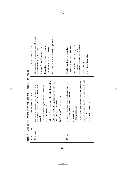|                                                                  | Key Documentation Links     | The preliminary Commissioning Plan will<br>Issues Log format and structure<br>Owner's Project Requirements<br>address verification activities.                            | An accepted Owner's Project Requirements<br>Construction Checklist formats                                                         |                                     | "Draft" test procedures and forms<br>"Draft" Construction Checklists                | documentation; and specifications)<br>Construction Documents (general<br>documentation; specific system | Operational Issues Log<br>Training Plan                                                           |
|------------------------------------------------------------------|-----------------------------|---------------------------------------------------------------------------------------------------------------------------------------------------------------------------|------------------------------------------------------------------------------------------------------------------------------------|-------------------------------------|-------------------------------------------------------------------------------------|---------------------------------------------------------------------------------------------------------|---------------------------------------------------------------------------------------------------|
| Outline of Key Verification Activities and Related Documentation | Key Verification Activities | elements in the commissioning schedule and<br>Develop owner's project requirements with<br>Include a preliminary sense of verification<br>verifiable outcomes.<br>budget. | Establish format and procedures for Issues Log.<br>Establish verification process and forms to be<br>used for design verification. | Verify the OPR prior to acceptance. | Develop verification forms and procedures for<br>use during the construction phase: | Verify design approach and design documents.<br>- Test procedures<br>- Checklists                       | Establish verification process and forms for use<br>Implement Issues Log usage.<br>with training. |
| Table 5.1                                                        | Project Phase               | Predesign                                                                                                                                                                 |                                                                                                                                    |                                     | Design                                                                              |                                                                                                         |                                                                                                   |

| -<br>;<br>;                      |
|----------------------------------|
| I                                |
| ĺ                                |
|                                  |
| )<br>;<br>;                      |
| $-11.1$                          |
|                                  |
| l                                |
|                                  |
| ・<br>- 22 - 1<br>ht Kev          |
| ֚֚֚֬<br>$\overline{\mathcal{L}}$ |
| $\frac{1}{2}$<br>t<br>Ŝ<br>ŕ     |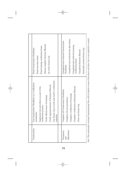| Almost-complete Systems Manual<br>Final training verification forms<br>Final Construction Checklists<br>Final test data forms<br>An active Issues Log                                                                                                                               | Completed and archived test data forms<br>Completed and archived Construction<br>Completed and archived training<br>Generally resolved Issues Log<br>Completed Systems Manual<br>verification forms<br>Checklists |
|-------------------------------------------------------------------------------------------------------------------------------------------------------------------------------------------------------------------------------------------------------------------------------------|-------------------------------------------------------------------------------------------------------------------------------------------------------------------------------------------------------------------|
| Use Issues Log to track and resolve verification<br>Use Construction Checklists as a verification<br>Verify appropriateness of Systems Manual.<br>Implement test procedures as part of the<br>Verify effectiveness of training.<br>verification process.<br>mechanism.<br>concerns. | Complete verification of Systems Manual.<br>Complete all Construction Checklists.<br>Complete verification of training.<br>Complete all test procedures.<br>Close out Issues Log.                                 |
| Construction                                                                                                                                                                                                                                                                        | Operations<br>Occupancy<br>and                                                                                                                                                                                    |

u, *Note*: The continually evolving Commissioning Plan will be linked to most of the above activities, but is not explicitly so noted. ζŗ  $\overline{\mathbf{z}}$ ₿ R q 5 3 ₹ ۹ ≍ ă 5 Чň ř  $\frac{1}{2}$ is, ⋾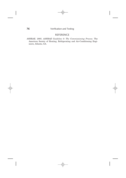## **REFERENCE**

ASHRAE. 2005. *ASHRAE Guideline 0: The Commissioning Process*. The American Society of Heating, Refrigerating and Air-Conditioning Engineers, Atlanta, GA.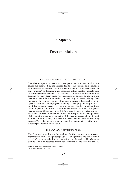## **Chapter 6**

# Documentation

## COMMISSIONING DOCUMENTATION

Commissioning—a process that attempts to ensure that quality outcomes are produced by the project design, construction, and operation sequence—is in essence about the communication and verification of expectations. The documentation described in this chapter supports both of these objectives. Some of the documentation described herein will be found in virtually every facility design-construct-operate situation. Such documents are independent of the commissioning process—although they are useful for commissioning. Other documentation discussed below is specific to commissioned projects. Although developing meaningful documentation consumes resources (time and money), the short- and long-term value of good documentation cannot be overstated. Without appropriate documentation things get missed, information is lost, and vital communications can become ineffective or even counterproductive. The purpose of this chapter is to give an overview of the documentation elements (and related communications) that are an inherent part of the commissioning process. These documents, when developed with care, will give the owner a better product and better value.

#### THE COMMISSIONING PLAN

The Commissioning Plan is the roadmap for the commissioning process. It grows and evolves as a project progresses and provides the owner with a record of the commissioning process at the end of a project. The Commissioning Plan is an absolutely essential document. At the start of a project,

*Principles of Building Commissioning* Walter T. Grondzik Copyright © 2009 by Walter T. Grondzik.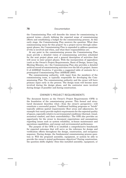#### **78** Documentation

the Commissioning Plan will describe the intent for commissioning in general terms—clearly defining the expected scope of commissioning efforts and establishing a budget for the commissioning process. At this early stage, the Commissioning Plan answers the question: What does commissioning mean for this project? As a project moves through subsequent phases, the Commissioning Plan is expanded to address questions of who is involved and when, and what their responsibilities are.

At any point in the commissioning process the Commissioning Plan must provide a detailed vision of commissioning activities scheduled for the next project phase and a general description of activities that will occur in later project phases. With the incorporation of appendices (such as the Owner's Project Requirements, Basis of Design, Issues Log, Meeting Minutes, etc.) the Commissioning Plan also provides a detailed archival record of commissioning activities over the life of a project. Annex G of *ASHRAE Guideline 0* provides a suggested table of contents for a prototypical Commissioning Plan (ASHRAE 2005).

The commissioning authority, with input from the members of the commissioning team, is typically responsible for developing the Commissioning Plan. The commissioning authority and the owner will have primary input early in the process. The design team will become more involved during the design phase, and the contractor more involved during design (if possible) and during construction.

### OWNER'S PROJECT REQUIREMENTS

The document known as the Owner's Project Requirements (OPR) is the foundation of the commissioning process. This formal and structured document describes what—from the owner's perspective—will constitute a successful project. Traditional building programs or ''briefs'' typically address spatial requirements (floor areas and adjacencies, for example) but rarely provide explicit requirements for the expected quality of spaces, especially relative to environmental conditions (thermal, visual, acoustical comfort; and their controllability). The OPR also provides an opportunity for the owner to document expectations and assumptions regarding issues such as system reliability, in-house maintenance and operations capabilities, and energy and environmental performance.

The purpose of the OPR is to establish a comprehensive benchmark for expected outcomes that will serve as the reference for design and verification efforts throughout the design, construction, and occupancy sequence. During design, the fundamental commissioning process question is: Will the proposed assembly, equipment, or system be able to provide the owner's stated performance objectives? During construction, the question shifts slightly: Does this installed assembly, equipment, or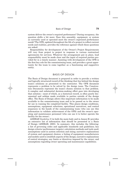Basis of Design **79**

system deliver the owner's required performance? During occupancy, the question shifts a bit more: Does this assembly, equipment, or system as currently used or operated meet the owner's expressed performance needs? The OPR, updated throughout the life of a project to reflect current needs and realities, provides the reference against which these questions are asked.

Responsibility for development of the Owner's Project Requirements will vary from project to project in response to various contractual agreements for services. Whatever the arrangement put in place, lead responsibility must be made clear and the input of required parties provided for in a timely manner. Assisting with development of the OPR is the first key role for the commissioning team, and provides a great opportunity for the team to come together as a functioning and supportive entity.

#### BASIS OF DESIGN

The Basis of Design document is prepared in order to provide a written and logically structured record of the thinking that lies behind the design team's solutions as presented to the contractor. The OPR document represents a problem to be solved by the design team. The Construction Documents represent the team's chosen solution to that problem. A complex and substantial decision-making effort goes into developing that solution—most of which, as a historical record, is often poorly documented and seldom made available to parties outside of the design office. The Basis of Design allows this important information to be made available to the commissioning team and to be passed on to the owner for use in running the completed facility. This places design conditions, assumptions, equipment selections, operational narratives, and control sequences in the hands of the commissioning team (who can use this information to validate achievement of the OPR) and the owner's operating and maintenance personnel (who can use it to better operate the facility for the owner).

*ASHRAE Guideline 0* (in both the main body and in Annex K) provides an extensive list of information that should be presented in a Basis of Design (ASHRAE, 2005). In summary, this includes the following: a list of governing codes and applicable standards and guidelines; key design criteria (performance targets); calculation methods and tools used; assumptions used in system selection and sizing; narrative explanations of system and equipment choices; a listing of equipment manufacturers and models used to establish aspects of the design; narrative explanations of control strategies; any limits or directives imposed by the owner; and assumptions regarding owner operating and maintenance capabilities.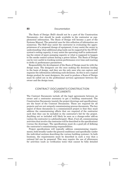The Basis of Design (BoD) should not be a part of the Construction Documents—but should be made available to the contractor as supplemental information. The Basis of Design will become a part of the Systems Manual. The potential uses for this collection of information are numerous. The BoD may assist the contractor in evaluating the appropriateness of a proposed change of equipment; it may assist the owner in understanding what additional plug loads can be supported by the HVAC system's cooling capacity; it may assist the operating staff in understanding the extent of spare pumping capacity or what is supposed to happen to the smoke control system during a power failure. The Basis of Design can be very useful in tracking system performance over time and reacting to drifts in performance parameters.

Responsibility for development of the Basis of Design must lie with the design team. The designers are the ones making the decisions leading to the basis of design, and they are the only ones who can capture and organize the information informing such decisions. As this is not a typical design product for most designers, the need to produce a Basis of Design must be called out in the professional services agreement between the owner and the design team.

## CONTRACT DOCUMENTS/CONSTRUCTION DOCUMENTS

The Contract Documents include all the legal agreements between an owner and a contractor necessary to get a building constructed. The Construction Documents (mainly the project drawings and specifications) are the heart of the Contract Documents. These are required for all projects and are not uniquely commissioning process documents. The key aspect of these documents in a commissioned project is that they must address the commissioning efforts that are required of the contractor such that they can be included in the contractor's bid for the project. Anything not so included will likely be seen as a change-order add-on (unless the contractor is a philanthropist). Most, if not all, commissioning activities that involve the contractor will be described in the specifications (versus the drawings). The specifications must do a good job of defining the contractor's commissioning responsibilities.

Project specifications will typically address commissioning requirements, both broadly (under the general conditions) and specifically (under the individual sections describing the various building systems). In both locations, the requirements must be described in such a way that a rational bid can be prepared. This may require the use of allowances for activities (such as verification tests) that cannot be fully detailed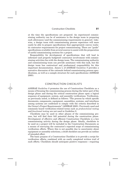at the time the specifications are prepared. An experienced commissioning authority can be of assistance to the design team in preparing such allowances (and the commissioning requirements in general). Likewise, a design team with commissioning process experience will more easily be able to prepare specifications that appropriately convey realistic contractor requirements for project commissioning. There are ''guide'' specifications available from several sources to assist with the preparation of useful commissioning sections for a project.

Responsibility for development of specifications that will lead to informed (and properly budgeted) contractor involvement with commissioning activities lies with the design team. The commissioning authority and commissioning team can provide assistance with this task, but the design team has contractual and professional responsibility for this important documentation. Annex L of *ASHRAE Guideline 0* provides a narrative discussion of the rationale behind commissioning process specifications, as well as a sample structure for such specifications (ASHRAE 2005).

## CONSTRUCTION CHECKLISTS

*ASHRAE Guideline 0* promotes the use of Construction Checklists as a means of focusing the commissioning process during the latter part of the design phase and during the critical construction phase upon a logical sequence of equipment, system, and assembly verifications. Verification, as previously noted, is defined as follows: ''The process by which specific documents, components, equipment, assemblies, systems, and interfaces among systems are confirmed to comply with the criteria described in the Owner's Project Requirements'' (ASHRAE 2005). Previously used and commonly heard verification-related terms such as *prefunctional testing* and *functional testing* are not used in Guideline 0.

Checklists may be used in other phases of the commissioning process, but will find their full potential during the construction phase. Development of effective and efficient Construction Checklists is a key commissioning activity during the design phase. Ideally, checklists to be used on a project will be included in the Construction Documents as a means of conveying the contractor's expected scope of commissioning verification efforts. Where this is not possible due to uncertainty about equipment or assembly selections, a draft checklist can provide an outline of intended effort.

The basic purpose of a Construction Checklist is to provide a script for verification efforts, combined with an easily completed written trail of such efforts. Checklists should anticipate positive responses—requiring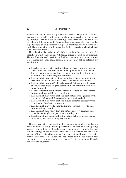elaboration only to describe problem situations. They should be customized for a specific project and, to the extent possible, be completed by literally checking a box or inserting a measurement. The completed checklists will be valuable in focusing discussions regarding noncomplying situations during commissioning team meetings and will serve as a useful benchmarking record for ongoing facility operations when included in the Systems Manual.

The following discussion should help to explain the evolving role of a checklist during construction. A lighting fixture is used as an example. The word *may* is used to reinforce the idea that sampling for verification is recommended (and, thus, certain elements may not be selected for verification):

- The checklist may note that the fixture was looked at during design verification and was considered in compliance with the Owner's Project Requirements (perhaps relative to a limit on luminance related to a desire for low glare potential).
- The checklist may note that the submittals (shop drawings) conformed to the fixture specified in the Construction Documents.
- The checklist may verify that the correct fixtures were delivered to the job site, were in good condition when delivered, and were properly stored.
- The checklist may verify that the fixture was installed in the correct location and was still in good condition.
- The checklist may verify that the light fixture was equipped with the correct ballast and the correct lamps were installed.
- The checklist may verify that the fixture operated correctly when connected to the electrical system.
- The checklist may verify that the fixture operated correctly under local switching control.
- The checklist may verify that the fixture properly dimmed under control of a daylight compensation control system.
- The checklist may confirm that the fixture behaved as anticipated in an emergency power outage situation.

The essential idea suggested in this example is simple. It makes no sense to wait to verify fixture performance as part of a daylighting system, only to discover that the fixture was damaged in shipping and had the wrong ballast installed. Options for all parties are limited at the end of the construction process. An issue that could have been easily corrected earlier becomes a serious hassle later. Skillful use of checklists can support the commissioning process as it attempts to avoid such unnecessary situations.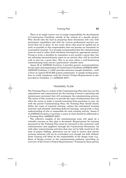Training Plan **83**

There is no single correct way to assign responsibility for development of Construction Checklists outside of the context of a specific project. Who should take the lead in preparing these documents will vary with participant capabilities and with the various professional services contracts that are in place. In any event, these roles must be spelled out as early as possible so this responsibility does not become an unwanted (or unaccepted) surprise. It is strongly recommended that the commissioning team be used to refine draft checklists developed by appropriate parties. Trying to write a checklist by committee is not usually a great idea, but not soliciting interested-party input on an activity they will be involved with is also not a great idea. This is an area where a well-functioning commissioning team can be a particularly valuable asset.

Annex M of *ASHRAE Guideline 0* provides generic recommendations for the types and organization of Construction Checklists (ASHRAE 2005). ASHRAE Guideline 1.1-2007 provides extensive sample checklists—with a focus on typical HVAC&R system components. A sample testing procedure to verify compliance with the Owner's Project Requirements is also provided in Guideline 1.1 (ASHRAE 2007).

#### TRAINING PLAN

The Training Plan is a subset of the Commissioning Plan that lays out the expectations and requirements for the training of owner's operating and maintenance personnel that will accompany the commissioning process. The intent of this training is to provide the types of information that will allow the owner to make a smooth transition from purchaser to user. As with the parent Commissioning Plan, the Training Plan should clearly define the scope of required training, outline the anticipated training activities and schedule (including deferred training), and provide a clear understanding of who is responsible for each training activity. Annex P of *ASHRAE Guideline 0* provides a sense of what should be addressed in a Training Plan (ASHRAE 2005).

The collective insights of the commissioning team will again be a valuable resource as this plan is developed. Requirements for training presented in the Training Plan must be conveyed to the contractor (and subcontractors and suppliers) through the Construction Documents. As with other commissioning activities that may not be fully resolved at the time of project bidding, allowances can be used to ensure that known training elements will not be overlooked even though not fully defined. Some training will likely be the responsibility of the design team (e.g., Basis of Design review) or the commissioning authority (providing an overview of the Owner's Project Requirements). Training by these parties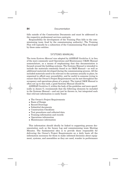falls outside of the Construction Documents and must be addressed in the respective professional services contracts.

Responsibility for development of the Training Plan falls to the commissioning team (lead by the commissioning authority). The Training Plan will typically be a subsection of the Commissioning Plan developed by these same entities.

### SYSTEMS MANUAL

The term *Systems Manual* was adopted by *ASHRAE Guideline 0*, in lieu of the more commonly used Operations and Maintenance (O&M) Manual nomenclature, as a means of emphasizing that this documentation is focused around the building systems. The Systems Manual is intended to include the materials commonly found in an O&M Manual—as well as additional materials developed during the commissioning process. All the included materials need to be relevant to the systems actually in place, be organized to afford easy accessibility, and be useful to someone trying to ensure that the Owner's Project Requirements can be met throughout the occupancy and operations phase of a project. The typical O&M Manual is often not up to this task; a good Systems Manual should be.

*ASHRAE Guideline 0*, within the body of the guideline and more specifically in Annex O, recommends that the following elements be included in the Systems Manual—and not just be thrown in, but integrated such that relevant information is easily found:

- The Owner's Project Requirements
- Basis of Design
- Record Drawings
- Submittal documents
- Construction Checklists
- Test procedures and collected data
- Training information and records
- Operations information
- Maintenance information

This information should ideally be linked to supporting process documentation such as the Issues Log and commissioning team Meeting Minutes. The fundamental idea is to provide those responsible for delivering the Owner's Project Requirements on a daily basis all the information necessary for them to make informed decisions about equipment, systems, and assemblies as they are used, wander in performance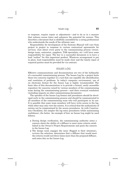Issues Log **85**

or response, require repair or adjustment—and to do so in a manner that reduces access times and enhances the potential for success. This describes a document that is skillfully assembled by a caring professional who understands the needs of the ultimate user.

Responsibility for development of the Systems Manual will vary from project to project in response to various contractual agreements for services. Just about every party to the commissioning process (owner, design team, contractor, suppliers, TAB specialists, etc.) will have some responsibility for input. The key to a successful document is to have a lead "author" for this important product. Whatever arrangement is put in place, lead responsibility must be made clear and the timely input of required parties must be provided for via contract.

#### ISSUES LOG

Effective communications and documentation are two of the hallmarks of a successful commissioning process. The Issues Log for a project knits these two concerns together in a tool that can expedite the identification and resolution of problems. In today's computer environment, use of an electronic format for the Issues Log is highly recommended. The basic idea of this documentation is to provide a formal, easily accessible repository for concerns raised by various members of the commissioning team during the commissioning process—and their eventual resolution (including impacts on other commissioning documents).

The specifics of the Issues Log format and procedures should be developed early in the commissioning process and should be communicated to all members of the commissioning team who will participate in its use. It is possible that some team members will have write access to the log, while other may only view the entries. It is critical that the authenticity of entries not be compromised by the access procedures. As with Construction Checklists, the simpler the log entry procedures (while maintaining usefulness), the better. An example of how an Issues Log might be used follows:

- During design verification, the commissioning authority notes a concern about the ability of a diffuser to meet noise criteria established in the Owner's Project Requirements and posts the concern to the Issues Log.
- The design team engages the issue (flagged to their attention), reviews the selection, determines that a diffuser that would meet the criteria would cost three times more than the proposed diffuser, and notes this on the Issues Log.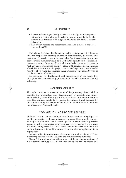- The commissioning authority retrieves the design team's response, determines that a change in criteria would probably be in the owner's best interest, and suggests changing the OPR to reflect this option.
- The owner accepts the recommendation and a note is made to change the OPR.

Underlying the Issues Log is a desire to have a transparent, collaborative, and cooperative doorway to problem identification, discussion, and resolution. Issues that cannot be resolved without face-to-face interaction between team members would be placed on the agenda for a commissioning team meeting. Items should not fall through the cracks, as it is easy to ''pull up'' unresolved issues quickly—along with complete documentation of each issue. At the end of a project, the Issues Log can serve as a useful record to show what the commissioning process accomplished by way of problem avoidance/resolution.

Responsibility for development and maintenance of the Issues Log throughout the commissioning process should lie with the commissioning authority.

## MEETING MINUTES

Although mundane compared to most of the previously discussed documents, the preparation and dissemination of accurate and timely commissioning team Meeting Minutes is an important communications tool. The minutes should be prepared, disseminated, and archived by the commissioning authority and should be included in interim and final Commissioning Process Reports.

## COMMISSIONING PROCESS REPORTS

Final and interim Commissioning Process Reports are an integral part of the documentation of the commissioning process. They provide commissioning team members with a current picture of commissioning process status, as well as easy access to an organized record showing the evolution of commissioning activities. These reports should be succinct to facilitate communications, but should reference other commissioning documents as appropriate.

Responsibility for preparation, dissemination, and archiving of Commissioning Process Reports lies with the commissioning authority.

Figure 6.1 provides a schematic summary of the development stages of major commissioning process documents during the various phases of a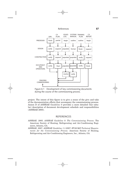#### References **87**



Figure 6.1 Development of key commissioning documents during the course of the commissioning process.

project. The intent of this figure is to give a sense of the give and take of the documentation efforts that accompany the commissioning process. Annex D of *ASHRAE Guideline 0* provides a more detailed (but tabular) description of document development schedule and responsibilities (ASHRAE 2005).

### **REFERENCES**

- ASHRAE. 2005. *ASHRAE Guideline 0: The Commissioning Process*. The American Society of Heating, Refrigerating and Air-Conditioning Engineers, Atlanta, GA.
- ASHRAE. 2007. *ASHRAE Guideline 1.1-2007: HVAC&R Technical Requirements for the Commissioning Process*. American Society of Heating, Refrigerating and Air-Conditioning Engineers, Inc., Atlanta, GA.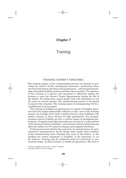## **Chapter 7**

# Training

#### TRAINING OWNER'S PERSONNEL

The training aspects of the commissioning process are focused on providing the owner's facility management personnel—particularly those involved with facility operations and maintenance—with practical knowledge of installed building systems and their characteristics. The objective of this training is to permit such personnel to effectively employ the systems to meet the Owner's Project Requirements during the life of the facility. Providing these critical people with such information is not the norm in current practice. The commissioning process is structured to improve this situation. The training aspect of commissioning will be a consideration in every project.

The training of building occupants/users on aspects of building operation that they might substantially influence is also a part of the training process. An example of the latter would be found in most buildings with passive systems or those striving for high performance. For example, occupant control of blinds can have a serious impact on daylighting performance. Occupant-controlled plug loads can account for a major portion of the electrical load in a building—and rational control of plug loads can affect the ability of a PV system to displace grid-supplied electricity.

Training may be provided by the contractor, by subcontractors, by manufacturer's representatives, by the design team, and/or other members of the commissioning team. Training may occur in the factory, on the building site (where equipment is installed), in the classroom, or via the Internet. Training may be conducted using live instructors or prerecorded media, sit-down lectures, or hands-on experiences. The keys to

*Principles of Building Commissioning* Walter T. Grondzik Copyright © 2009 by Walter T. Grondzik.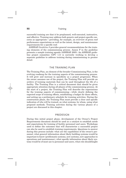#### **90** Training

successful training are that it be preplanned, well-executed, instructive, and effective. Training may address both generic and project-specific concerns as appropriate—providing, for example, an overview of green roof performance expectations as well as the intent, design, and maintenance requirements for a specific roof.

*ASHRAE Guideline 0* provides general recommendations for the training elements of the commissioning process. Annex P in the guideline presents a sample training agenda (ASHRAE 2005). An ASHRAE guideline project committee (GPC 1.3) is currently working to develop a separate guideline to address training during commissioning in greater detail.

#### THE TRAINING PLAN

The Training Plan, an element of the broader Commissioning Plan, is the evolving roadmap for the training aspects of the commissioning process. It will grow and increase in specificity as a project progresses. When the owner assumes use of the project, the Training Plan will provide an archive of training materials that can be used throughout the life of a facility. The Training Plan is a critical document that should be given appropriate attention during all phases of the commissioning process. At the start of a project, the Training Plan will describe the expectations for the training aspects of commissioning—while clearly defining the expected scope of training efforts, establishing a budget for these efforts, and setting up a preliminary schedule for training activities. During the construction phase, the Training Plan must provide a clear and specific indication of who will be trained, on what systems, by whom, using what proposed methods. Training activities during the various phases of a project are discussed in this chapter.

#### **PREDESIGN**

During this initial project phase, development of the Owner's Project Requirements document should be used as a catalyst to establish needs and expectations for training of facility personnel and users. Workshops used to define the outcomes that will characterize a successful project can also be used to establish training requirements. Questions to answer during this process include: what are the capabilities of the owner's personnel, what general information about likely building systems would be important to know (problematic systems, new systems, new approaches to operations and maintenance), what specific information about likely systems would be of most use to personnel and users, what role should/might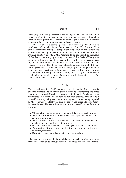#### Design **91**

users play in ensuring successful systems operations? If the owner will be contracting for operations and maintenance services, rather than using in-house personnel, it would be advantageous to include a service representative on the pre-design commissioning team.

At the end of the predesign phase, a draft Training Plan should be developed and included in the Commissioning Plan. The Training Plan should indicate the anticipated scope of training activities and identify the roles various participants are expected to play to accomplish the necessary training effort. It is critical that training to be conducted by members of the design team (e.g., providing a review of the Basis of Design) be included in the professional services contract for design services. As with any unconventional service element, it is not wise to assume that the service provider will freely and ungrudgingly participate. Explicit (to the extent possible) is better than implicit (hoping it will happen) when it comes to such expectations. Some sense of how verification of training will be handled during the commissioning process might also be worth considering during this phase—for example, will checklists be used (as with other aspects of verification)?

#### DESIGN

The general objective of addressing training during the design phase is to refine expectations for training while ensuring that training activities that are to be provided by the contractor are included in the Construction Documents in a manner that permits rational bidding. This will help to avoid training being seen as an unbudgeted burden being imposed on the contractor—ideally leading to better and more effective training experiences. The commissioning team must establish the details of training:

- What systems, equipment, assemblies will be the focus of training
- What those to be trained know about such systems—what their current capabilities are
- What information needs to be conveyed to assist the personnel in meeting the Owner's Project Requirements
- How such information can best be conveyed in an effective manner
- The specifics of the type, provider, location, duration, and outcomes of training sessions
- Estimated times and schedules for training sessions

Defined outcomes should be established for each training session probably easiest to do through written objectives and content outlines.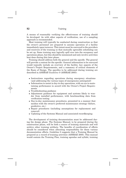#### **92** Training

A means of reasonably verifying the effectiveness of training should be developed. As with other aspects of verification, use of a sampling approach is recommended.

Most training will typically be conducted during construction so that the owner's personnel are prepared to assume operation of a facility immediately upon turnover. This intent must be conveyed to the providers and receivers of the training so that mutually agreeable scheduling can be set up. Some training may logically spill over into the occupancy and operations phase, but this should be minimized and only involve activities best done during this later phase.

Training should address both the general and the specific. The general will provide a context for the specific. General information to be conveyed would typically include an overview of the facility, key aspects of the Owner's Project Requirements, and a summary of critical elements of the Basis of Design. The specifics to be addressed during training are described in *ASHRAE Guideline 0* (ASHRAE 2005):

- Instructions regarding operations during emergency situations (and addressing the various types of emergencies anticipated)
- Information to assist in day-to-day operations, with an eye to maintaining performance in accord with the Owner's Project Requirements
- Troubleshooting guidance
- Adjustment guidance for equipment and systems likely to wander from installed performance, with benchmarking data from verification testing
- Day-to-day maintenance procedures, presented in a manner that meshes with the owner's preferred maintenance strategy (failure, predictive, etc.)
- Repair procedures (including assumptions for replacement and removal)
- Updating of the Systems Manual and associated recordkeeping

The development of training documentation must be addressed during the design phase. The Systems Manual, to be prepared during the construction phase, will be both a source of training materials and will archive other training artifacts. The benefits of coordination of efforts should be considered when allocating responsibility for these various documentation efforts. Guideline 0 suggests that a Training Manual be prepared as a record of training activities (ASHRAE 2005). This manual would contain the Training Plan, training agendas and syllabi, training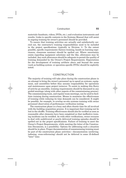#### Construction **93**

materials (handouts, videos, DVDs, etc.), and evaluation instruments and results. Links to specific contents in the Systems Manual that will assist in ongoing training for owner's personnel should be provided.

To ensure that training activities are actually and satisfactorily carried out, the contractor's training responsibilities need to be included in the project specifications (typically in Division 1). To the extent possible, specific requirements (factory-training, hands-on learning experiences, classroom sessions) should be spelled out. Where uncertainty exists regarding equipment selections and the like, allowances may be included. Any such allowances should be adequate to permit the quality of training demanded by the Owner's Project Requirements. Expectations for the development of training artifacts above and beyond the norm (such as building system- or operation-specific DVDs) should be explicitly noted.

#### **CONSTRUCTION**

The majority of training will take place during the construction phase in an attempt to bring the owner's personnel up to speed on systems, equipment, and assemblies before they assume responsibility for operations and maintenance upon project turnover. To assist in making this flurry of activity go smoothly, training requirements should be discussed in any prebid meetings (along with other aspects of the commissioning process). The commissioning team, and regular team meetings, can be used to facilitate training during construction. Means to maximize the effectiveness of training while reducing its time demands can be considered. It might be possible, for example, to overlap on-site systems training with owner personnel observation of performance verification testing.

The construction phase is a busy and often chaotic time for all involved with the building acquisition process. It is important that training not be lost in the shuffle. Training effectiveness should also be verified as soon as reasonable after elements have been completed so that ineffective training incidents can be rectified. As with other verifications, owner recourse to deal with undelivered or poorly delivered training episodes should be spelled out in the project specifications. Failure of training to meet the Owner's Project Requirements, while meeting the letter of the Construction Documents, is a possibility. Options for addressing such a situation should be in place. Proper documentation of commissioning training must be part of the construction phase activities—documentation (archiving, indexing, cross-referencing) should not be deferred to some ill-defined "later" time.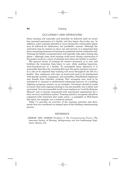#### **94** Training

#### OCCUPANCY AND OPERATIONS

Some training will naturally and desirably be deferred until an owner has assumed possession of a facility and has begun day-to-day use. In addition, some training intended to occur during the construction phase may be deferred for unforeseen, but justifiable, reasons. Although the contractor may be anxious to move out and onward, it is important that these remaining elements of training be conducted and be conducted well. Training for facility occupants/users will typically take place during this phase—although some such training could occur during construction if the project involves a move of existing users from one facility to another.

The general intent of training for owner's personnel is to ease and facilitate the transition from buyer to user, while enabling long-term, most-beneficial-use of a facility. To accomplish these objectives it is reasonable that there be a training blitz near the point of project turnover. It is also to be expected that training will occur throughout the life of a facility. New employees will come on board and need to be familiarized with specific systems, equipment, and assemblies. Established employees may benefit from refresher training. New occupants may need to be introduced to unusual or performance-enhancing features of a building (lighting occupancy sensors, as an example). Provisions should be made to ensure that such ongoing training is not just possible, but is likely and convenient. It is not reasonable to tell a new employee to ''read the Systems Manual'' just to become acquainted with operational expectations for a heat recovery ventilation system. Training aimed at occupants should be supported with materials that make sense—a pamphlet or Web-based fact sheet, for example, not a technical manual.

Table 7.1 provides an overview of the training activities and documents that are considered an integral part of the building commissioning process.

## **REFERENCE**

ASHRAE. 2005. *ASHRAE Guideline 0: The Commissioning Process*. The American Society of Heating, Refrigerating and Air-Conditioning Engineers, Atlanta, GA.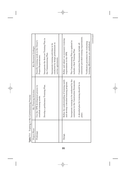Table 7.1 Training in the Commissioning Process **Table 7.1** Training in the Commissioning Process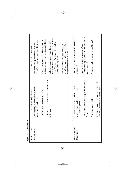| ŕ           |
|-------------|
| ۱<br>I<br>١ |

| Project Phase               | Key Training Activities                                                                      | Key Document Linkages                                                                                                                                |
|-----------------------------|----------------------------------------------------------------------------------------------|------------------------------------------------------------------------------------------------------------------------------------------------------|
| Construction                | The majority of training of owner's<br>personnel is conducted.                               | refined as required by design decisions.<br>The training aspects of the OPR are                                                                      |
|                             | Training is documented and materials are<br>Training effectiveness is verified.              | include the most current Training Plan.<br>The Commissioning Plan is updated to                                                                      |
|                             | archived.                                                                                    | occupancy and operations phase are added<br>Details of training to occur during the<br>to the Training Plan (and thus to the<br>Commissioning Plan). |
|                             |                                                                                              | completed and training information is<br>The bulk of the Systems Manual is<br>integrated into the manual.                                            |
|                             |                                                                                              |                                                                                                                                                      |
| Occupancy and<br>Operations | Conduct training scheduled for this<br>phase—and/or deferred from the<br>construction phase. | Update the training aspects of the OPR (as<br>necessary).                                                                                            |
|                             | Train occupants/users as per the Training<br>Plan.                                           | Commissioning Plan via the Training Plan<br>Update the training aspects of the<br>(as necessary).                                                    |
|                             | Train new personnel.                                                                         | Complete and use the Systems Manual.                                                                                                                 |
|                             | Retrain personnel as appropriate to add<br>new skills or refresh existing skills.            |                                                                                                                                                      |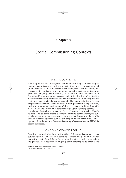## **Chapter 8**

# Special Commissioning Contexts

## SPECIAL CONTEXTS?

This chapter looks at three special contexts for building commissioning ongoing commissioning, retrocommissioning, and commissioning of green projects. It also addresses discipline-specific commissioning resources that have been, or are being, developed to assist commissioning providers. Ongoing commissioning is essentially the extension of a ''completed'' commissioning process well into the life of a facility. Retrocommissioning addresses the commissioning of an existing facility that was not previously commissioned. The commissioning of green projects can be critical to the delivery of high-performance expectations, and is a prominent requirement of the U.S. Green Building Council's LEED-NC<sup>TM</sup> and LEED-EB<sup>TM</sup> certification programs (among others).

Although historically aimed at ''active'' systems (primarily HVACrelated, and to some extent electrical), building commissioning is currently seeing increasing acceptance as a process that can apply equally well to "passive" systems such as building envelope assemblies. Development of guidelines for the commissioning of systems beyond HVAC is briefly discussed.

#### ONGOING COMMISSIONING

Ongoing commissioning is a continuation of the commissioning process substantially into the life of a building—beyond the point of warranty expiration that often defines the termination of the basic commissioning process. The objective of ongoing commissioning is to extend the

*Principles of Building Commissioning* Walter T. Grondzik Copyright © 2009 by Walter T. Grondzik.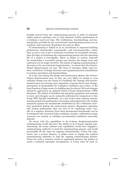benefits derived from the commissioning process in order to maintain and/or improve (perhaps even to truly optimize) facility performance as a building is used over time. The verifications, benchmarking, and documentation provided by the conventional commissioning process are an excellent (and necessary) foundation for such an effort.

If commissioning is looked at as an investment in improved building performance (functionally, economically, and environmentally), rather than as just a way to get a contractor to produce an acceptable outcome, then the logic of continuing the commissioning process into the operating life of a project is inescapable. There is simply no serious rationale for terminating a successful process just because the design team and contractor are no longer involved. The intent of ongoing commissioning is the same as for conventional commissioning—to ensure that the Owner's Project Requirements are met. The focus of attention shifts, however, from verification of design decisions and equipment/system installations to systems operations and benchmarking.

As is the case during the design and construction phases, the Owner's Project Requirements may (in fact, are very likely to) morph or even radically change over the course of a building's life. Energy and environmental issues may become more important, economic forces may change, perceptions of acceptability for workplace conditions may evolve, or the basic function of large areas of a building may be altered. All such changes should be captured in an updated Owner's Project Requirements (OPR) document. The ability of installed and operating equipment and systems to meet such changes can be rationally addressed by comparison to this living OPR. Equally beneficially, on a day-to-day basis ongoing commissioning permits the performance of systems and components to be readily compared against the benchmarks established by the verification activities performed during the construction process. Equipment operation and system performance that are seen to be wandering away (usually in a negative direction) from these documented benchmarks can be investigated and corrected before problems escalate, substantial energy resources are wasted, or building environmental conditions noticeably degrade.

An owner with the capabilities to do in-house design/construction commissioning would also have the ability to do in-house ongoing commissioning. An owner without such capabilities would have engaged a commissioning authority to lead the commissioning process, and would presumably do the same for ongoing commissioning. Unless the experience was a serious disaster, it makes sense to engage the original commissioning authority to lead the ongoing commissioning process. Terms for such a contract would be negotiated between the parties to reach a mutually agreeable arrangement. A 1-year term for such an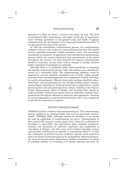agreement is likely too short; a 10-year term likely too long. The level of anticipated effort (expectations and scope) would also be negotiated. Upon reaching agreement on the general scope and depth of ongoing commissioning, the development of an ''Ongoing Commissioning Plan'' is an appropriate first step in the process.

As with the conventional commissioning process, the commissioning authority will act as the leader of a commissioning team that will include owner's operating personnel, facility managers, users, and specialized consultants (as required). In opposition to the conventional commissioning process (which can require substantial time commitments at key points throughout the process), the time demands for ongoing commissioning should be moderate (except when serious changes in facility function and/or upgrading of equipment are planned).

Although there is no published guide aimed specifically at executing the ongoing commissioning process, logic and common sense should substitute as a reasonable guide. The commissioning authority would be expected to convene regularly scheduled (even if fairly widely spaced) meetings of the commissioning team (the composition of which will adapt to current circumstances). Minutes from such meetings should be taken, distributed, and incorporated into the already-existing project Commissioning Report. Running an ''Ongoing Issues Log'' is suggested as a useful documentation tool and communications vehicle. Updates to the Owner's Project Requirements, Basis of Design, and Training Plan should be made as needed. Updated test reports and new materials would be incorporated into the Systems Manual as necessary and appropriate. Training on revised approaches to operations/maintenance and or new equipment would also be conducted as required.

#### RETROCOMMISSIONING

*ASHRAE Guideline 0* defines retrocommissioning as: ''The commissioning process applied to an existing facility that was not previously commissioned'' (ASHRAE 2005). Although defined by Guideline 0, no details for such an application of commissioning are given. Commissioning in this context will, however, surely require that a basis for verification be developed (a retro-OPR); that information about installed equipment, systems, and assemblies be collected, organized, and synthesized (a retro-Basis of Design); and that some level of detail regarding system and assembly performance be collected (a retrotesting regime)—so that the verification of observed on-site conditions against owner objectives that is the heart of commissioning can be accomplished. Retrocommissioning must go beyond simply determining whether something is working to establish whether it is working as it should. Figuring out what ''as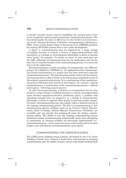it should'' actually means requires backfilling the missing parts of the never-completed original-project-acquisition commissioning process. The best formal guide for such an effort may be the *California Commissioning Guide: Existing Buildings* (California Commissioning Collaborative, 2006). Later in this chapter there is discussion of an ASHRAE guideline for existing HVAC&R systems that is now under development.

A desire to retrocommission may be triggered by a major change in building function or context, a serious or aggravating problem with operations, or a change in owner/operator philosophy (a desire to become more "green," for example). Or maybe an owner at some point just sees the light. Although retrocommissioning may be challenging and not the best way to reap the benefits of the commissioning process, it is never too late to do the right thing.

Recommissioning is a similar sounding, but conceptually very different, process. It is defined by ASHRAE as: ''An application of the Commissioning Process requirements to a project that has been delivered using the commissioning process.'' Recommissioning should (unless all documentation has been lost) be able to build on the information assembled as part of the original commissioning process. Itis a continuation of the commissioning process following some period of interruption. By contrast, ongoing commissioning is a continuation of the commissioning process—without interruption—following project turnover.

As with retrocommissioning, a decision to recommission may be triggered by a major change in building function or context (unassigned floor space becomes equipment-intensive production space), a problem with operations (energy costs are excessive), or a change in owner/operator philosophy (a desire to upgrade office quality to increase market competitiveness). Recommissioning may also simply reflect a delayed startup of the ongoing commissioning process. The key to recommissioning is that commissioning process artifacts (such as an Owner's Project Requirements, Basis of Design, System Manual, Construction Checklists) are available and can provide the jumping-off point for further commissioning efforts. The ability to tap into existing commissioning process documents makes recommissioning substantially easier than attempting to commission an existing building not previously commissioned (i.e., retrocommissioning—where much precursor work would need to be done simply to get information and documentation up to speed).

#### COMMISSIONING FOR GREEN BUILDINGS

The LEED green building rating systems, developed by the U.S. Green Building Council, have without a doubt been instrumental in bringing commissioning into the sights of many owners and design professionals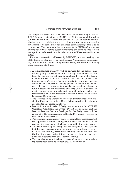who might otherwise not have considered commissioning a project. LEED for new construction (LEED-NC), LEED for commercial interiors (LEED-CI), and LEED for core and shell (LEED-CS) all require commissioning as a prerequisite for a green rating and provide an opportunity for a credit to be earned through enhanced commissioning. This is to be commended. The commissioning requirements in LEED-NC are generally typical of these rating systems (including the building-type-focused ratings for schools, retail, and healthcare) and will be discussed in some detail.

For new construction, addressed by LEED-NC, a project seeking any of the LEED certification levels must undergo ''fundamental commissioning.'' Fundamental commissioning is described by the USGBC as having these minimum attributes:

- A commissioning authority will be engaged for the project. The authority may not be a member of the design team or construction team for the project, but may be employed by one of the design firms or the contractor (or a subcontractor) for the project. The independence of action of such an entity is somewhat unclear. Many believe this permits the engagement of a semi-independent party. If this is a concern, it is easily addressed by selecting a fully independent commissioning authority (which is advised by most commissioning practitioners). As with building codes, the requirements of LEED represent a minimum threshold that can be exceeded by an owner.
- The commissioning authority develops and implements a Commissioning Plan for the project. The activities described in this plan are reflected in subsequent efforts.
- Design intent and basis of design documentation (in ASHRAE Guideline 0 language, the Owner's Project Requirements and the Basis of Design) that are developed by the design team will be reviewed by the commissioning authority. Presumably, *reviewed* in this context means *verified*.
- The commissioning authority ensures (again, this suggests *verifies*) that appropriate commissioning requirements are included in the construction documents (which are prepared by the design team).
- The commissioning authority verifies equipment and systems installations, oversees *functional testing* (a throwback term not used in Guideline 0), coordinates training, and documents that the building meets design intent. In essence, these are the core activities of construction-phase commissioning.
- The commissioning authority develops and submits a commissioning report upon building occupancy (USGBC 2008a-d).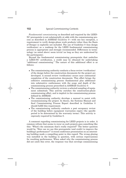*Fundamental commissioning* as described and required by the LEED-NC prerequisite is not substantially at odds with the commissioning process as described in *ASHRAE Guideline 0*—with one key exception, a requirement to verify design-phase work products (other than the Basis of Design) is explicitly not included. The use of Guideline 0 (less design verification) as a roadmap for the LEED fundamental commissioning process is appropriate and strongly recommended. Differences in terminology (as noted above) seem trivial (as long as they are understood by the participants).

Beyond the fundamental commissioning prerequisite that underlies a LEED-NC certification, a credit may be obtained for undertaking ''additional commissioning.'' The nature of this additional effort is as follows:

- The commissioning authority conducts a focus review (verification) of the design before the construction documents for the project are developed. A second review (verification) occurs near substantial completion of the construction documents. This effort brings the collective commissioning process (fundamental plus additional) into substantive conformance with the scope and depth of the commissioning process prescribed in *ASHRAE Guideline 0*.
- The commissioning authority reviews a selected sampling of equipment submittals. This activity enriches the construction-phase commissioning effort, and is implicit in the commissioning process defined by ASHRAE.
- The commissioning authority develops a manual to assist with recommissioning the project. In theory, the Systems Manual and final Commissioning Process Report described in Guideline 0 should fulfill this requirement.
- The commissioning authority conducts a post occupancy review of the building before equipment warranties expire (the specific period to be determined by the warranty terms). This activity is expressly required by Guideline 0.

A comment regarding commissioning for LEED projects is in order. A common refrain that seems to recur on such projects goes something like this: ''What's the minimum that's really required?'' The better question would be, ''How can we use this prerequisite (and credit) to improve the building's performance?'' A recent conference presentation on an interesting building made a compelling point in this regard. The wrong glazing was installed in the building in question, with serious repercussions for resulting performance. When asked why the commissioning process did not catch this error, the response was that envelope commissioning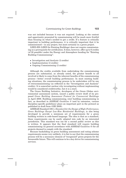was not included because it was not required. Looking at the context and opportunity presented by commissioning will be much more fruitful than focusing on what's needed to get a credit. If a feature is critically important to building performance, it is critically important that it be commissioned—in any project, but most certainly in a green project.

LEED-EB (LEED for Existing Buildings) does not require commissioning as a prerequisite for certification. It does, however, offer up to 6 credits (of 30 possible) under the Energy and Atmosphere heading for ''Existing Building Commissioning'':

- Investigation and Analysis (2 credits)
- Implementation (2 credits)
- Ongoing Commissioning (2 credits)

Although the credits available from undertaking the commissioning process are substantial, as already noted, the greater benefit to all involved is likely to come from the inherent benefits of the commissioning process—better overall building performance. In most existing building situations, the commissioning process to be undertaken will be one of retrocommissioning (as reflected in the ''Investigation and Analysis'' credits). It is somewhat unclear why investigating without implementing would be considered creditworthy, but it is a start.

The Green Building Initiative, developers of the Green Globes environmental assessment system, issued a public review draft of its proposed *Green Building Assessment Protocol for Commercial Buildings* in April 2008. Building commissioning, *total* building commissioning in fact, as described in *ASHRAE Guideline 0* (and by extension, various discipline-specific guidelines) plays an important part in the protocol as published in draft form (GBI 2008).

ASHRAE Standard 189.1, *Standard for the Design of High-Performance, Green Buildings Except Low-Rise Residential Buildings*, is also being developed to provide a minimum set of requirements for a green building written in code-based language. The idea is that as a standard, these requirements can be easily adopted into code by an interested jurisdiction. This standard was out for a second public review as this is written. It appears that the final standard will require building commissioning (in general accordance with *ASHRAE Guideline 0*) for all projects deemed to comply with the standard.

Because backsliding on green building assessment and rating scheme requirements seems very unlikely, it is fair to say that the commissioning process will be a necessary element of ''recognized'' green projects for the foreseeable future. This will continue to be a key driver for commissioning services.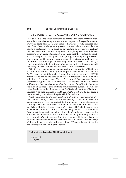# DISCIPLINE-SPECIFIC COMMISSIONING GUIDANCE

*ASHRAE Guideline 0* was developed to describe the characteristics of an exemplary commissioning process, without regard to the specific element or system being addressed. It appears to have successfully assumed this role. Going beyond the generic process, however, there are details specific to a particular system (such as daylighting or elevators or roofing) that will assist the commissioning team in applying even a well-defined process to a particular situation. It is intended that these details be developed as discipline-specific guides (for lighting, plumbing, fire protection, landscaping, etc.) by appropriate professional societies and published via the NIBS Total Building Commissioning Guidelines series. This effort, a major undertaking both in terms of expertise and coordination, is well underway. Several components are discussed in this section.

ASHRAE has completed development of a revised version of Guideline 1 (its historic commissioning guideline, prior to the advent of Guideline 0). The purpose of this updated guideline is to focus on the HVAC systems that are at the core of ASHRAE's interests. The title of this guideline reflects this focus: *HVAC&R Technical Requirements for the Commissioning Process*. The purpose is to provide HVAC&R-specific guidance for the commissioning of such systems. Guideline 1.1 becomes the third in a series of total building commissioning guidance documents being developed under the auspices of the National Institute of Building Sciences. The first in series is *ASHRAE/NIBS Guideline 0*. The second (its numbering notwithstanding) is *NIBS Guideline 3*.

*NIBS Guideline 3: Exterior Enclosure Technical Requirements For the Commissioning Process*, was developed by NIBS to address the commissioning process as applied to the generally static elements of building enclosure. Published in 2006, it is available from NIBS via the Whole Building Design Guide Web site (NIBS 2006). As is true of ASHRAE Guideline 1.1-2007, and will very likely be the case with future discipline-specific guidelines, the bulk of Guideline 3 resides in the annexes that describe application details. As this guideline provides a good example of what to expect from forthcoming guidelines, it is appropriate to show its structure as reflected in the table of contents. The body of the guideline is roughly 36 pages of the 337-page document, so the annexes make up the bulk of the content.

### **Table of Contents for NIBS Guideline 3**

Foreword Purpose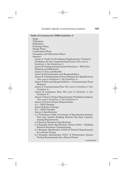| <b>Table of Contents for NIBS Guideline 3</b>                    |
|------------------------------------------------------------------|
| Scope                                                            |
| Utilization                                                      |
| Definitions                                                      |
| Predesign Phase                                                  |
| Design Phase                                                     |
| <b>Construction Phase</b>                                        |
| Occupancy and Operations Phase                                   |
| Annexes                                                          |
| Annex A: Guide for Developing Supplementary Technical            |
| Guidelines for the Commissioning Process (Not used in            |
| Guideline 3. See Guideline 0.)                                   |
| Annex B Commissioning Process Flowchart-With Flow                |
| Diagram and Milestones                                           |
| Annex C Costs and Benefits                                       |
| Annex D Documentation and Responsibilities                       |
| Annex E Commissioning Process Request for Qualifications         |
| (Not used in Guideline 3. See Guideline 0.)                      |
| Annex F Roles and Responsibilities—Commissioning Team<br>Members |
| Annex G Commissioning Plan (Not used in Guideline 3. See         |
| Guideline 0.)                                                    |
| Annex H Acceptance Plan (Not used in Guideline 3. See            |
| Guideline 0.)                                                    |
| Annex I Owner's Project Requirements Workshop Guidance           |
| (Not used in Guideline 3. See Guideline 0.)                      |
| Annex J Owner's Project Requirements                             |
| J.1-OPR Checklist                                                |
| Annex K Basis of Design                                          |
| K.1-BOD Checklist                                                |
| <b>Annex L Specifications</b>                                    |
| L.1 Preliminary Table of Contents of Specification Sections      |
| that may include Building Exterior Envelope Commis-              |
| sioning Requirements                                             |
| L.2 Exterior Enclosure Specifications                            |
| L.3 Example Draft Specification, Section 01811-Building          |
| <b>Exterior Enclosure Commissioning</b>                          |
| L.4 Example Specification 01810 of General Requirements          |
| for a Recent Project                                             |
| L.5 Example Specification 01811 of Fenestration System           |
| Testing Requirements for a Recent Project                        |
| (continued)                                                      |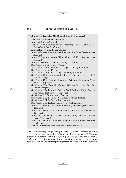| Table of Contents for NIBS Guideline 3 (Continued)                                                 |
|----------------------------------------------------------------------------------------------------|
| <b>Annex M Construction Checklists</b>                                                             |
| Annex O Systems Manual                                                                             |
| Annex P Training Manual and Training Needs (Not used in<br>Guideline 3. See Guideline 0.)          |
| <b>Annex R Integration Requirements</b>                                                            |
| Annex S Interference and Coordination with Other Systems (See<br>Annex R.                          |
| Annex T Communications: What, When and Who (Not used, see<br>Annex R.                              |
| <b>Annex U Exterior Enclosure Testing Procedures</b>                                               |
| Sub-Annex U.1 Laboratory Testing                                                                   |
| Sub-Annex U.1a Laboratory Testing Case Study Example<br>Sub-Annex U.2 Field Testing                |
| Sub-Annex U.2a Field Testing Case Study Example                                                    |
| Sub-Annex U.2b Recommended Practice for Incremental Field                                          |
| <b>Water Testing</b>                                                                               |
| Sub-Annex U.2c Example Doors and Windows Functional Test                                           |
| for a recent project                                                                               |
| Sub-Annex U.2d Example Mock-up Window Functional Test for                                          |
| a recent project                                                                                   |
| Sub-Annex U.2e Example Exterior Wall Drainage Plane System<br>Functional Test for a recent project |
| Sub-Annex U.3 Resources for Testing                                                                |
| Sub-Annex U.3a Reference Standards for Field Testing                                               |
| Sub-Annex U.3b Technical Information                                                               |
| Sub-Annex U.3c Testing Resources by Wall Assembly                                                  |
| Annex V Predesign Phase Commissioning Process Specific Needs<br>(Not used.)                        |
| Annex W Design Phase Commissioning Process Specific Needs<br>(Not used.)                           |
| Annex X Construction Phase Commissioning Process Specific<br>Needs (Not used.)                     |
| Annex Y Constant Commissioning of the Building's Exterior<br>Enclosure                             |
| Annex Z Example Calculation Procedures and Tools                                                   |
|                                                                                                    |

The Illuminating Engineering Society of North America (IESNA) recently launched a committee charged with developing a NIBS-based guideline for commissioning of lighting systems (electric and daylight). Unfortunately, a few months after start-up the committee seems to be on hold; time will tell how this topic progresses. The National Fire Protection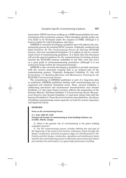Association (NFPA) has been working on a NIBS-based guideline for commissioning of fire protection systems. Other discipline-specific guides are very likely to be developed under the auspices of NIBS, although it is hard to predict for which disciplines and when.

ASHRAE is currently developing a guideline that will address the commissioning process for existing HVAC systems. Originally numbered and titled *Guideline 30: The Commissioning Process for Existing HVAC&R Systems*, this was renumbered Guideline 1.2 to reflect its role in a coordinated series of commissioning guidelines. It is likely that this document will provide general guidance for the commissioning of existing systems (beyond the HVAC&R systems embedded in the title) and also serve as a good guide to retrocommissioning procedures (although it is not exclusively being written for retrocommissioning).

ASHRAE is also currently developing a guideline to provide assistance with the owner's personnel training that is an integral part of the commissioning process. Originally designated Guideline 31, this will be *Guideline 1.3: Building Operation and Maintenance Training for the HVAC&R Commissioning Process*.

The renumbering of ASHRAE guidelines is part of a long-term plan to synthesize ASHRAE guidelines dealing with commissioning into an organized and similarly formatted series. Thus, current Guideline 4 (addressing operations and maintenance documentation) may become Guideline 1.4 and (upon future revision) address the preparation of the Systems Manual. Existing Guideline 5 (*Commissioning Smoke Management Systems*) may become Guideline 1.5 and more closely link with the format of Guideline 0. From the level of activity described here, the future of building commissioning seems squarely on track for serious expansion and improved clarity.

#### **INTERVIEW**

### **Views on the Commissioning Process**

### **H. J. Enck, LEED AP, CxAP**

**Principal and Founder of Commissioning & Green Building Solutions, Inc. (CxGBS), Atlanta, Georgia**

Q. What is the general role of commissioning in the green building acquisition process?

*A. The full commissioning process includes defining the end goal at the beginning of the project and involves continuous checks through the design, construction, and post-occupancy stages of a facility/project's life. Owners and their design, construction, operations and maintenance teams need the full commissioning process to efficiently and economically deliver and maintain the performance of a green/high performance building*.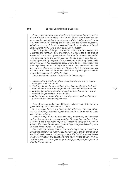*Teams embarking on a goal of delivering a green building need a clear vision of what they are being asked to deliver and what procedures are necessary for maintaining the performance of the building/project for its life. This starts with defining and documenting the owner's objectives, criteria, and end goals for the project, which make up the Owner's Project Requirements (OPR). This is a key document for success*.

*The OPR guides all design, construction, and operations decisions for a project, and helps save time and money. It includes the model that an owner will use to select green features that fit within the business model. This document puts the entire team on the same page from the very beginning—defining the goals of the project and establishing benchmarks for success, as well as developing design criteria to meet the needs of the building's occupants in fulfilling their daily mission. The team can then help owners select green features that fit within their business model. An example of an OPR can be downloaded from* http://images.ashrae.biz/ renovation/documents/opr61507final.pdf.

*The commissioning process includes the following steps:*

- 1. *Checking during the design phase to see that owners' project requirement goals are incorporated*
- 2. *Verifying during the construction phase that the design intent and requirements are correctly interpreted and implemented by contractors*
- 3. *Ensuring that building operators understand those features and how to maintain the performance of the building*
- 4. *Following up by monitoring and assisting owners with maintaining performance of the building over time*.

Q. Are there any fundamental differences between commissioning for a green building and a conventional building?

*A. In essence, there is no fundamental difference. The only difference is identifying sustainable goals that should really be part of every conventional building*.

*Commissioning of the building envelope, mechanical, and electrical systems is important for a green building. The building envelope is key, because it has a significant impact on energy efficiency and indoor air quality. The interaction between the building envelope and HVAC system is critical for good indoor air quality*.

*Our CxGBS proprietary Holistic Commissioning Design Phase Commissioning Model deals with the building envelope, as well as traditional electrical, mechanical, and plumbing systems. This holistic approach lowers design, construction, and operational risks, improves the delivery process, and enhances occupants' physiological and psychological perceptions of their built environment*.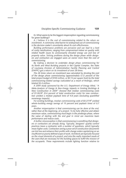Q. What seems to be the biggest misperception regarding commissioning for green buildings?

*A. I believe it is the cost of commissioning related to the return on investment. A commonly cited barrier to widespread use of commissioning is the decision maker's uncertainty about its cost-effectiveness*.

*Building performance problems are pervasive and can lead to a host of costly ramifications, ranging from compromised indoor air quality with related health issues to unnecessarily elevated energy use and loss of property value. Solving problems during the design phase while designers and contractors are engaged saves an owner more than the cost of commissioning*.

*By making a decision to undertake design phase commissioning for its North and West Building projects in the Capital Complex, the State of Louisiana Division of Administration Facility Planning and Control (DAFPC) got a return on its investment of over 28 times*.

*The 28 times return on investment was calculated by dividing the cost of the design phase commissioning (approximately 0.12 percent of the total project budget of \$100 million, or \$0.12 per square foot) by the total commissioning-related savings (calculated as a result of findings), which totaled \$3.4 million*.

*A 2004 study sponsored by the U.S. Department of Energy titled, ''A Meta-Analysis of Energy & Non-Energy Impacts in Existing Buildings & New Construction in 2004'' showed that median commissioning costs of \$1.00/ft2 (0.6 percent of total construction costs) for new construction yielded a median payback time of 4.8 years (excluding quantified nonenergy impacts)*.

*For existing buildings, median commissioning costs of \$0.27/ft<sup>2</sup> yielded whole-building energy savings of 15 percent and payback times of 0.7 years*.

*Another misperception is that commissioning can be done at the end, rather than at the beginning, of a project. To be fully effective and obtain maximum value, commissioning must begin in the predesign phase, where the value of starting with the end goal in mind can maximize team performance and reduce costs*.

*A further misconception is that commissioning is something that designers or contractors are already doing. Typically, designers' quality control practices leave a contractor with a number of questions, which typically mean higher costs. Contractors seeing a poor set of construction documents can bid low and enhance their profits with change orders capitalizing on an insufficient or poorly defined scope of work. Architects are typically focused on the visual elements of a project, and miss the really important needs of the users that are necessary for the building spaces to fulfill the mission of the occupants. These requirements include lighting function relative to*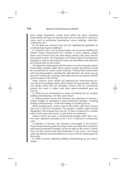*space usage, temperature control limits within the space, acoustical requirements, and types of activities that will be conducted in conference rooms (such as audiovisual presentations, group meetings, video/teleconferences, etc.)*.

Q. Are there any common errors you see regarding the application of commissioning to green buildings?

*A. Common errors I see are project teams not focused on fulfilling the Owner's Project Requirements for a facility. In some instances, project teams move forward using the same design practices they have used for years based on their own experiences and criteria instead of shifting their paradigm in order to meet what the owner has identified as the objectives and requirements for the project*.

*The alignment of green goals with the owner's mission is typically missed. Project team members might advise owners of goals they believe should be accomplished to create a green building. Trusting these professionals with providing guidance regarding the right direction, the owner may go down the wrong path, pursuing costly goals that are not aligned with the specific purpose of the facility*.

*Other common errors include not beginning the commissioning process during the predesign phase, which creates lost opportunities, rework, and change orders that can ultimately increase costs for conventional projects and result in higher costs when green/sustainable goals are not met*.

Q. What do you recommend as a means of breaking the ice on green building commissioning— for the novice owner?

*A. Helping owners review their business case objectives to develop a realistic budget for developing a high performance building—including building commissioning—is the best strategy for breaking the ice*.

*When building green, owners need to first define what their business case is for a return on investment. For example, a retailer might consider daylighting if the building lease was for 10 years, as opposed to a retailer with a 5-year lease who needs a 3-year return on investment*.

*Owners should set aside a commissioning budget within their comfort level—generally estimated to be 1.0 to 1.5 percent of construction costs*.

*A definition of business case objectives and budgets in the Owner's Project Requirements guides the project team and helps them determine what green/sustainable strategies are best to apply to the owner's criteria. They can then communicate that information to the owner, who should make sure that the recommendations are in sync with the original goals for the facility*.

Q. What resources regarding building commissioning do you recommend?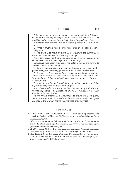## References **111**

*A. From a human resources standpoint, someone knowledgeable in commissioning the building envelope and mechanical and electrical systems should be part of the project team, beginning in the predesign phase*.

*Information resources may include reference guides and ASHRAE publications*.

Q. What, if anything, new is on the horizon for green building commissioning efforts?

*A. The trend is to focus on significantly improving the performance, operations, and maintenance of existing buildings*.

*The federal government has a mandate to reduce energy consumption by 30 percent over the next 10 years in GSA buildings*.

*Developers with larger commercial real estate holdings are starting to closely examine commissioning*.

Q. Do you have any words of wisdom for those newly embarking on the green building commissioning process? Or for seasoned professionals?

*A. Seasoned professionals, or those embarking on the green commissioning process for the first time, should start with their end goal in mind. They should select their sustainable goals based on a good business case for each project*.

*They should develop an Owner's Project Requirements document that is specifically aligned with these business goals*.

*It is critical to select a properly qualified commissioning authority with practical experience. This professional should be included on the team from the project's inception*.

*As the project progresses, it is important to ensure that good quality control processes are in place and that the sustainable development goals identified in the Owner's Project Requirements are being met*.

# **REFERENCES**

ASHRAE. 2005. *ASHRAE Guideline 0: The Commissioning Process*. The American Society of Heating, Refrigerating and Air-Conditioning Engineers, Atlanta, GA.

California Commissioning Collaborative. 2006. *California Commissioning Guide: Existing Buildings*. Sacramento, CA. www.documents.dgs.ca.gov/ green/commissionguideexisting.pdf

GBI. 2008. Green Globes: draft of a proposed American National Standard. Green Building Initiative, Portland, OR. www.thegbi.org/home.asp.

NIBS. 2006. *Exterior Enclosure Technical Requirements For the Commissioning Process*. National Institute for Building Sciences, Washington, DC. www.wbdg.org/ccb/NIBS/nibs gl3.pdf.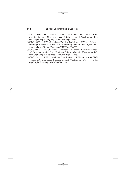- USGBC. 2008a. LEED Checklist—New Construction, LEED for New Construction (version 2.2). U.S. Green Building Council, Washington, DC. www.usgbc.org/DisplayPage.aspx?CMSPageID=220.
- USGBC. 2008b. LEED Checklist—Existing Buildings, LEED for Existing Buildings (version 2.0). U.S. Green Building Council, Washington, DC. www.usgbc.org/DisplayPage.aspx?CMSPageID=220.
- USGBC. 2008c. LEED Checklist—Commercial Interiors, LEED for Commercial Interiors (version 2.0). US Green Building Council, Washington, DC. www.usgbc.org/DisplayPage.aspx?CMSPageID=145.
- USGBC. 2008d. LEED Checklist—Core & Shell, LEED for Core & Shell (version 2.0). U.S. Green Building Council, Washington, DC. www.usgbc .org/DisplayPage.aspx?CMSPageID=295.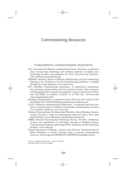# Commissioning Resources

# FUNDAMENTAL COMMISSIONING RESOURCES

- ACG: Associated Air Balance Commissioning Group. Provides a certification exam testing basic knowledge and technical expertise of eligible commissioning providers and publishes the *ACG Commissioning Guideline*. www.aabchq.com/commissioning/
- ASHRAE: American Society of Heating, Refrigerating and Air-Conditioning Engineers, Inc. Publisher of several commissioning guidelines—available through the online bookstore. www.ashrae.org
- BCA. Building Commissioning Association. A professional organization that promotes commissioning and best practices therein. Some resources including publications and process templates (such as Construction Checklists and RFQs) are publicly available via its Web site. www.bcxa.org/ resources/pubs/index.htm
- Building Commissioning. A somewhat eclectic Web site with ''articles, links and helpful info.'' http://buildingcommissioning.wordpress.com/
- CACX. California Commissioning Collaborative. A nonprofit board that promotes commissioning in California and provides commissioning resources via an extensive Web site. www.cacx.org/
- National Clearing House for Educational Facilities. School Building Commissioning. Provides a range of commissioning resources with a focus upon school facilities. www.edfacilities.org/rl/commissioning.cfm
- NEBB: National Environmental Balancing Bureau. Provides certification of firms and qualification of individuals through its Building Systems Commissioning Program (addressing HVAC, plumbing, and fire protection systems). www.nebb.org/
- Oregon Department of Energy—Conservation Division. Commissioning for Better Buildings in Oregon. Provides links to general commissioning resources. http://oregon.gov/ENERGY/CONS/BUS/comm/bldgcx.shtml

*Principles of Building Commissioning* Walter T. Grondzik Copyright © 2009 by Walter T. Grondzik.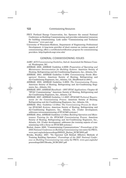- PECI. Portland Energy Conservation, Inc. Sponsors the annual National Conference on Building Commissioning and provides substantial resources for building commissioning. Look under ''Commissioning and Technical Resources.'' www.peci.org/
- University of Wisconsin-Madison, Department of Engineering Professional Development. A long-term provider of short courses on various aspects of commissioning; offers a certificate/certification program for commissioning providers. http://epdweb.engr.wisc.edu/

# GENERAL COMMISSIONING ISSUES

- AABC: *ACG Commissioning Guideline*, 2nd ed. Associated Air Balance Council, Washington, DC.
- ASHRAE. 2008. ASHRAE Guideline 4-2008: *Preparation of Operating and Maintenance Documentation for Building Systems*. American Society of Heating, Refrigerating and Air-Conditioning Engineers, Inc., Atlanta, GA.
- ASHRAE. 2001. ASHRAE Guideline 5-1994: *Commissioning Smoke Management Systems*. American Society of Heating, Refrigerating and Air-Conditioning Engineers, Inc., Atlanta, GA. [Reaffirmed in 2001.]
- ASHRAE. 2005. ASHRAE Guideline 0-2005: *The Commissioning Process*. American Society of Heating, Refrigerating and Air-Conditioning Engineers, Inc., Atlanta, GA.
- ASHRAE. 2007. *ASHRAE Handbook—2007 HVAC Applications*. Chapter 42 ''HVAC Commissioning.'' American Society of Heating, Refrigerating and Air-Conditioning Engineers, Inc., Atlanta, GA.
- ASHRAE. 2007. ASHRAE Guideline 1.1-2007: *HVAC&R Technical Requirements for the Commissioning Process*. American Society of Heating, Refrigerating and Air-Conditioning Engineers, Inc., Atlanta, GA.
- ASHRAE. 20xx. Guideline 1.2-20xx: *The Commissioning Process for Existing HVAC&R Systems*. American Society of Heating, Refrigerating and Air-Conditioning Engineers, Inc., Atlanta, GA. [Under development; addresses retrocommissioning of HVAC&R systems.]
- ASHRAE. 20xx. ASHRAE Guideline 1.3-20xx: *Building Operation and Maintenance Training for the HVAC&R Commissioning Process*. American Society of Heating, Refrigerating and Air-Conditioning Engineers, Inc., Atlanta, GA. [Under development; addresses the training aspects of commissioning with a focus on HVAC&R systems.]
- Bochat, James. 2005. ''Commissioning Communications.'' *Proceedings of the 2005 National Conference on Building Commissioning* (see entry for PECI). www.peci.org/ncbc/proceedings/2005/21 Bochat NCBC2005.pdf
- Brooks, Bradley. 2007. ''No Operator Left Behind: Effective Methods of Training Building Operators.'' *Proceedings of the 2007 National Conference on Building Commissioning* (see entry for PECI). www.peci.org/ncbc/ proceedings/2007/Brooks NCBC2007.pdf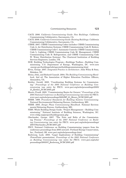- CACX: 2006. *California Commissioning Guide: New Buildings*. California Commissioning Collaborative, Sacramento, CA.
- CACX: 2006. *California Commissioning Guide: Existing Buildings*. California Commissioning Collaborative, Sacramento, CA.
- CIBSE. 2007. CIBSE Commissioning Codes (includes: CIBSE Commissioning Code A: Air Distribution Systems; CIBSE Commissioning Code B: Boilers; CIBSE Commissioning Code C: Automatic Controls; CIBSE Commissioning Code L: Lighting; CIBSE Commissioning Code M: Management; CIBSE Commissioning Code R: Refrigeration; and CIBSE Commissioning Code W: Water Distribution Systems). The Chartered Institution of Building Services Engineers, London, UK.
- DOE. Building Technologies Program—Buildings Toolbox—Building Commissioning. U.S. Department of Energy, Washington, DC. www.eere .energy.gov/buildings/info/operate/buildingcommissioning.html
- Elvin, George. 2007. *Integrated Practice in Architecture*. John Wiley & Sons, Hoboken, NJ.
- Heinz, John, and Richard Casault. 2004. *The Building Commissioning Handbook*, 2nd ed. The Association of Higher Education Facilities Officers, Alexandria, VA.
- Kettler, Gerald. 2005. "Coordinating Building Systems for Commissioning.'' *Proceedings of the 2005 National Conference on Building Commissioning* (see entry for PECI). www.peci.org/ncbc/proceedings/2005/ 21 Kettler NCBC2005.pdf
- Mauro, Frank. 2005. ''Commissioning Basics for Owners.'' *Proceedings of the 2005 National Conference on Building Commissioning* (see entry for PECI). www.peci.org/ncbc/proceedings/2005/BF 01 Mauro NCBC2005.pdf
- NEBB. 1999. *Procedural Standards for Building Systems Commissioning*. National Environmental Balancing Bureau, Gaithersburg, MD.
- NEBB. 2005. *Design Phase Commissioning Handbook*. National Environmental Balancing Bureau, Gaithersburg, MD.
- NIBS. Whole Building Design Guide. ''Project Management—Building Commissioning.'' National Institute of Building Sciences, Washington, DC. www.wbdg.org/project/buildingcomm.php
- Oberlander, George. 2007. ''The Nuts and Bolts of the Commissioning Process.'' *Proceedings of the 2007 National Conference on Building Commissioning* (see entry for PECI). www.peci.org/ncbc/proceedings/ 2007/Oberlander NCBC2007.pdf
- PECI. National Conference on Building Commissioning (papers from the conference proceedings from 2005 onward). Portland Energy Conservation, Inc., Portland, OR. www.peci.org/ncbc/proceedings.html
- Rochwarg, Leah. 2005. ''Legal Implications of Building Commissioning'' (PowerPoint presentation). *Proceedings of the 2005 National Conference on Building Commissioning* (see entry for PECI). www.peci.org/ncbc/ proceedings/2005/07 Rochwarg NCBC2005.pdf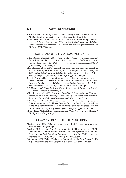- SMACNA. 1994. *HVAC Systems—Commissioning Manual*. Sheet Metal and Air Conditioning Contractors' National Association, Chantilly, VA.
- Stum, Karl, and Kent Barber. 2005. "Critical Commissioning Communication.'' *Proceedings of the 2005 National Conference on Building Commissioning* (see entry for PECI). www.peci.org/ncbc/proceedings/2005/ 21 Stum NCBC2005.pdf

# COSTS AND BENEFITS OF COMMISSIONING

- Della Barba, Michael. 2005. ''The Dollar Value of Commissioning.'' *Proceedings of the 2005 National Conference on Building Commissioning* (see entry for PECI). www.peci.org/ncbc/proceedings/2005/19 DellaBarba NCBC2005.pdf
- Ellis, Rebecca, et al. 2006. ''Quantifying Costs and Benefits, the Sequel: A 6-Year Check-up on Commissioning at the Pentagon.'' *Proceedings of the 2006 National Conference on Building Commissioning* (see entry for PECI). www.peci.org/ncbc/proceedings/2006/06 Ellis NCBC2006.pdf
- Jewell, Mark. 2005. ''Understanding the Value of Commissioning in Income Properties'' (Power Point presentation). *Proceedings of the 2005 National Conference on Building Commissioning* (see entry for PECI). www.peci.org/ncbc/proceedings/2005/03 Jewell NCBC2005.pdf
- R.S. Means. 2006. *Green Building: Project Planning and Estimating*, 2nd ed. R.S. Means Company, Kingston, MA.
- Mills, Evan, et al. 2005. Costs and Benefits of Commissioning New and Existing Commercial Buildings. PowerPoint presentation with extensive data. http://hightech.lbl.gov/Presentations/Mills Cx UCSC.ppt
- Mills, Evan, et al. 2005. ''The Cost-Effectiveness of Commissioning New and Existing Commercial Buildings: Lessons from 224 Buildings.'' Proceedings of the 2005 National Conference on Building Commissioning (see entry for PECI). www.peci.org/ncbc/proceedings/2005/19\_Piette\_NCBC2005.pdf
- PECI. 2002. ''Establishing Commissioning Costs.'' www.peci.org/Library/ PECI\_NewConCx1\_1002.pdf

# COMMISSIONING FOR GREEN BUILDINGS

- Altwies, Joy. 2002. ''Commissioning for LEED.'' http://resources.cacx .org/library/holdings/009.pdf
- Berning, Michael, and Bart Grunenwald. 2005. ''How to Achieve LEED Certification for Commissioning Projects.'' *Proceedings of the 2005 National Conference on Building Commissioning* (see entry for PECI). www.peci .org/ncbc/proceedings/2005/24 Berning NCBC2005.pdf
- Coto, Jorge. 2007. ''What Needs to be Commissioned in Zero Energy Buildings?'' www.bcxa.org/events/expo2007/bca-expo-2007-torrescoto.pdf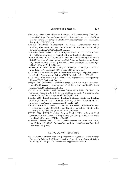- D'Antonio, Peter. 2007. ''Costs and Benefits of Commissioning LEED-NC Green Buildings.'' *Proceedings of the 2007 National Conference on Building Commissioning* (see entry for PECI). www.peci.org/ncbc/proceedings/2007/ DAntonio NCBC2007.pdf
- FMLink. Facilities Management Resources—Sustainability—Green Building Commissioning. www.fmlink.com/ProfResources/Sustainability/ Articles/article.cgi?USGBC:200309-01.htm
- GBI. 2008. Green Globes: Draft of a Proposed American National Standard. Green Building Initiative, Portland, OR. www.thegbi.org/home.asp
- Mantai, Michael. 2006. ''Expanded Role of the Commissioning Provider for LEED Projects.'' *Proceedings of the 2006 National Conference on Building Commissioning* (see entry for PECI). www.peci.org/ncbc/proceedings/ 2006/04 Mantai NCBC2006.pdf
- McCown, Paul. 2007. ''Commissioning for LEED'' (PowerPoint presentation). www.bcxa.org/events/expo2007/bca-expo-2007-mccown.pdf
- PECI. 2002. "Commissioning of Smaller Green Buildings—Expectations versus Reality.'' www.peci.org/Library/PECI SmallGreenCx1 1002.pdf
- PECI. 2000. "Commissioning to Meet Green Expectations." www.peci.org/ Library/PECI CxGreen1 0402.pdf
- Sinopoli, Jim. 2007. ''How Do Smart Buildings Make a Building Green?'' AutomatedBuildings.com www.automatedbuildings.com/news/dec07/articles/ sinopoli/071129114606sinopoli.htm
- USGBC. 2008. LEED Checklist—New Construction, LEED for New Construction (version 2.2). U.S. Green Building Council, Washington, DC. www.usgbc.org/DisplayPage.aspx?CMSPageID=220
- USGBC. 2008. LEED Checklist—Existing Buildings, LEED for Existing Buildings (version 2.0). U.S. Green Building Council, Washington, DC. www.usgbc.org/DisplayPage.aspx?CMSPageID=220
- USGBC. 2008. LEED Checklist—Commercial Interiors, LEED for Commercial Interiors (version 2.0). U.S. Green Building Council, Washington, DC. www.usgbc.org/DisplayPage.aspx?CMSPageID=145
- USGBC. 2008. LEED Checklist—Core & Shell, LEED for Core & Shell (version 2.0). U.S. Green Building Council, Washington, DC. www.usgbc .org/DisplayPage.aspx?CMSPageID=295
- Wilkinson, Ronald. 2008. "LEED Commissioning for New and Existing Buildings.'' *HPAC Engineering* (online). http://hpac.com/mag/leed commissioning new/

## RETROCOMMISSIONING

ACEEE. 2003. ''Retrocommissioning: Program Strategies to Capture Energy Savings in Existing Buildings.'' American Council for an Energy-Efficient Economy, Washington, DC. www.aceee.org/pubs/a035full.pdf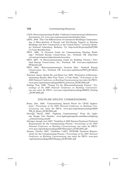- CACX. Retrocommissioning Toolkit. California Commissioning Collaborative, Sacramento, CA. www.cacx.org/resources/rcxtools/index.html
- LBNL. 2004. ''The Cost-Effectiveness of Commercial-Buildings Commissioning: A Meta-Analysis of Energy and Non-Energy Impacts in Existing Buildings and New Construction in the United States.'' Lawrence Berkeley National Laboratory, Berkeley, CA. http://eetd.lbl.gov/emills/PUBS/ Cx-Costs-Benefits.html
- PECI. 1999. "A Practical Guide for Commissioning Existing Buildings.'' Portland Energy Conservation, Inc., Portland, OR. http://eber .ed.ornl.gov/commercialproducts/retrocx.htm
- PECI. 2007. "A Retrocommissioning Guide for Building Owners." Portland Energy Conservation, Inc., Portland, OR. www.peci.org/Library/ EPAguide.pdf
- PECI. 2001. "Retrocommissioning's Greatest Hits." Portland Energy Conservation, Inc., Portland, OR. www.peci.org/Library/PECI RCxHits1 1002.pdf
- Peterson, Janice, Bendy Ho, and Hyoin Lai. 2005. "Evaluation of Retrocommissioning Results After Four Years: A Case Study.'' *Proceedings of the 2005 National Conference on Building Commissioning* (see entry for PECI). www.peci.org/ncbc/proceedings/2005/14 Peterson NCBC2005.pdf
- Poeling, Tom. 2006. "Tuning Up the Retrocommissioning Process." Pro*ceedings of the 2006 National Conference on Building Commissioning* (see entry for PECI). www.peci.org/ncbc/proceedings/2006/21 Poeling NCBC2006.pdf

# DISCIPLINE SPECIFIC COMMISSIONING

- Beaty, Don. 2005. "Commissioning Raised Floors for UFAD Applications.'' *Proceedings of the 2005 National Conference on Building Commissioning* (see entry for PECI). www.peci.org/ncbc/proceedings/2005/ TM 01 Beaty NCBC2005.pdf
- Darragh, Shaun. 2003. ''Lighting Commissioning.'' From the Lighting Design Lab (Seattle). www.lightingdesignlab.com/ldlnews/lighting commissioning sd.pdf
- Deringer, Joseph, et al. 2007. ''Guideline 3-1006: Exterior Enclosure Technical Requirements for the Commissioning Process.'' *Proceedings of the 2007 National Conference on Building Commissioning* (see entry for PECI). www.peci.org/ncbc/proceedings/2007/Deringer1 NCBC2007.pdf
- Dorgan, Charles. 2007. ''Guideline 1-2007: HVAC&R Technical Requirements for the Commissioning Process.'' *Proceedings of the 2007 National Conference on Building Commissioning* (see entry for PECI). www.peci .org/ncbc/proceedings/2007/Dorgan NCBC2007.pdf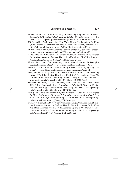- Larsen, Trina. 2007. ''Commissioning Advanced Lighting Systems.'' *Proceedings of the 2007 National Conference on Building Commissioning* (see entry for PECI). www.peci.org/ncbc/proceedings/2007/Larsen NCBC2007.pdf
- LBNL. 2007. "Daylighting the New York Times Headquarters Building (Final Report).'' Lawrence Berkeley National Laboratory, Berkeley, CA. http://windows.lbl.gov/comm perf/pdf/daylighting-nyt-final-III.pdf
- Miller, David. 2007. ''Commissioning Security Systems'' (PowerPoint presentation). www.bcxa.org/events/expo2007/bca-expo-2007-miller.pdf
- NIBS. 2006. *NIBS Guideline 3: Exterior Enclosure Technical Requirements for the Commissioning Process*. The National Institute of Building Sciences, Washington, DC. www.wbdg.org/ccb/NIBS/nibs gl3.pdf
- Phelan, John. 2002. ''Commissioning Lighting Control Systems for Daylighting Applications.'' http://resources.cacx.org/library/holdings/178.pdf
- Seattle, City of. ''Standard Commissioning Procedure for Daylighting Controls.'' www.seattle.gov/light/conserve/business/bdgcoma/bca8.pdf
- Seth, Anand, Abbe Bjorklund, and Daryl Fournier. 2006. ''Commissioning Scope of Work for Critical Healthcare Facilities.'' *Proceedings of the 2006 National Conference on Building Commissioning* (see entry for PECI). www.peci.org/ncbc/proceedings/2006/14 Seth NCBC2006.pdf
- Steward, Shannon, Mark Leafstedt, and Mike Abrams. 2005. "Fire Life Safety Commissioning.'' *Proceedings of the 2005 National Conference on Building Commissioning* (see entry for PECI). www.peci.org/ ncbc/proceedings/2005/20 Steward NCBC2005.pdf
- Tseng, Paul. 2005. "Commissioning the Windows: Design Phase Strategies for High Performance Buildings.'' *Proceedings of the 2005 National Conference on Building Commissioning* (see entry for PECI). www.peci.org/ ncbc/proceedings/2005/12 Tseng NCBC2005.pdf
- Turner, William, et al. 2005. ''Retro-Commissioning & Commissioning Building Envelope Systems to Reduce Health Risks & Improve IAQ: What We Have Learned To Date.'' *Proceedings of the 2005 National Conference on Building Commissioning* (see entry for PECI). www.peci.org/ ncbc/proceedings/2005/16 Turner NCBC2005.pdf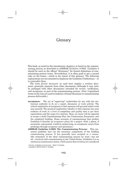This book, as noted in the introductory chapters, is based on the commissioning process as described in *ASHRAE Guideline 0-2005*. Guideline 0 should be used as the official ''dictionary'' for formal definitions of commissioning process terms. Nevertheless, it is often good to get a second take on the basics—which is the intent of this glossary. The following explanations are not intended to duplicate the Guideline 0 definitions— or to contradict them

The term *formal document* as used here implies a written document, generally separate from other documents (although it may later be packaged with other documents) intended for review, verification, and acceptance as part of the commissioning process. *(Note:* Capitalized terms in the text are used to indicate a formal document or commissioning process deliverable.)

- **acceptance:** The act of "approving" (undertaken by one with the contractual authority to do so) a report, document, or work activity. The critical implication of acceptance is that someone will get paid and/or work may proceed. The practical implication (ideally) is that someone has seen evidence of work at a level of completion and quality that is per their expectations and the scope of a contract. Thus, an owner will be expected to accept a draft Commissioning Plan, the Construction Documents, and the completed building. [Some accounts of commissioning that predate Guideline 0 describe an *acceptance phase* for a project. Such a phase, if accurately represented, would be project-long, as acceptance occurs from predesign through occupancy and operations.]
- **ASHRAE Guideline 0-2005: The Commissioning Process:** This consensus guideline lays out the necessary components of the building commissioning process. It has generally been accepted as a reasonable statement of the ideal commissioning process by most—but not all— involved with commissioning in the United States. Guideline 0 is on continuous maintenance status, which means that revisions are considered

*Principles of Building Commissioning* Walter T. Grondzik Copyright © 2009 by Walter T. Grondzik.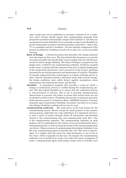upon receipt and can be published as necessary (instead of on a multiyear cycle). Owners should require that commissioning proposals from prospective providers substantially comply with Guideline 0, and that any exceptions be clearly identified. It is reasonable to expect some flexibility in process from project to project (and from provider to provider)—that is why ''0'' is a guideline and not a standard—but the intrinsic components of the process as defined by Guideline 0 need to be in place for a truly successful outcome.

- **Basis of Design:** A formal document that describes why design solutions were developed as they were. The idea behind this document is to provide an easily accessible and transferable (versus random notes in a file drawer) record of critical design thinking. The Basis of Design is prepared by the design team, verified by the commissioning authority, should be accepted by the owner, is shared with the contractor (but not as a legally binding part of the construction documents), and is passed on to the owner's operating personnel for use during operation and maintenance of a facility. Examples of valuable information that would appear in a Basis of Design and in no other ''shared'' document include a statement of the codes used for design, the design conditions used, safety factors applied, assumptions about maintenance and replacement access, and the like.
- **checklist:** A preprepared template that provides a script by which a design or construction activity is verified during the commissioning process. The idea behind checklists is to ensure that the verification process is well-structured in advance. This is not to preclude extemporaneous observations or concerns, but rather to ensure that critical issues are not overlooked in ad lib reviews. Checklists also provide a consistent and easily filed/retrieved record of verification efforts. *ASHRAE Guideline 0* focuses primarily upon Construction Checklists (see below), but there is no reason why Design Checklists could/should not also be used.
- **commissioning authority:** The name given to the lead contact for the commissioning process. Rarely (except for small projects) is the commissioning process undertaken by a lone individual. It is important, however, to have a point of contact through which all information and decisions related to the commissioning firm and commissioning team flow—this is the commissioning authority. The commissioning authority on most projects will be responsible for the actions of several professionals from a commissioning firm, as well as being the leader of the commissioning team (see below). [Some accounts of commissioning that predate Guideline 0 use the term commissioning agent to describe this role. This term is discouraged, as it implies that this party has legal permission to act in lieu of the owner, which is typically not the case. An example: the commissioning authority acts on behalf of an owner, but seeks the owner's acceptance of work; a commissioning agent could simply accept work as if he/she were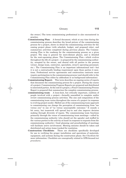the owner.] The term commissioning professional is also encountered in practice.

- **Commissioning Plan:** A formal document, which at any time during the commissioning process describes the broad picture of the commissioning process for a project, shows in detail the commissioning activities for the coming project phase (with schedule, budget, and proposed roles), and summarizes activities completed during previous phases. The Commissioning Plan is the roadmap for the commissioning process on a given project. The map is general for more-distant phases, and is detailed for the next-upcoming phase. The Commissioning Plan—which evolves throughout the life of a project— is prepared by the commissioning authority, accepted by the owner, and shared with all parties to the process (owner, design team, contractor, specialists, owner's operating personnel, etc.). The Commissioning Plan is an important informational tool—but it is not a contractually binding requirement upon those parties it mentions. Professional service agreements and construction contracts must require participation in the commissioning process (and should refer to the Commissioning Plan either by addendum or as background information).
- **Commissioning Report:** This term describes an ongoing series of reports that document the commissioning process for a project. During the course of a project, Commissioning Progress Reports are prepared and distributed to interested parties. At the end of a project, a Final Commissioning Process Report is prepared that summarizes the complete commissioning process.
- **commissioning team:** A loose-knit, but critically important, coalition of people involved with a project— formally assembled to complete and/or review commissioning process activities. The size and composition of the commissioning team varies throughout the course of a project (in response to evolving project needs). Skilled use of the commissioning team approach to commissioning can change the perception of commissioning from ''me versus you'' to one of ''us versus unacceptable outcomes.'' It sounds a bit corny, but teamwork will spread buy-in and also improve decision making through diversity of inputs. The commissioning team functions primarily through the venue of commissioning team meetings—called by the commissioning authority (who should set the agenda) and staffed by the various parties to the activity at hand (in response to requests from the commissioning authority). Good planning and prescheduling of meetings will facilitate active involvement. Meeting minutes should be taken and distributed and action items tracked for resolution.
- **Construction Checklists:** These are checklists specifically developed for use in verifying the proper installation and operations of materials, equipment, and systems during the construction phase. See *Checklists* for more information. Checklists are conceptually related to OPR-focused *test procedures*.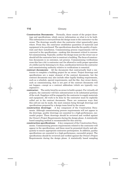- **Construction Documents:** Normally, these consist of the project drawings and specifications, which convey information on what is to be built. This information is conveyed from the design team to the contractor via the owner. The drawings usually show the contractor what (generically) goes where. From this, the contractor establishes quantities of materials and equipment to be purchased. The specifications describe the quality of materials and their installation. Commissioning process requirements will be conveyed in the specifications—making this document critical to successful commissioning. Typically, neither the design team nor the owner can or should tell the contractor how to construct a building. The focus of construction documents is on outcomes, not process. Commissioning verifications cross this line a bit (a contractor can't be allowed to verify proper operation of a chiller just by listening to it); thus, coordination between the contractor and commissioning authority relative to verifications is essential.
- **contract documents:** All the documents that contractually bind a contractor to complete a building project for an owner. Project drawings and specifications are a major element of the contract documents, but the contract documents may also include other legally binding requirements, such as a schedule, special requirements, and the like. Any owner desire, such as commissioning, that is not part of the contract documents will not happen—except as a contract addendum (which are typically very expensive).
- **contractor:** The entity hired by an owner to build a project. For virtually all projects, the contractor will hire subcontractors to do substantial portions of the work. Suppliers will be engaged by the contractor to supply materials and equipment. All work to be done by the contractor must be explicitly called out in the contract documents. There are numerous ways that this call-out can be made, the most common being through drawings and specifications prepared by a design team hired by the owner.
- **construction drawings:** A key component of the Construction Documents. Although commissioning process requirements will not appear in the drawings, quality drawings are essential to a high-performance, successful project. These drawings should be reviewed and verified against the Owner's Project Requirements during the design phase. A statistically based sampling method is recommended for this activity.
- **construction specifications:** A key component of the Construction Documents. Commissioning process requirements related to the contractor will appear in the specifications, and these must be presented clearly and adequately to ensure appropriate contractor participation. In addition, quality specifications are essential to a high-performance, successful project. The specifications should be reviewed and verified against the Owner's Project Requirements during the design phase. A statistically based sampling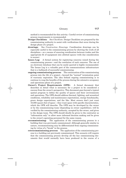method is recommended for this activity. Careful review of commissioning process requirements is recommended.

- **Design Checklists:** See *Checklists*. Design Checklists are prepared by the commissioning authority to assist with verifications that occur during the design phase of a project.
- **drawings:** See *Construction Drawings*. Coordination drawings can be especially useful to the commissioning process by showing the work of all disciplines—as a means of ensuring coordination between trades and the appropriate fit of equipment into allotted spaces (with due consideration to access).
- **Issues Log:** A formal system for registering concerns raised during the commissioning process—and the resolution of such concerns. The use of an electronic database that can be easily queried is highly recommended. The Issues Log is a valuable part of the communications infrastructure that is a hallmark of successful commissioning.
- **ongoing commissioning process:** The continuation of the commissioning process into the life of a project—beyond the ''normal'' termination point of warranty expiration. The idea behind ongoing commissioning is to continue to reap the benefits of the process during the extensive occupancy and operations phase of a project.
- **Owner's Project Requirements (OPR):** A formal document that describes in detail what is necessary for a project to be considered a success from the owner's perspective. This document goes beyond a typical spatial program to define the quality of spaces and their environments and operations. The OPR should address thermal, lighting, and acoustical conditions, reliability and maintenance expectations, energy benchmarks, green design expectations, and the like. Most owners don't just want 10,000 square feet of space—they want space with specific characteristics, which the OPR will describe. The OPR may be developed by the owner or by the commissioning team (depending on owner capabilities), will be verified by the commissioning authority, accepted by the owner, and given to the design team. The OPR should ideally be given to the contractor as ''information only'' to allow more informed decision making and be given to the owner's operating personnel for the same reason.
- **recommissioning:** The application of the commissioning process to a building that was previously commissioned. Although generally similar in nature, recommissioning may be differentiated from ongoing commissioning by virtue of a "break" in the process.
- **retrocommissioning process:** The application of the commissioning process to a building not previously commissioned. This scenario will require that the commissioning process develop all the key commissioning documents that would normally have been produced in the course of a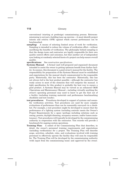conventional (starting at predesign) commissioning process. Retrocommissioning is not just a building tune-up exercise— it must identify project intents and criteria (OPR) against which current performance can be benchmarked.

**sampling:** A means of selecting limited areas of work for verification. Sampling is intended to reduce the volume of verification effort—without sacrificing the benefits of verification. The philosophy behind sampling is that the design team and contractor are legally responsible for their own quality control efforts and outcomes, but that another set of independent eyes looking at randomly selected facets of a project can help ensure overall quality.

### **specifications:** See *construction specifications*.

- **Systems Manual:** A formal (and well-prepared and organized) document intended to assist the owner in getting optimum benefit from his/her facility. In essence, this document is a good owner's manual for the facility. The responsibility for preparation of the Systems Manual must be established and expectations for the manual clearly communicated to the responsible party. Historically, this has been the contractor. Historically, this has not always led to the best product possible—although the contractor has ready access to most of the elements that will comprise the manual. A tight specification for this product is probably the best way to ensure a good product. A Systems Manual may be viewed as an enhanced O&M (Operations and Maintenance) Manual—including virtually anything the owner's operating personnel may need to know to get the best out of a facility (including training materials and performance benchmarking checklists and test results).
- test procedures: Procedures developed in support of systems and assembly verification activities. Test procedures are used for more complex evaluations of performance than can be reasonably conveyed via a checklist. For example, a test procedure might be developed to ensure that the performance of a lighting system (including controls) meets the Owner's Project Requirements for a space (perhaps including solutions such as zoning, presets, daylight dimming, occupancy sensors, and/or lumen maintenance). Test procedures will typically be developed by the commissioning authority in cooperation with the contractor. Test records will provide a benchmark for ongoing system operations.
- **Training Plan:** A subset of the Commissioning Plan that describes, in detail, the owner's personnel training requirements and expectations (including verifications) for a project. The Training Plan will describe scope, activities, schedule, roles, and evaluations involved with training personnel to effectively operate the facility they will soon be responsible for. The Training Plan will be developed by the commissioning authority (with input from the commissioning team) and approved by the owner.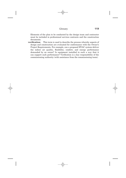Elements of the plan to be conducted by the design team and contractor must be included in professional services contracts and the construction documents.

**verification:** This term is used to describe the process whereby aspects of design and construction are evaluated for conformance with the Owner's Project Requirements. For example, can a proposed HVAC system deliver the indoor air quality, flexibility, comfort, and energy performance demanded by an owner? Is equipment installed in such a way that it can support such performance? Verification is a key responsibility of the commissioning authority (with assistance from the commissioning team).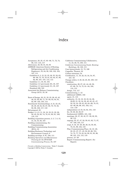Acceptance, 20, 25, 47, 63–66, 71, 72, 74, 86, 113–115, 117 Allowances, 22, 80, 81, 83, 93 ASHRAE (American Society of Heating, Refrigerating and Air-Conditioning Engineers), 33, 64, 90, 100, 102, 104, 107, 111 Guideline-0, 3, 15, 33, 35, 36, 55, 58, 63, 66–69, 73, 78, 79, 81, 83, 84, 87, 90, 92, 99, 101–107, 113, 114 Guideline-1.1, 35, 83, 104 Guideline-1.2 (previously 30), 35, 107 Guideline-1.3 (previously 31), 35, 107 Standard-189, 103 Associated Air Balance Commissioning Group (ACG), 33, 36 Basis of Design, 20, 21, 23, 25, 26, 42, 43, 46, 55, 56, 68, 71, 78–80, 83, 84, 91, 92, 99–102, 105, 114 Benchmark (benchmarking), 8, 21, 23, 25, 26, 28, 49, 64, 65, 67, 68, 70, 78, 82, 92, 98, 108, 117, 118 Bid proposal, 22 Budget, 2, 4, 8, 11, 16, 18, 19, 21, 22, 26, 40, 43, 52, 65, 74, 78, 81, 90, 91, 109, 110, 115 Building acquisition process, 3, 5, 7, 8, 15, 31, 34, 53, 93, 107 Building commissioning. *See* Commissioning Building Commissioning Association (BCA), 33 Building Enclosure Technology and Environment Council, 9 Building envelope, 9, 97, 108, 111 *Building Operation and Maintenance Training for the HVAC&R Commissioning Process*, 35, 107

*Principles of Building Commissioning* Walter T. Grondzik Copyright © 2009 by Walter T. Grondzik.

California Commissioning Collaborative, 11, 33, 36, 73, 100, 111 *California Commissioning Guide: Existing Buildings*, 36, 100, 111 Case history/study, 51, 73, 106 Cappellin, Thomas, 50 Carbon emissions, 54 Certification, 11, 19, 22, 33, 34, 54, 97, 101–03 Change orders, 8, 20, 22, 25, 80, 109, 110 Checklists construction, 26, 27, 42–44, 46, 56, 67, 69, 70, 74, 75, 81–84, 100, 114, 115 design, 114, 117 Commissioning, 1–12 additional (LEED), 102 agent, 31, 115 authority, 15, 16, 18, 19, 23, 24, 26, 28,29, 31, 32, 34, 38, 40, 42, 45–47, 50, 52, 54–59, 61, 62, 64–66, 78, 81, 83–86, 98, 99, 101, 102, 111, 114–119 independence of, 33, 34, 64, 101, 118 fee, 19, 26, 28, 59, 67 fundamental (LEED), 101, 102 meetings, 22, 37, 38, 45, 57–59, 82, 93, 99, 115 ongoing, 25, 27, 47, 58, 59, 61, 62, 71, 87, 97–100, 103, 117 scope, 9, 16, 18–20, 26, 28, 34, 50, 65, 78, 81, 99, 102, 118 Plan (Commissioning Plan), 16, 18–20, 22, 23–27, 37–43, 58, 65, 66, 781, 74, 75, 77, 78, 83, 84, 90, 91, 95, 96, 99, 101, 113, 115, 118 process, 15–29 Report (Commissioning Report). *See* Reports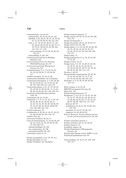Commissioning (*continued*) requirements, 22, 33, 44, 80, 81, 101 schedule, 4, 21, 22, 27, 38, 41, 43, 53, 65, 67, 74, 78, 83, 90, 91, 96, 115, 118 team, 2, 17–21, 23, 24, 26, 27, 31–52, 54–59, 61, 62, 64, 65, 67, 68, 70, 71, 78, 79, 81–86, 89, 91, 93, 99, 104, 114, 115, 117–119 team meetings, 37, 45, 58, 59, 82, 84, 86, 115 total building, 9, 103, 104 Commissioning and Green Building Solutions, 107 *Commissioning Process for Existing HVAC&R* Systems, 35, 107 *Commissioning Smoke Management Systems*, 35, 107 Communications, 2, 4, 7, 8, 24, 34, 51, 53–55, 58, 59, 63, 77, 85, 86, 99, 117 Conflict resolution, 12, 50, 51, 66 Construction Checklists. *See* Checklists Construction Documents, 3–5, 20–24, 26, 39, 43, 55, 64, 67, 74, 79–84, 91, 93, 95, 101, 102, 109, 113–116, 118 Construction phase, 4, 21–27, 37, 39, 45, 50–52, 56, 57, 60, 65, 68–71, 74, 81, 90, 92–94, 96, 98, 101, 102, 108, 115 Construction Specifications Institute (CSI), 60 Consultants, 39, 43, 72, 99 Contractor, 3–7, 9, 11, 12, 16, 17, 20–24, 26, 28, 29, 32, 33, 36, 38, 39, 41, 44–51, 53, 54, 56–58, 60–63, 66, 69, 73, 78–81, 83, 85, 89, 91, 93,95, 98, 101, 108, 109, 114–118 Control sequences, 79 Coordination, 6, 22, 39, 41, 45, 47, 48, 50, 53–62, 66, 68, 92, 104, 116, 117 Corbett, Tim, 59 Correction of defects, 22, 24, 71 Costs of commissioning, 11, 19, 20, 28, 29, 38, 41, 44, 50, 51, 53, 59, 60, 67, 69, 73, 105, 109, 110 existing buildings, 20, 109 new construction, 20, 109 nonenergy benefits, 20, 109 Cummings, James, 6, 13 Design assumptions, 4, 21, 78, 79, 114 Design-bid-build, 2, 3, 38

Design-construct-operate, 77

- Design criteria, 63, 65, 70, 79, 81, 86, 108, 110, 118
- Design development, 4
- Design documents, 20, 31, 35, 50, 56, 74
- Design intent, 65, 101, 108
- Design phase, 4, 11, 16, 19, 20–23, 26–29, 35, 37–39, 42–44, 50, 51, 55–57, 64–69, 78, 81, 91, 92, 102, 108, 109, 116, 117
- Design police, 73
- Design professional, 9, 11, 19, 32, 53, 60, 72, 73, 95
- Design reviews, 12, 67
- Design team, 3–6, 16–18, 20, 21, 23, 29, 32, 33, 37, 38, 41, 43, 46, 48, 51, 54–58, 61, 62, 65–68, 78–81, 83, 85, 86, 89, 91, 98, 101, 114–118
- Division 1, 60, 93
- Documentation requirements, 22, 42, 50, 51, 53, 63–65, 68, 72, 74, 77, 81, 84–87, 92, 93, 99, 100, 101, 107
- Drawings, 3–5, 21, 22, 43, 80, 82, 84, 115–117
- Elvin, George, 2, 13, 55, 62
- EMCOR Government Services, 66
- Enck, H.J., 107
- Energy Design Resources, 73
- Equipment, 1, 8, 9, 12, 17, 19–21, 23–36, 31, 34, 37–39, 42, 44–46, 49, 50, 56, 57, 60, 62, 63, 67, 69–71, 78–81, 84, 89, 91–94, 98–102, 115–117, 119 delivery, 69, 70
	- installation, 34, 38, 57, 69, 70, 98, 101, 115, 116
	- operation, 21, 38, 57, 70, 98, 115
	- suppliers, 44, 46, 49, 60, 62
- *Exterior Enclosure Technical Requirements for the Commissioning Process*, 36, 104
- Facility acquisition process, 5
- Facility operation, 40, 41, 47, 82, 89
- Facility turnover, 37
- Feasibility (phase), 26
- Florida Department of Management Services, 28
- Florida Solar Energy Center (FSEC), 6, 53
- Functional performance test, 69
- Green building, 10, 19, 51, 97, 100–103, 107–111

Design Checklists. *See* Checklists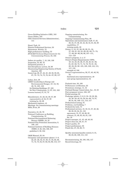Green Building Initiative (GBI), 103 Green Globes, 103 GSA (General Services Administration), 111 Haasl, Tudi, 10 Hanson Professional Services, 50 Heinemeier, Kristin, 72 High-performance building, 53 *HVAC&R Technical Requirements for the Commissioning Process*, 35, 104 Indoor air quality, 7, 18, 108, 109 Inspection, 53, 60, 70 Integrated practice, 2 Interdisciplinary system, 24, 68 Illuminating Engineering Society of North America, 106 Issues Log, 26, 27, 42, 45–49, 58, 59, 65, 67, 70–72, 74, 75, 78, 84–87, 99, 117 Lahey, Jere, 28 LEED (Leadership in Energy and Environmental Design), 10–12, 19, 29, 72, 100–103 for Existing Buildings, 97, 103 for New Construction, 11, 97, 101, 102 Lessons learned, 27, 51, 72 Manufacturer, 21, 22, 24, 39, 57, 89 representative of, 24, 57, 89 training by, 22, 89 Mechanical engineer, 41 Meetings. *See* commissioning meetings Mills, Evan, 20 Narrative, 21, 25, 79 National Conference on Building Commissioning, 10 National Environmental Balancing Bureau (NEEB), 34, 35 National Fire Protection Association, 9, 106–107 National Institute of Building Sciences (NIBS), 9, 36, 104, 106, 107 guideline-3, 36, 104 O&M Manual, 25, 84 Occupancy and operations (phase), 3–6, 22, 25–28, 32, 37, 39, 47, 58, 68, 69, 71, 72, 75, 84, 87, 92, 94, 96, 113, 117

Ongoing commissioning. *See* Commissioning Ongoing Commissioning Plan, 99 Operations and maintenance staff, 17, 25, 28, 33, 37, 39, 40, 42, 46, 54, 61, 62, 80 capabilities, 17 training needs, 39 Owner, 3–12, 15–26, 28, 29, 31–34, 37–39, 41–52, 54–60, 62–68, 71–74, 77–86, 89–96, 98, 99, 107–111, 113–119 Owner's program, 3, 4, 17 Owner's Project Requirements (OPR), 16–21, 23, 25, 26, 37, 38, 40, 54–56, 61, 63–68, 70, 71, 74, 78, 79, 81–85, 89–93, 95, 98–101, 105, 108, 110, 111, 117, 119 example of, 108 Owner's representatives, 36, 37, 40, 46, 50, 54 functional area representatives, 40 user group representatives, 54 Payback time, 20, 109 Performance certification, 22 Persistence strategy, 11, 12 Portland Energy Conservation, Inc., 10, 33 Post occupancy review, 102, 107 Prebid meeting, 93 Predesign (phase), 3–6, 8, 16–19, 22, 26, 32, 36–38, 40, 55, 58, 64–66, 74, 87, 90, 91, 95, 109–111, 113, 117 Prefunctional testing, 81 Problems, real-building, 7 Productivity tools, 73 Professional services, 15, 19, 31, 37, 40, 46, 66, 80, 83, 84, 91, 118 agreement, 31, 37, 40, 66, 80 contract, 31, 46, 83, 84, 91, 118 fee, 19 Project manager, 41, 43–46, 48, 64 Project close-out, 39, 47, 75 Project quality, 33 Project performance, 58 Punch list, 27, 58, 66, 71 Quality assurance/quality control, 9, 15, 60, 63, 68, 109, 111, 118 Recommissioning, 36, 100, 102, 117

Record drawings, 84